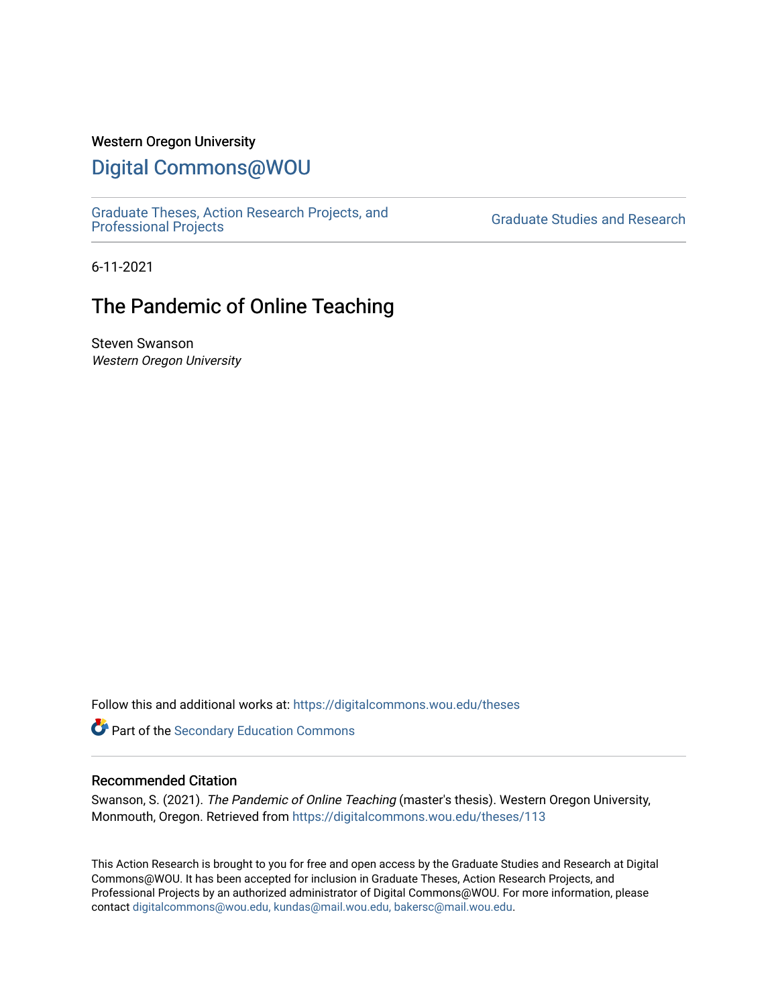## Western Oregon University

# [Digital Commons@WOU](https://digitalcommons.wou.edu/)

[Graduate Theses, Action Research Projects, and](https://digitalcommons.wou.edu/theses) 

**Graduate Studies and Research** 

6-11-2021

# The Pandemic of Online Teaching

Steven Swanson Western Oregon University

Follow this and additional works at: [https://digitalcommons.wou.edu/theses](https://digitalcommons.wou.edu/theses?utm_source=digitalcommons.wou.edu%2Ftheses%2F113&utm_medium=PDF&utm_campaign=PDFCoverPages) 

**Part of the Secondary Education Commons** 

#### Recommended Citation

Swanson, S. (2021). The Pandemic of Online Teaching (master's thesis). Western Oregon University, Monmouth, Oregon. Retrieved from [https://digitalcommons.wou.edu/theses/113](https://digitalcommons.wou.edu/theses/113?utm_source=digitalcommons.wou.edu%2Ftheses%2F113&utm_medium=PDF&utm_campaign=PDFCoverPages) 

This Action Research is brought to you for free and open access by the Graduate Studies and Research at Digital Commons@WOU. It has been accepted for inclusion in Graduate Theses, Action Research Projects, and Professional Projects by an authorized administrator of Digital Commons@WOU. For more information, please contact [digitalcommons@wou.edu, kundas@mail.wou.edu, bakersc@mail.wou.edu](mailto:digitalcommons@wou.edu,%20kundas@mail.wou.edu,%20bakersc@mail.wou.edu).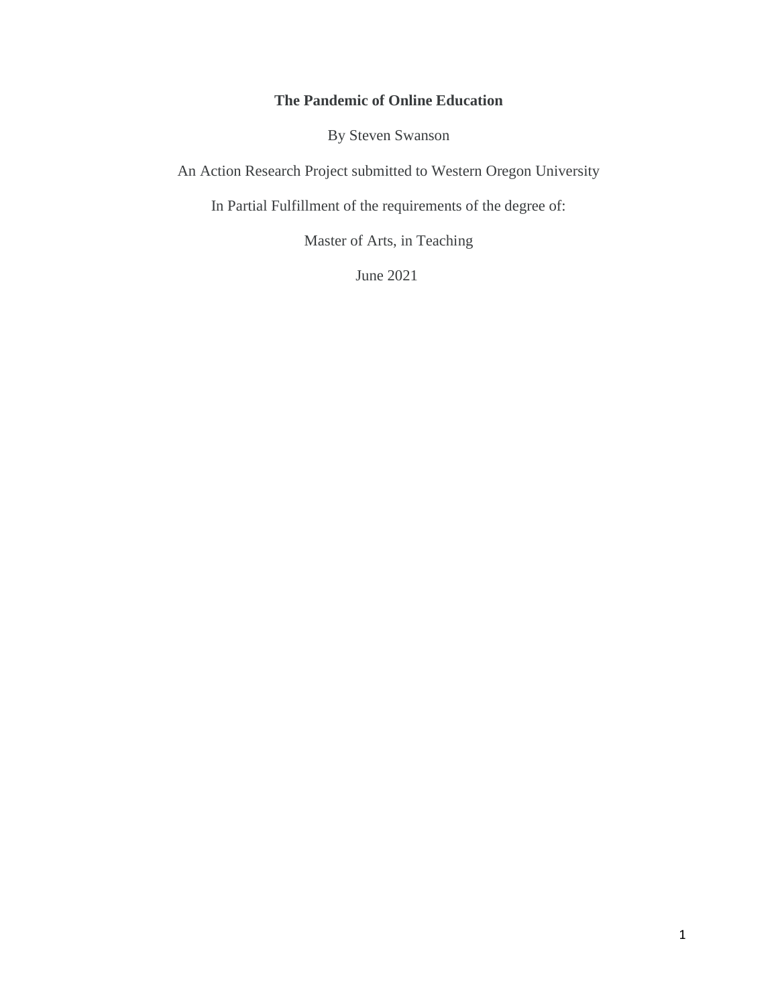## **The Pandemic of Online Education**

By Steven Swanson

An Action Research Project submitted to Western Oregon University

In Partial Fulfillment of the requirements of the degree of:

Master of Arts, in Teaching

June 2021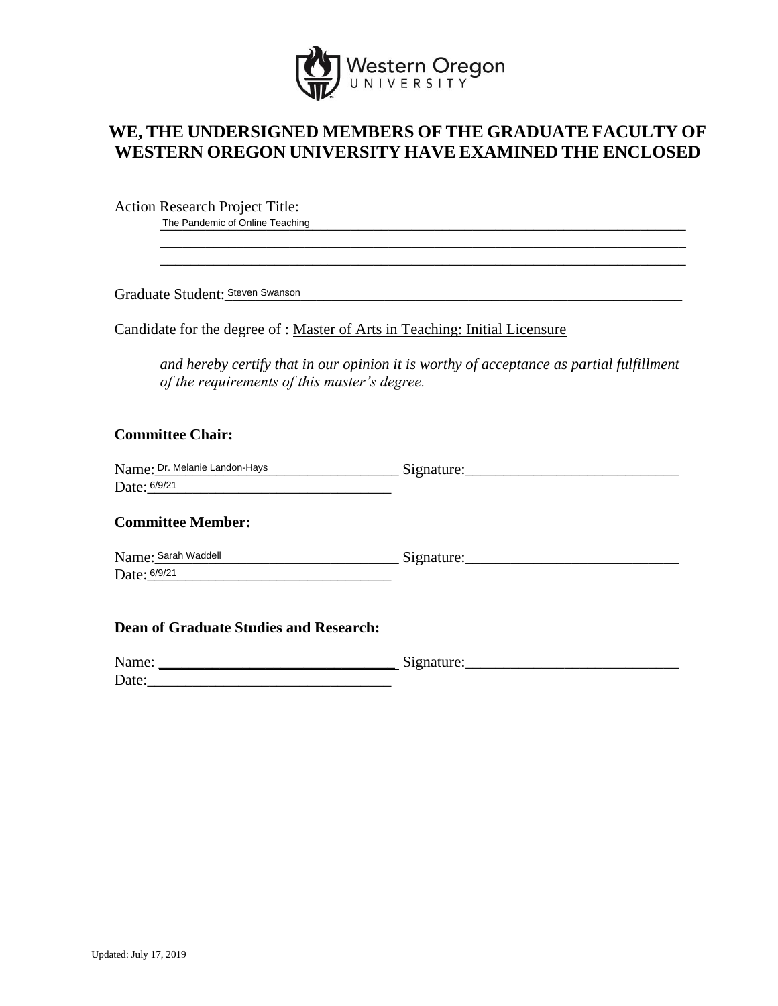

## **WE, THE UNDERSIGNED MEMBERS OF THE GRADUATE FACULTY OF WESTERN OREGON UNIVERSITY HAVE EXAMINED THE ENCLOSED**

Action Research Project Title: The Pandemic of Online Teaching<br>
The Pandemic of Online Teaching

Graduate Student:\_\_\_\_\_\_\_\_\_\_\_\_\_\_\_\_\_\_\_\_\_\_\_\_\_\_\_\_\_\_\_\_\_\_\_\_\_\_\_\_\_\_\_\_\_\_\_\_\_\_\_\_\_\_\_\_\_\_\_\_ Steven Swanson

Candidate for the degree of : Master of Arts in Teaching: Initial Licensure

*and hereby certify that in our opinion it is worthy of acceptance as partial fulfillment of the requirements of this master's degree.*

\_\_\_\_\_\_\_\_\_\_\_\_\_\_\_\_\_\_\_\_\_\_\_\_\_\_\_\_\_\_\_\_\_\_\_\_\_\_\_\_\_\_\_\_\_\_\_\_\_\_\_\_\_\_\_\_\_\_\_\_\_\_\_\_\_\_\_\_\_ \_\_\_\_\_\_\_\_\_\_\_\_\_\_\_\_\_\_\_\_\_\_\_\_\_\_\_\_\_\_\_\_\_\_\_\_\_\_\_\_\_\_\_\_\_\_\_\_\_\_\_\_\_\_\_\_\_\_\_\_\_\_\_\_\_\_\_\_\_

## **Committee Chair:**

| Name: Dr. Melanie Landon-Hays | →1gnature: |
|-------------------------------|------------|
| Date: 6/9/21                  |            |

## **Committee Member:**

 $Signature:$ Date: <u>6/9/21</u> Name: Sarah Waddell

## **Dean of Graduate Studies and Research:**

| Name: | $\tilde{\phantom{a}}$<br>$\sim$ |
|-------|---------------------------------|
| Date: |                                 |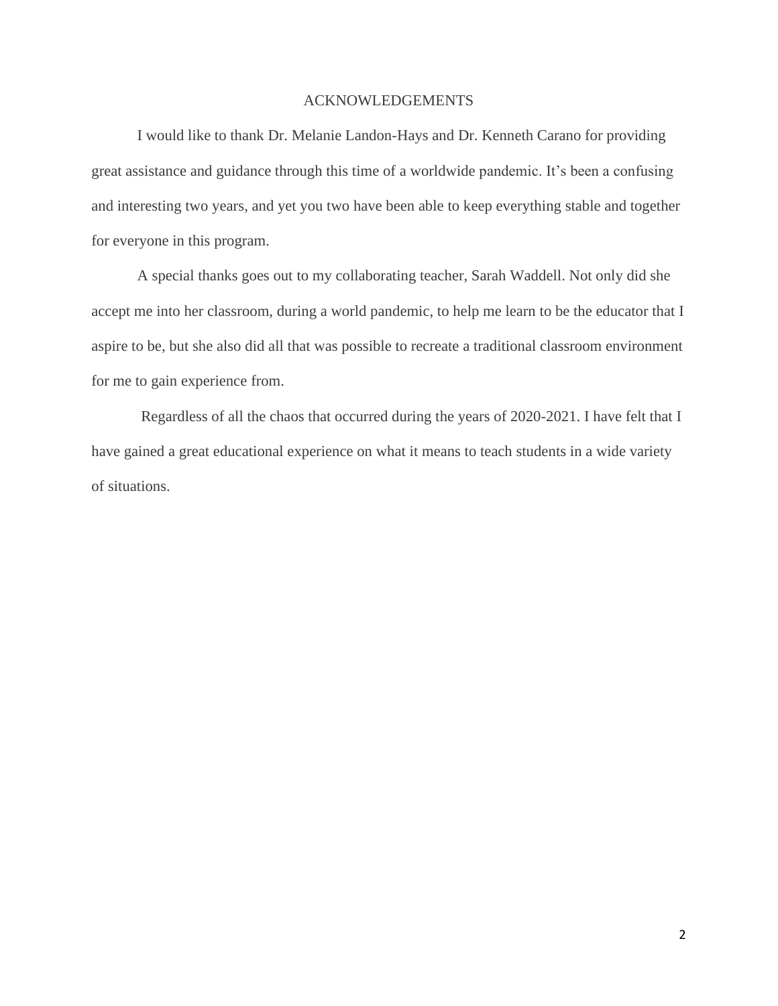## ACKNOWLEDGEMENTS

I would like to thank Dr. Melanie Landon-Hays and Dr. Kenneth Carano for providing great assistance and guidance through this time of a worldwide pandemic. It's been a confusing and interesting two years, and yet you two have been able to keep everything stable and together for everyone in this program.

A special thanks goes out to my collaborating teacher, Sarah Waddell. Not only did she accept me into her classroom, during a world pandemic, to help me learn to be the educator that I aspire to be, but she also did all that was possible to recreate a traditional classroom environment for me to gain experience from.

Regardless of all the chaos that occurred during the years of 2020-2021. I have felt that I have gained a great educational experience on what it means to teach students in a wide variety of situations.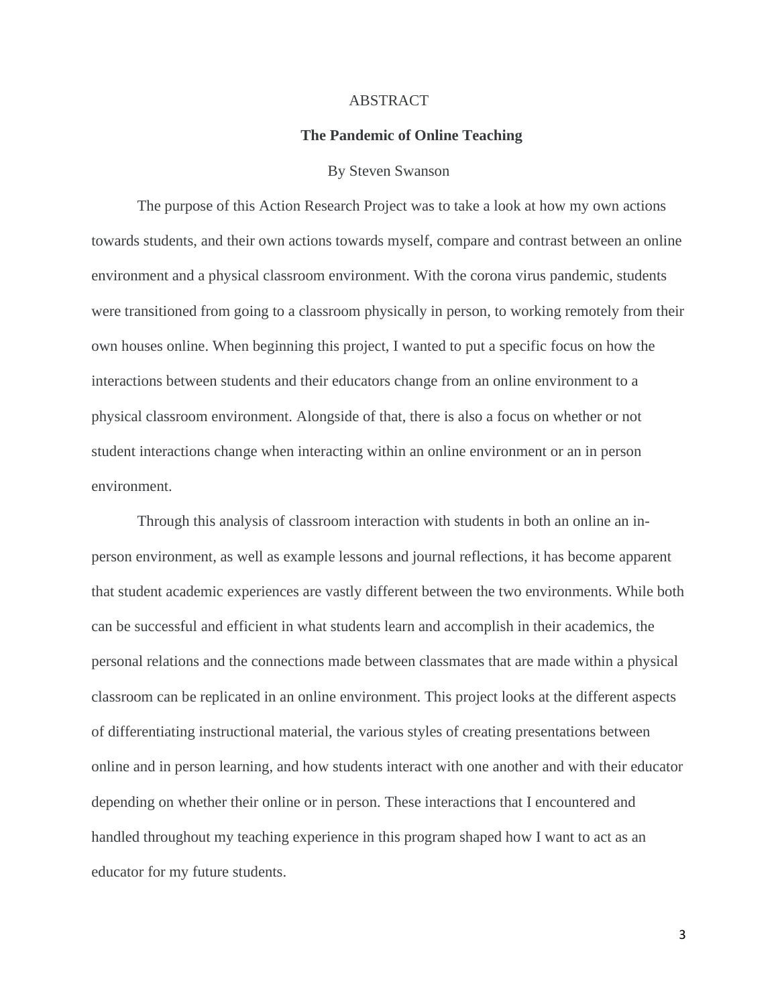#### ABSTRACT

#### **The Pandemic of Online Teaching**

#### By Steven Swanson

The purpose of this Action Research Project was to take a look at how my own actions towards students, and their own actions towards myself, compare and contrast between an online environment and a physical classroom environment. With the corona virus pandemic, students were transitioned from going to a classroom physically in person, to working remotely from their own houses online. When beginning this project, I wanted to put a specific focus on how the interactions between students and their educators change from an online environment to a physical classroom environment. Alongside of that, there is also a focus on whether or not student interactions change when interacting within an online environment or an in person environment.

Through this analysis of classroom interaction with students in both an online an inperson environment, as well as example lessons and journal reflections, it has become apparent that student academic experiences are vastly different between the two environments. While both can be successful and efficient in what students learn and accomplish in their academics, the personal relations and the connections made between classmates that are made within a physical classroom can be replicated in an online environment. This project looks at the different aspects of differentiating instructional material, the various styles of creating presentations between online and in person learning, and how students interact with one another and with their educator depending on whether their online or in person. These interactions that I encountered and handled throughout my teaching experience in this program shaped how I want to act as an educator for my future students.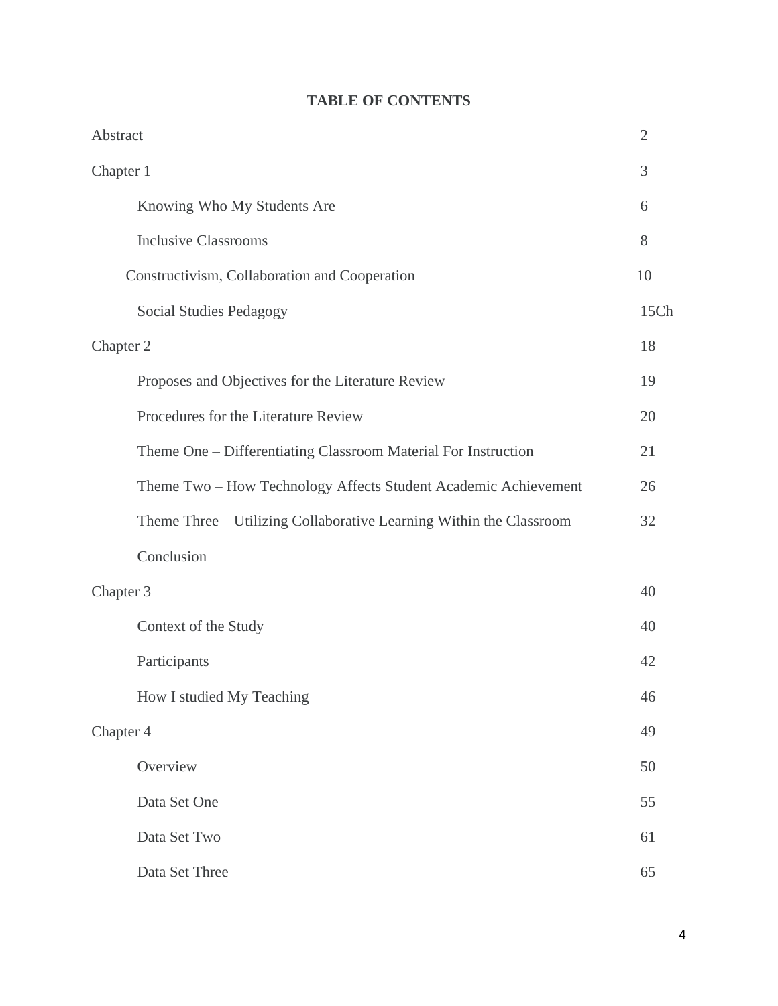|  |  | <b>TABLE OF CONTENTS</b> |
|--|--|--------------------------|
|--|--|--------------------------|

| Abstract                                                            | $\overline{2}$ |
|---------------------------------------------------------------------|----------------|
| Chapter 1                                                           | 3              |
| Knowing Who My Students Are                                         | 6              |
| <b>Inclusive Classrooms</b>                                         | 8              |
| Constructivism, Collaboration and Cooperation                       | 10             |
| Social Studies Pedagogy                                             | 15Ch           |
| Chapter 2                                                           | 18             |
| Proposes and Objectives for the Literature Review                   | 19             |
| Procedures for the Literature Review                                | 20             |
| Theme One - Differentiating Classroom Material For Instruction      | 21             |
| Theme Two - How Technology Affects Student Academic Achievement     | 26             |
| Theme Three - Utilizing Collaborative Learning Within the Classroom | 32             |
| Conclusion                                                          |                |
| Chapter 3                                                           | 40             |
| Context of the Study                                                | 40             |
| Participants                                                        | 42             |
| How I studied My Teaching                                           | 46             |
| Chapter 4                                                           | 49             |
| Overview                                                            | 50             |
| Data Set One                                                        | 55             |
| Data Set Two                                                        | 61             |
| Data Set Three                                                      | 65             |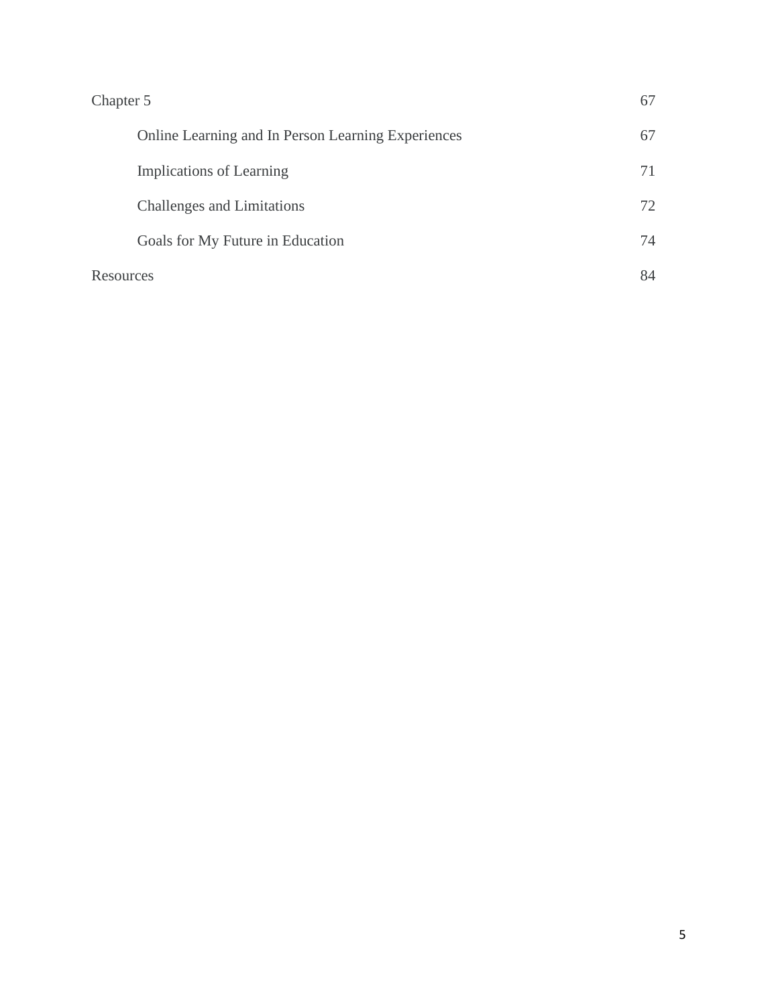| Chapter 5                                          | 67 |
|----------------------------------------------------|----|
| Online Learning and In Person Learning Experiences | 67 |
| Implications of Learning                           | 71 |
| Challenges and Limitations                         | 72 |
| Goals for My Future in Education                   | 74 |
| Resources                                          | 84 |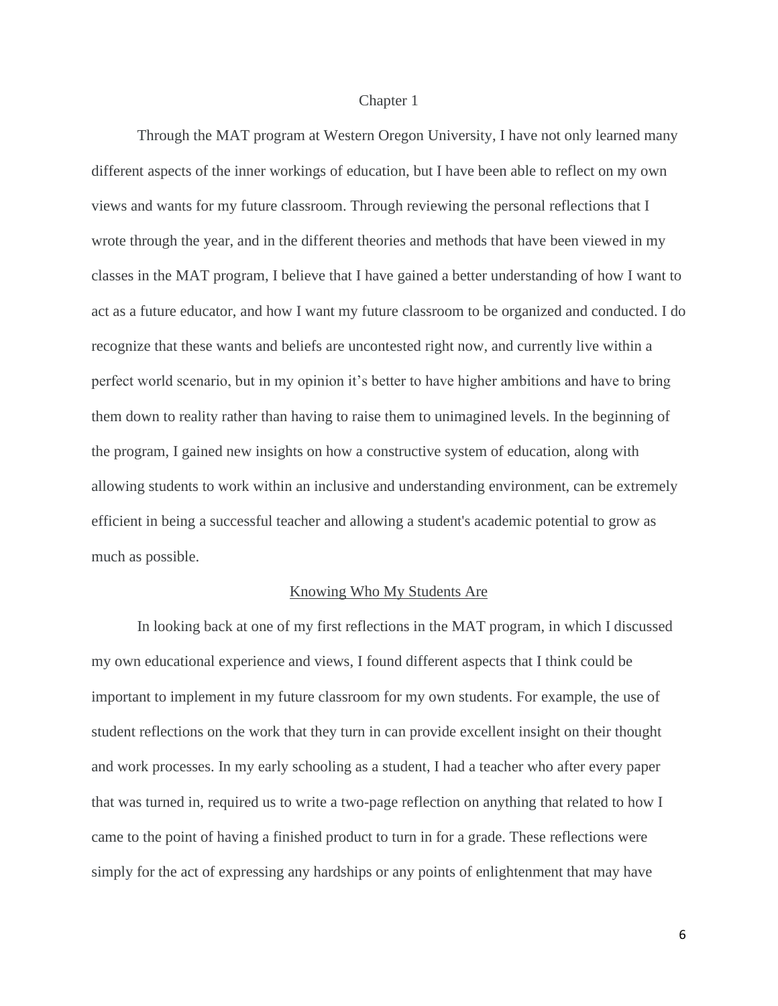#### Chapter 1

Through the MAT program at Western Oregon University, I have not only learned many different aspects of the inner workings of education, but I have been able to reflect on my own views and wants for my future classroom. Through reviewing the personal reflections that I wrote through the year, and in the different theories and methods that have been viewed in my classes in the MAT program, I believe that I have gained a better understanding of how I want to act as a future educator, and how I want my future classroom to be organized and conducted. I do recognize that these wants and beliefs are uncontested right now, and currently live within a perfect world scenario, but in my opinion it's better to have higher ambitions and have to bring them down to reality rather than having to raise them to unimagined levels. In the beginning of the program, I gained new insights on how a constructive system of education, along with allowing students to work within an inclusive and understanding environment, can be extremely efficient in being a successful teacher and allowing a student's academic potential to grow as much as possible.

#### Knowing Who My Students Are

In looking back at one of my first reflections in the MAT program, in which I discussed my own educational experience and views, I found different aspects that I think could be important to implement in my future classroom for my own students. For example, the use of student reflections on the work that they turn in can provide excellent insight on their thought and work processes. In my early schooling as a student, I had a teacher who after every paper that was turned in, required us to write a two-page reflection on anything that related to how I came to the point of having a finished product to turn in for a grade. These reflections were simply for the act of expressing any hardships or any points of enlightenment that may have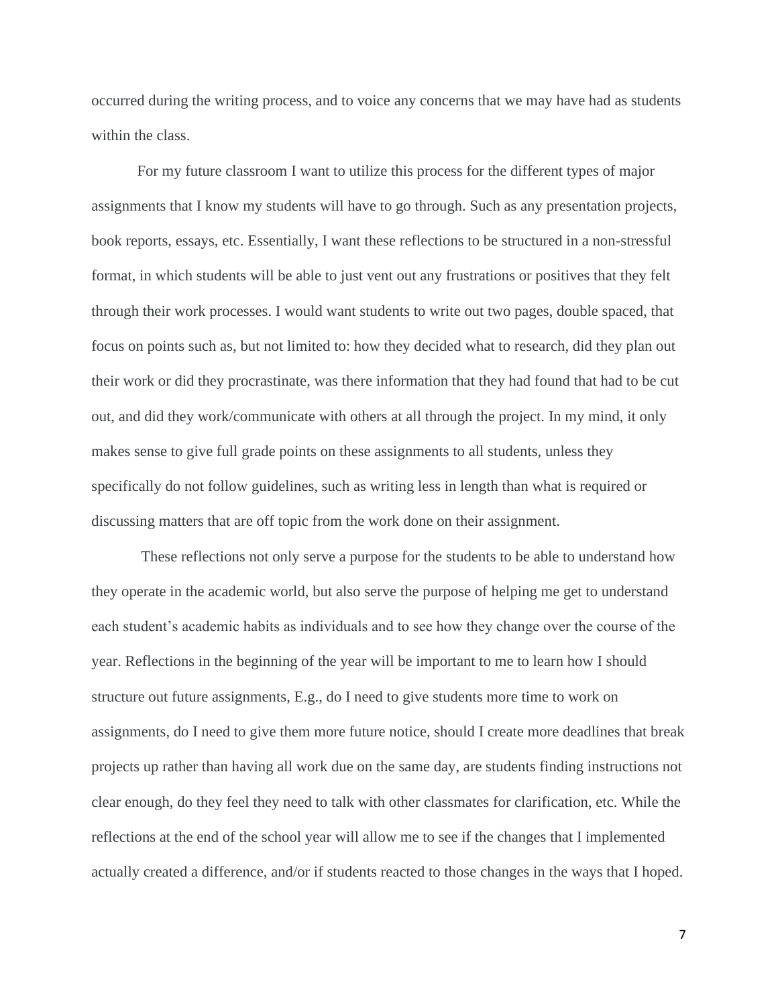occurred during the writing process, and to voice any concerns that we may have had as students within the class.

For my future classroom I want to utilize this process for the different types of major assignments that I know my students will have to go through. Such as any presentation projects, book reports, essays, etc. Essentially, I want these reflections to be structured in a non-stressful format, in which students will be able to just vent out any frustrations or positives that they felt through their work processes. I would want students to write out two pages, double spaced, that focus on points such as, but not limited to: how they decided what to research, did they plan out their work or did they procrastinate, was there information that they had found that had to be cut out, and did they work/communicate with others at all through the project. In my mind, it only makes sense to give full grade points on these assignments to all students, unless they specifically do not follow guidelines, such as writing less in length than what is required or discussing matters that are off topic from the work done on their assignment.

These reflections not only serve a purpose for the students to be able to understand how they operate in the academic world, but also serve the purpose of helping me get to understand each student's academic habits as individuals and to see how they change over the course of the year. Reflections in the beginning of the year will be important to me to learn how I should structure out future assignments, E.g., do I need to give students more time to work on assignments, do I need to give them more future notice, should I create more deadlines that break projects up rather than having all work due on the same day, are students finding instructions not clear enough, do they feel they need to talk with other classmates for clarification, etc. While the reflections at the end of the school year will allow me to see if the changes that I implemented actually created a difference, and/or if students reacted to those changes in the ways that I hoped.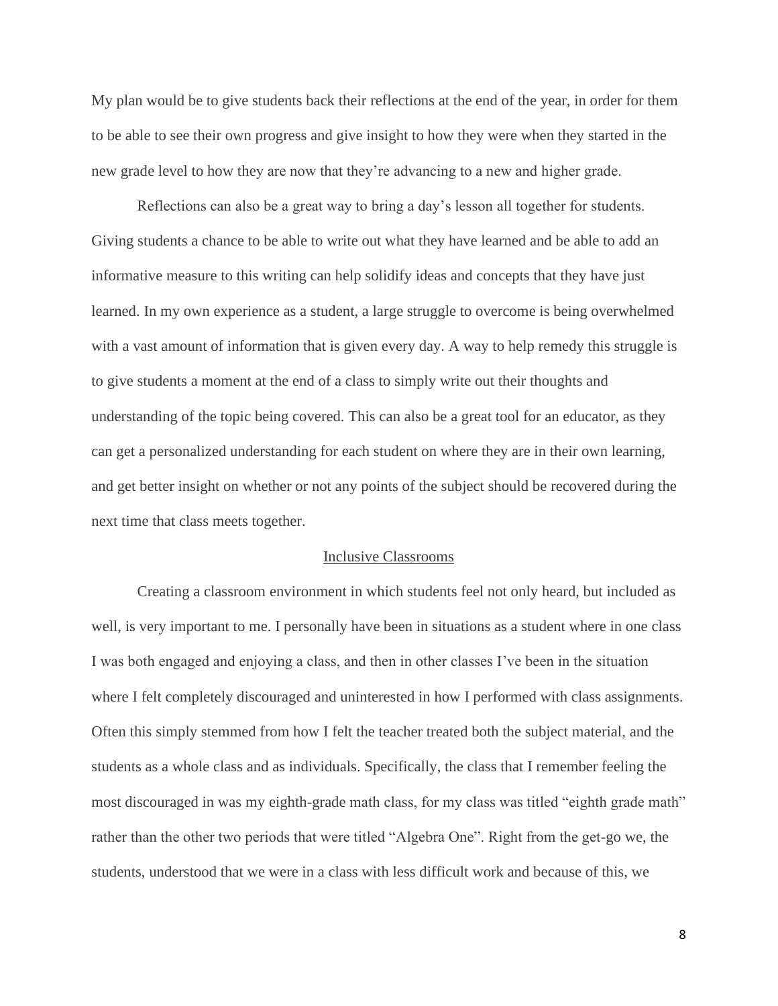My plan would be to give students back their reflections at the end of the year, in order for them to be able to see their own progress and give insight to how they were when they started in the new grade level to how they are now that they're advancing to a new and higher grade.

Reflections can also be a great way to bring a day's lesson all together for students. Giving students a chance to be able to write out what they have learned and be able to add an informative measure to this writing can help solidify ideas and concepts that they have just learned. In my own experience as a student, a large struggle to overcome is being overwhelmed with a vast amount of information that is given every day. A way to help remedy this struggle is to give students a moment at the end of a class to simply write out their thoughts and understanding of the topic being covered. This can also be a great tool for an educator, as they can get a personalized understanding for each student on where they are in their own learning, and get better insight on whether or not any points of the subject should be recovered during the next time that class meets together.

#### Inclusive Classrooms

Creating a classroom environment in which students feel not only heard, but included as well, is very important to me. I personally have been in situations as a student where in one class I was both engaged and enjoying a class, and then in other classes I've been in the situation where I felt completely discouraged and uninterested in how I performed with class assignments. Often this simply stemmed from how I felt the teacher treated both the subject material, and the students as a whole class and as individuals. Specifically, the class that I remember feeling the most discouraged in was my eighth-grade math class, for my class was titled "eighth grade math" rather than the other two periods that were titled "Algebra One". Right from the get-go we, the students, understood that we were in a class with less difficult work and because of this, we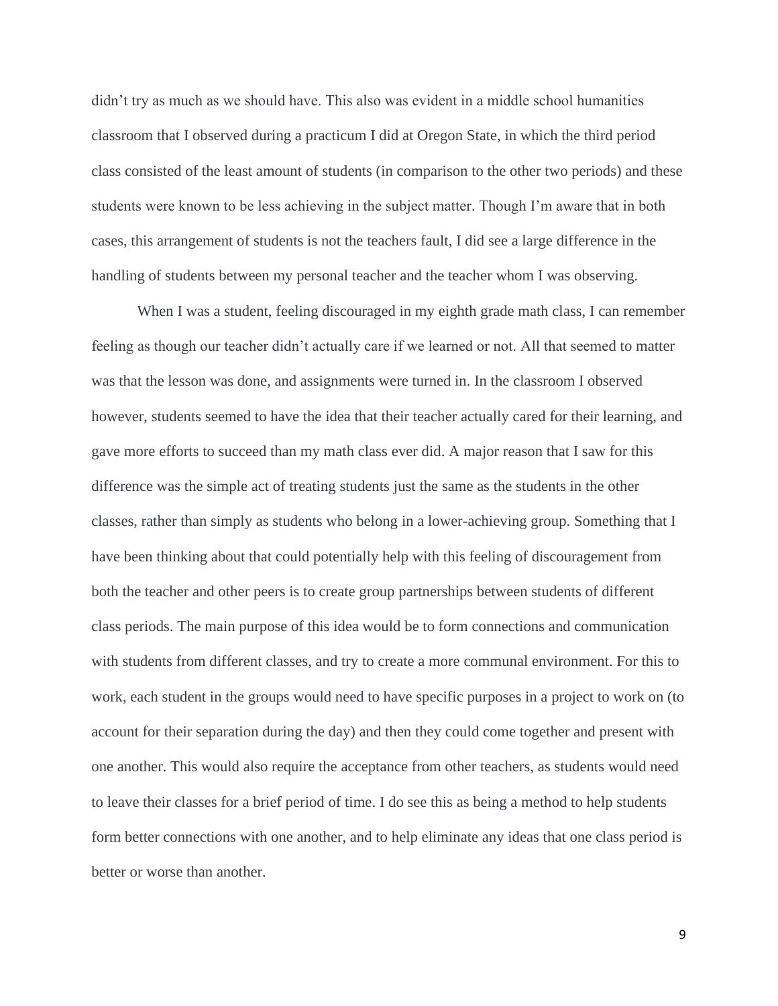didn't try as much as we should have. This also was evident in a middle school humanities classroom that I observed during a practicum I did at Oregon State, in which the third period class consisted of the least amount of students (in comparison to the other two periods) and these students were known to be less achieving in the subject matter. Though I'm aware that in both cases, this arrangement of students is not the teachers fault, I did see a large difference in the handling of students between my personal teacher and the teacher whom I was observing.

When I was a student, feeling discouraged in my eighth grade math class, I can remember feeling as though our teacher didn't actually care if we learned or not. All that seemed to matter was that the lesson was done, and assignments were turned in. In the classroom I observed however, students seemed to have the idea that their teacher actually cared for their learning, and gave more efforts to succeed than my math class ever did. A major reason that I saw for this difference was the simple act of treating students just the same as the students in the other classes, rather than simply as students who belong in a lower-achieving group. Something that I have been thinking about that could potentially help with this feeling of discouragement from both the teacher and other peers is to create group partnerships between students of different class periods. The main purpose of this idea would be to form connections and communication with students from different classes, and try to create a more communal environment. For this to work, each student in the groups would need to have specific purposes in a project to work on (to account for their separation during the day) and then they could come together and present with one another. This would also require the acceptance from other teachers, as students would need to leave their classes for a brief period of time. I do see this as being a method to help students form better connections with one another, and to help eliminate any ideas that one class period is better or worse than another.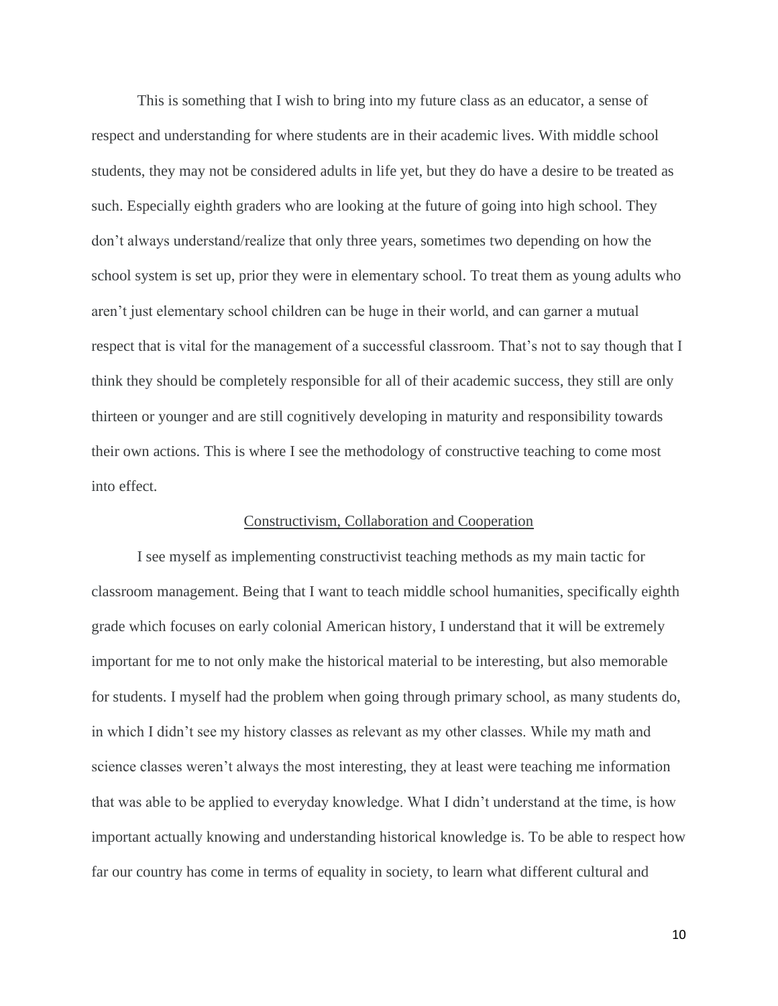This is something that I wish to bring into my future class as an educator, a sense of respect and understanding for where students are in their academic lives. With middle school students, they may not be considered adults in life yet, but they do have a desire to be treated as such. Especially eighth graders who are looking at the future of going into high school. They don't always understand/realize that only three years, sometimes two depending on how the school system is set up, prior they were in elementary school. To treat them as young adults who aren't just elementary school children can be huge in their world, and can garner a mutual respect that is vital for the management of a successful classroom. That's not to say though that I think they should be completely responsible for all of their academic success, they still are only thirteen or younger and are still cognitively developing in maturity and responsibility towards their own actions. This is where I see the methodology of constructive teaching to come most into effect.

## Constructivism, Collaboration and Cooperation

I see myself as implementing constructivist teaching methods as my main tactic for classroom management. Being that I want to teach middle school humanities, specifically eighth grade which focuses on early colonial American history, I understand that it will be extremely important for me to not only make the historical material to be interesting, but also memorable for students. I myself had the problem when going through primary school, as many students do, in which I didn't see my history classes as relevant as my other classes. While my math and science classes weren't always the most interesting, they at least were teaching me information that was able to be applied to everyday knowledge. What I didn't understand at the time, is how important actually knowing and understanding historical knowledge is. To be able to respect how far our country has come in terms of equality in society, to learn what different cultural and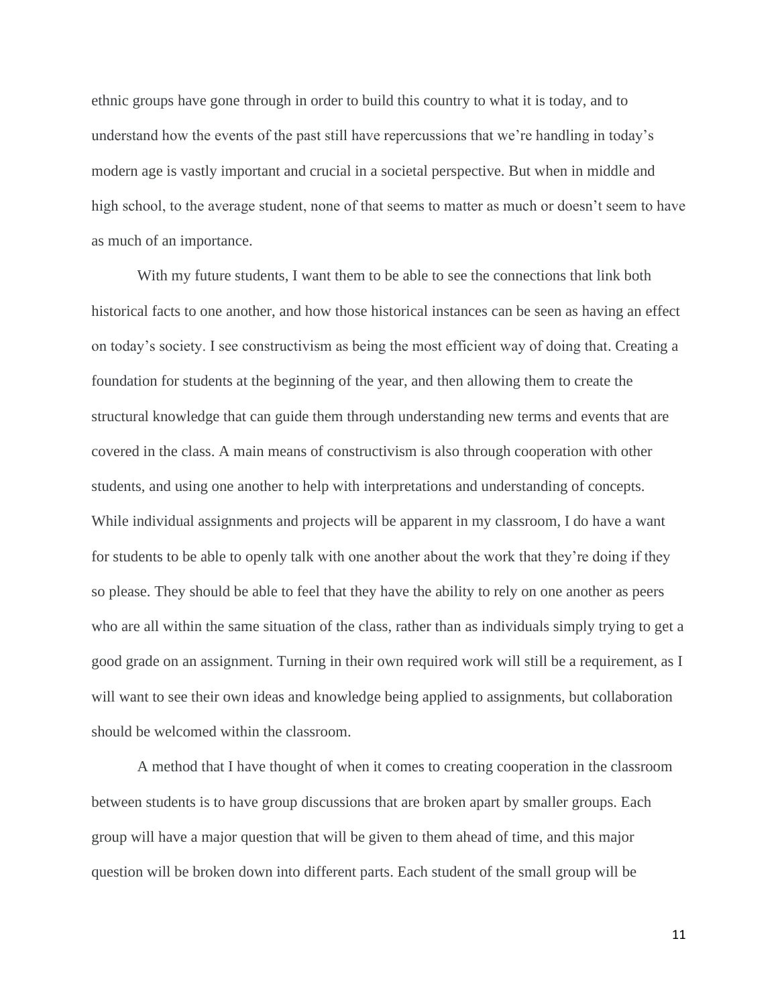ethnic groups have gone through in order to build this country to what it is today, and to understand how the events of the past still have repercussions that we're handling in today's modern age is vastly important and crucial in a societal perspective. But when in middle and high school, to the average student, none of that seems to matter as much or doesn't seem to have as much of an importance.

With my future students, I want them to be able to see the connections that link both historical facts to one another, and how those historical instances can be seen as having an effect on today's society. I see constructivism as being the most efficient way of doing that. Creating a foundation for students at the beginning of the year, and then allowing them to create the structural knowledge that can guide them through understanding new terms and events that are covered in the class. A main means of constructivism is also through cooperation with other students, and using one another to help with interpretations and understanding of concepts. While individual assignments and projects will be apparent in my classroom, I do have a want for students to be able to openly talk with one another about the work that they're doing if they so please. They should be able to feel that they have the ability to rely on one another as peers who are all within the same situation of the class, rather than as individuals simply trying to get a good grade on an assignment. Turning in their own required work will still be a requirement, as I will want to see their own ideas and knowledge being applied to assignments, but collaboration should be welcomed within the classroom.

A method that I have thought of when it comes to creating cooperation in the classroom between students is to have group discussions that are broken apart by smaller groups. Each group will have a major question that will be given to them ahead of time, and this major question will be broken down into different parts. Each student of the small group will be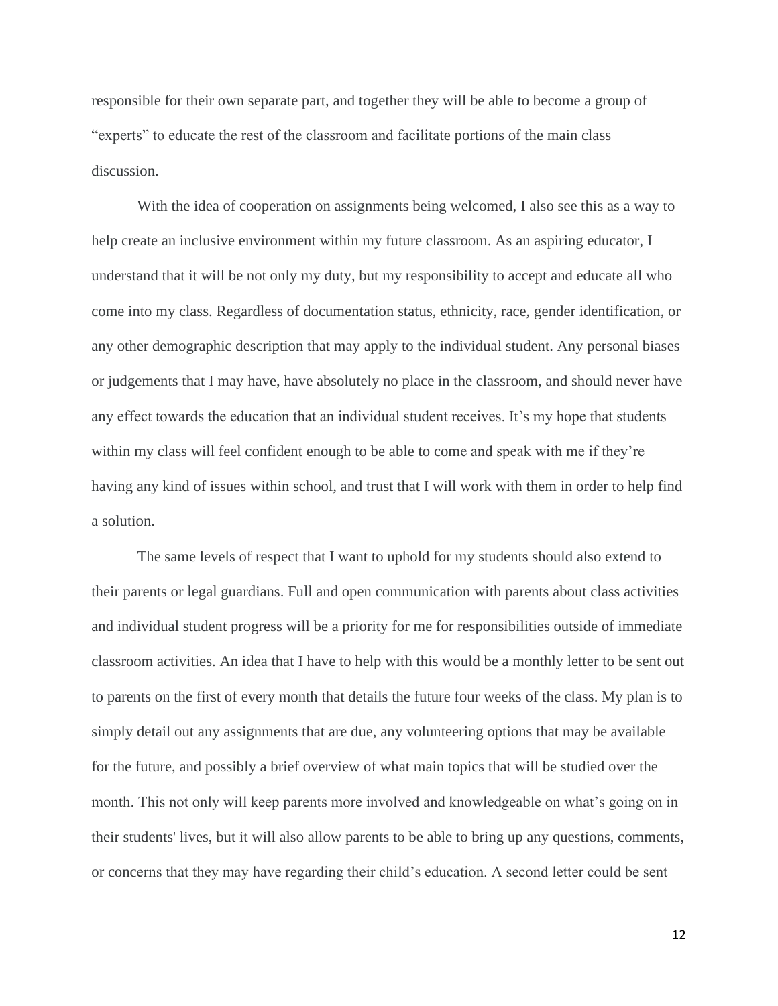responsible for their own separate part, and together they will be able to become a group of "experts" to educate the rest of the classroom and facilitate portions of the main class discussion.

With the idea of cooperation on assignments being welcomed, I also see this as a way to help create an inclusive environment within my future classroom. As an aspiring educator, I understand that it will be not only my duty, but my responsibility to accept and educate all who come into my class. Regardless of documentation status, ethnicity, race, gender identification, or any other demographic description that may apply to the individual student. Any personal biases or judgements that I may have, have absolutely no place in the classroom, and should never have any effect towards the education that an individual student receives. It's my hope that students within my class will feel confident enough to be able to come and speak with me if they're having any kind of issues within school, and trust that I will work with them in order to help find a solution.

The same levels of respect that I want to uphold for my students should also extend to their parents or legal guardians. Full and open communication with parents about class activities and individual student progress will be a priority for me for responsibilities outside of immediate classroom activities. An idea that I have to help with this would be a monthly letter to be sent out to parents on the first of every month that details the future four weeks of the class. My plan is to simply detail out any assignments that are due, any volunteering options that may be available for the future, and possibly a brief overview of what main topics that will be studied over the month. This not only will keep parents more involved and knowledgeable on what's going on in their students' lives, but it will also allow parents to be able to bring up any questions, comments, or concerns that they may have regarding their child's education. A second letter could be sent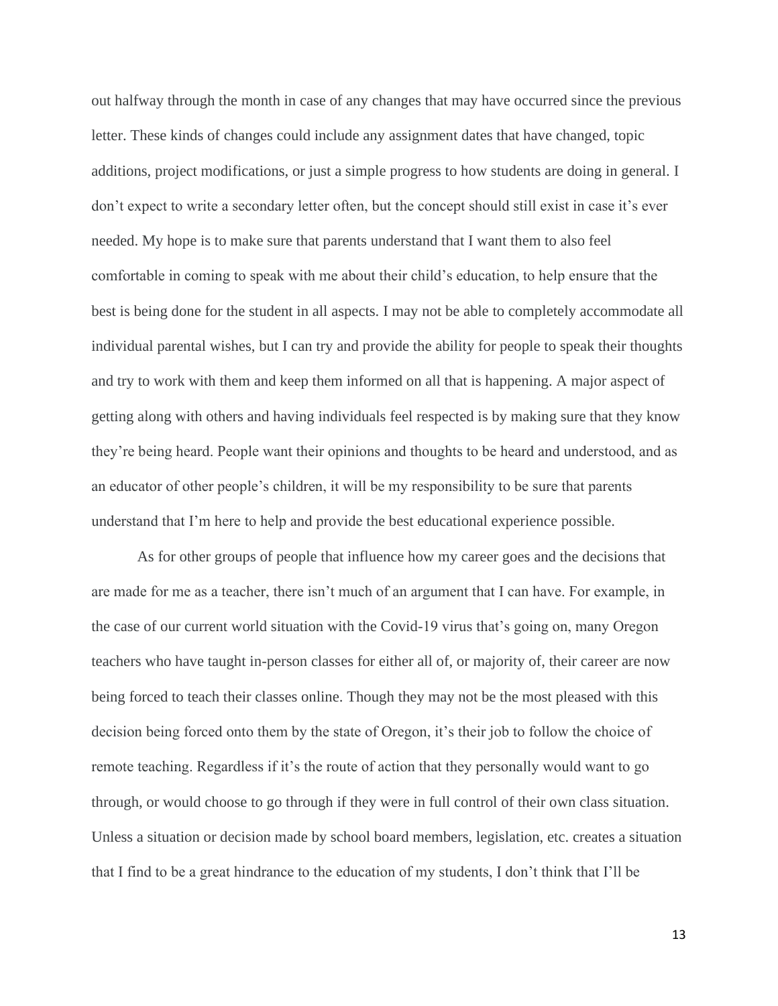out halfway through the month in case of any changes that may have occurred since the previous letter. These kinds of changes could include any assignment dates that have changed, topic additions, project modifications, or just a simple progress to how students are doing in general. I don't expect to write a secondary letter often, but the concept should still exist in case it's ever needed. My hope is to make sure that parents understand that I want them to also feel comfortable in coming to speak with me about their child's education, to help ensure that the best is being done for the student in all aspects. I may not be able to completely accommodate all individual parental wishes, but I can try and provide the ability for people to speak their thoughts and try to work with them and keep them informed on all that is happening. A major aspect of getting along with others and having individuals feel respected is by making sure that they know they're being heard. People want their opinions and thoughts to be heard and understood, and as an educator of other people's children, it will be my responsibility to be sure that parents understand that I'm here to help and provide the best educational experience possible.

As for other groups of people that influence how my career goes and the decisions that are made for me as a teacher, there isn't much of an argument that I can have. For example, in the case of our current world situation with the Covid-19 virus that's going on, many Oregon teachers who have taught in-person classes for either all of, or majority of, their career are now being forced to teach their classes online. Though they may not be the most pleased with this decision being forced onto them by the state of Oregon, it's their job to follow the choice of remote teaching. Regardless if it's the route of action that they personally would want to go through, or would choose to go through if they were in full control of their own class situation. Unless a situation or decision made by school board members, legislation, etc. creates a situation that I find to be a great hindrance to the education of my students, I don't think that I'll be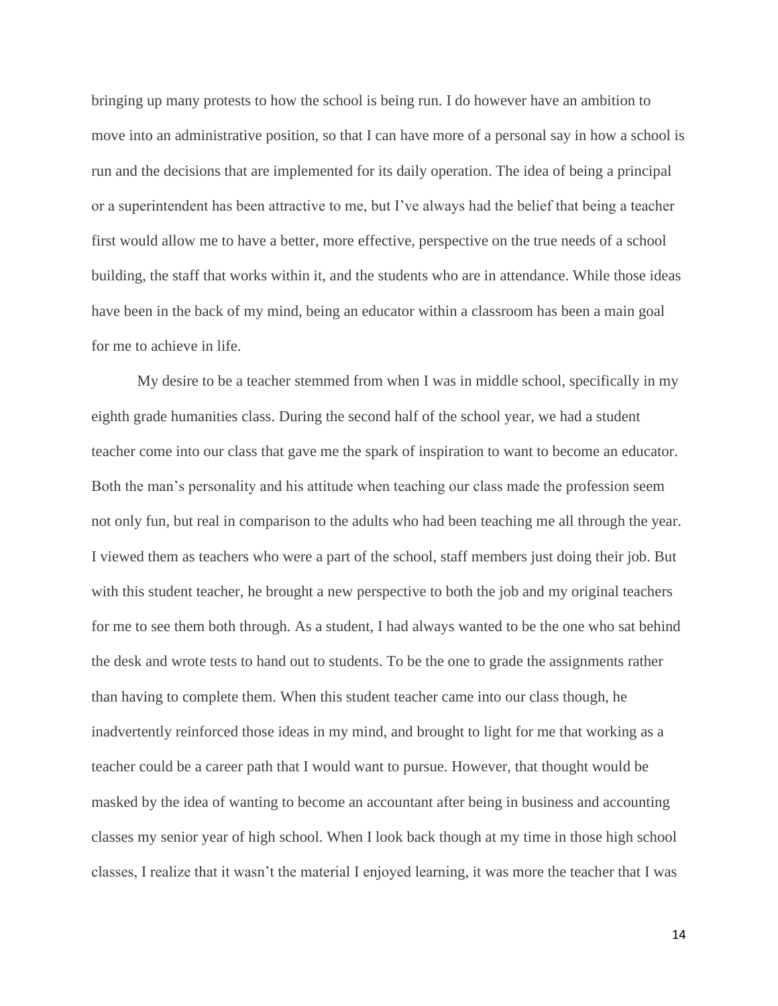bringing up many protests to how the school is being run. I do however have an ambition to move into an administrative position, so that I can have more of a personal say in how a school is run and the decisions that are implemented for its daily operation. The idea of being a principal or a superintendent has been attractive to me, but I've always had the belief that being a teacher first would allow me to have a better, more effective, perspective on the true needs of a school building, the staff that works within it, and the students who are in attendance. While those ideas have been in the back of my mind, being an educator within a classroom has been a main goal for me to achieve in life.

My desire to be a teacher stemmed from when I was in middle school, specifically in my eighth grade humanities class. During the second half of the school year, we had a student teacher come into our class that gave me the spark of inspiration to want to become an educator. Both the man's personality and his attitude when teaching our class made the profession seem not only fun, but real in comparison to the adults who had been teaching me all through the year. I viewed them as teachers who were a part of the school, staff members just doing their job. But with this student teacher, he brought a new perspective to both the job and my original teachers for me to see them both through. As a student, I had always wanted to be the one who sat behind the desk and wrote tests to hand out to students. To be the one to grade the assignments rather than having to complete them. When this student teacher came into our class though, he inadvertently reinforced those ideas in my mind, and brought to light for me that working as a teacher could be a career path that I would want to pursue. However, that thought would be masked by the idea of wanting to become an accountant after being in business and accounting classes my senior year of high school. When I look back though at my time in those high school classes, I realize that it wasn't the material I enjoyed learning, it was more the teacher that I was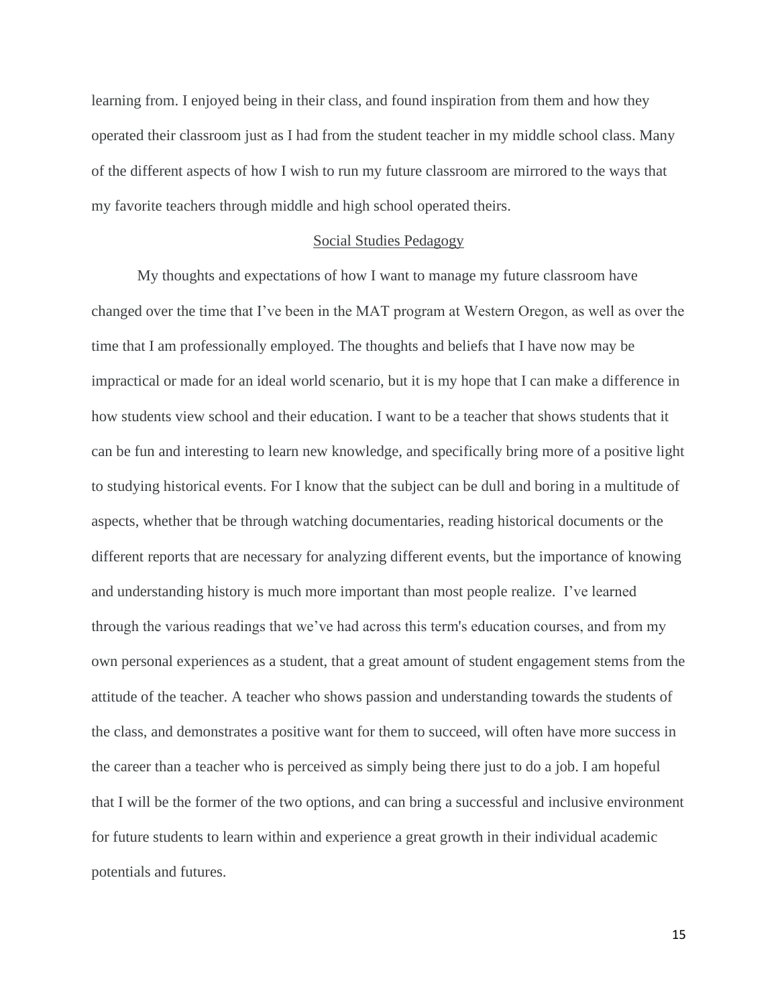learning from. I enjoyed being in their class, and found inspiration from them and how they operated their classroom just as I had from the student teacher in my middle school class. Many of the different aspects of how I wish to run my future classroom are mirrored to the ways that my favorite teachers through middle and high school operated theirs.

#### Social Studies Pedagogy

My thoughts and expectations of how I want to manage my future classroom have changed over the time that I've been in the MAT program at Western Oregon, as well as over the time that I am professionally employed. The thoughts and beliefs that I have now may be impractical or made for an ideal world scenario, but it is my hope that I can make a difference in how students view school and their education. I want to be a teacher that shows students that it can be fun and interesting to learn new knowledge, and specifically bring more of a positive light to studying historical events. For I know that the subject can be dull and boring in a multitude of aspects, whether that be through watching documentaries, reading historical documents or the different reports that are necessary for analyzing different events, but the importance of knowing and understanding history is much more important than most people realize. I've learned through the various readings that we've had across this term's education courses, and from my own personal experiences as a student, that a great amount of student engagement stems from the attitude of the teacher. A teacher who shows passion and understanding towards the students of the class, and demonstrates a positive want for them to succeed, will often have more success in the career than a teacher who is perceived as simply being there just to do a job. I am hopeful that I will be the former of the two options, and can bring a successful and inclusive environment for future students to learn within and experience a great growth in their individual academic potentials and futures.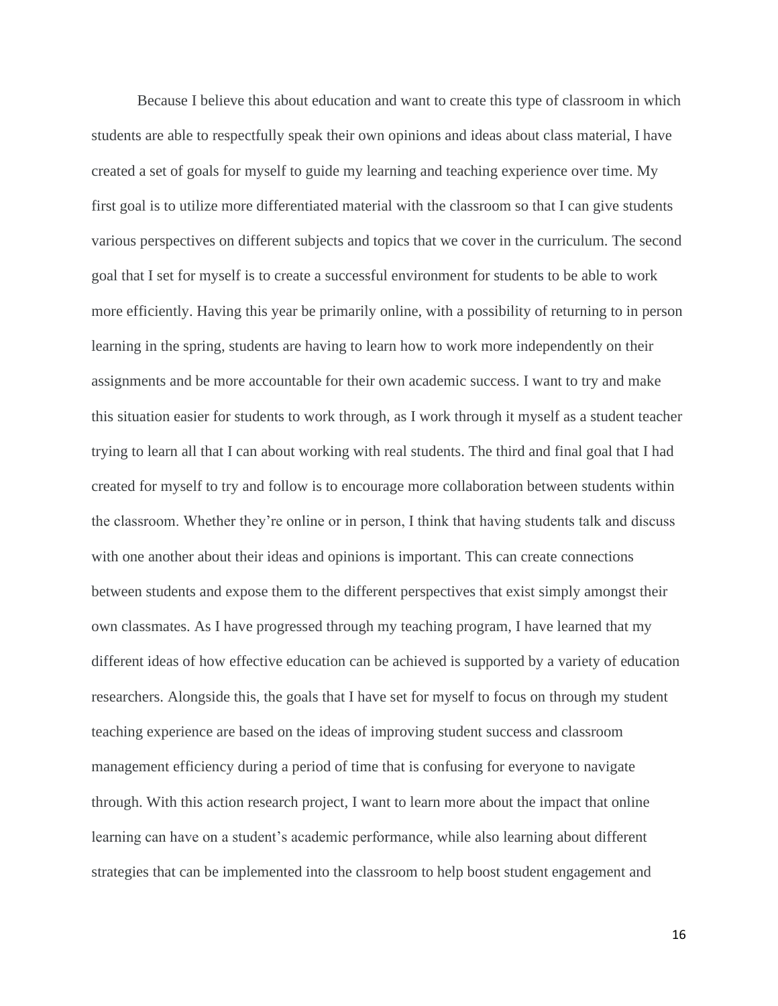Because I believe this about education and want to create this type of classroom in which students are able to respectfully speak their own opinions and ideas about class material, I have created a set of goals for myself to guide my learning and teaching experience over time. My first goal is to utilize more differentiated material with the classroom so that I can give students various perspectives on different subjects and topics that we cover in the curriculum. The second goal that I set for myself is to create a successful environment for students to be able to work more efficiently. Having this year be primarily online, with a possibility of returning to in person learning in the spring, students are having to learn how to work more independently on their assignments and be more accountable for their own academic success. I want to try and make this situation easier for students to work through, as I work through it myself as a student teacher trying to learn all that I can about working with real students. The third and final goal that I had created for myself to try and follow is to encourage more collaboration between students within the classroom. Whether they're online or in person, I think that having students talk and discuss with one another about their ideas and opinions is important. This can create connections between students and expose them to the different perspectives that exist simply amongst their own classmates. As I have progressed through my teaching program, I have learned that my different ideas of how effective education can be achieved is supported by a variety of education researchers. Alongside this, the goals that I have set for myself to focus on through my student teaching experience are based on the ideas of improving student success and classroom management efficiency during a period of time that is confusing for everyone to navigate through. With this action research project, I want to learn more about the impact that online learning can have on a student's academic performance, while also learning about different strategies that can be implemented into the classroom to help boost student engagement and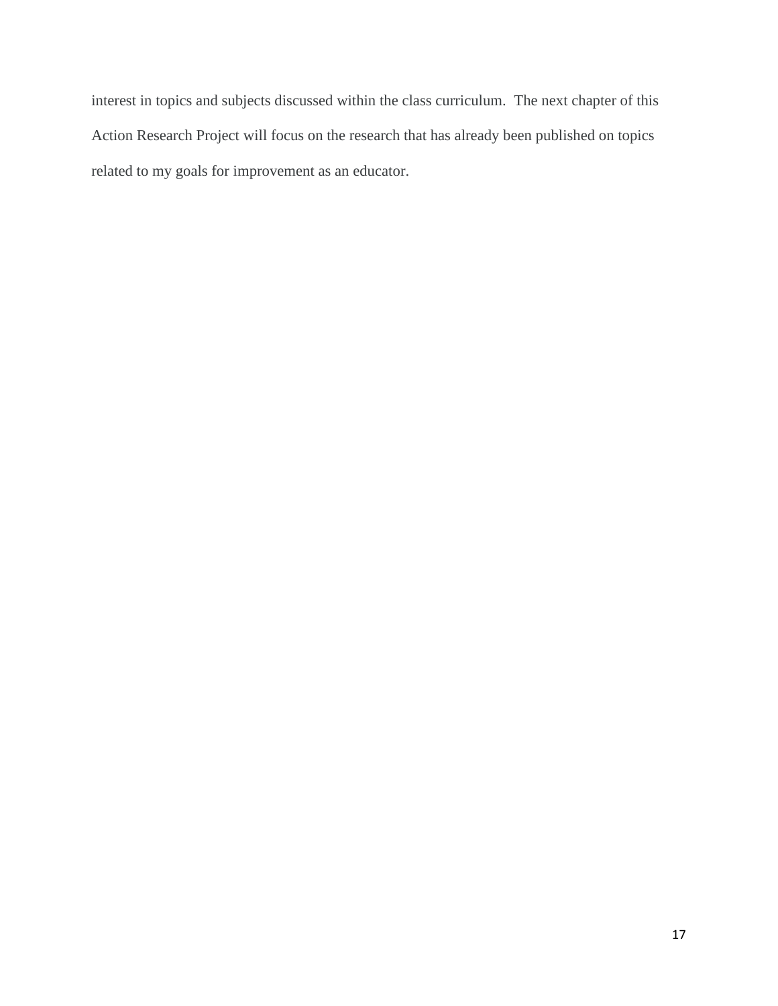interest in topics and subjects discussed within the class curriculum. The next chapter of this Action Research Project will focus on the research that has already been published on topics related to my goals for improvement as an educator.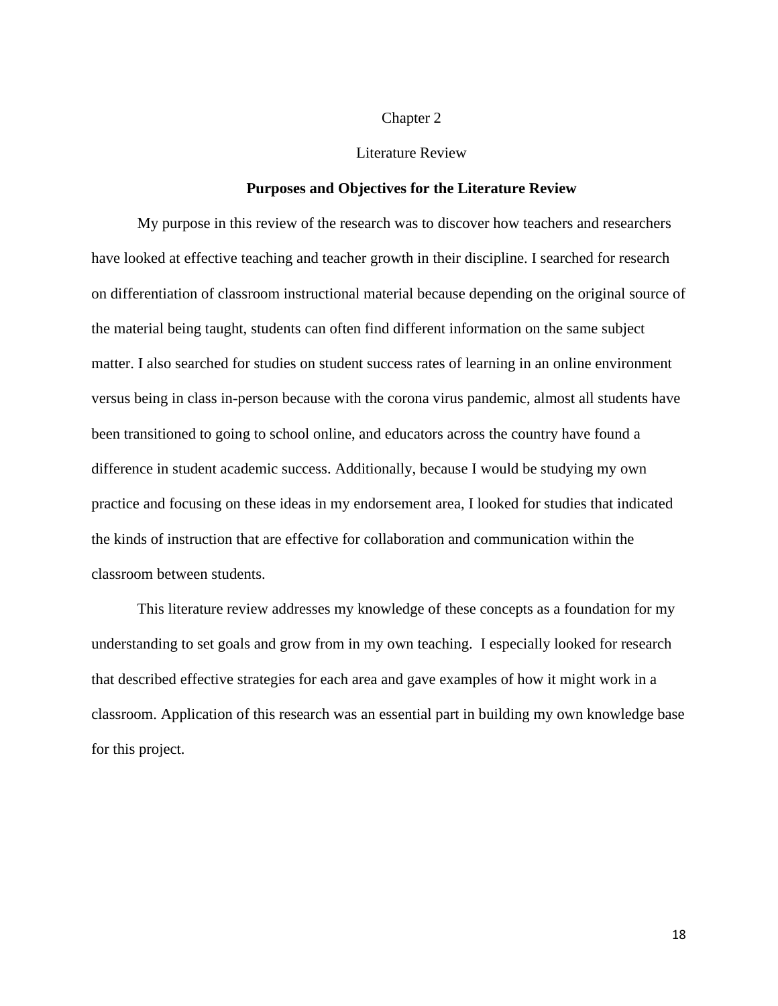## Chapter 2

## Literature Review

## **Purposes and Objectives for the Literature Review**

My purpose in this review of the research was to discover how teachers and researchers have looked at effective teaching and teacher growth in their discipline. I searched for research on differentiation of classroom instructional material because depending on the original source of the material being taught, students can often find different information on the same subject matter. I also searched for studies on student success rates of learning in an online environment versus being in class in-person because with the corona virus pandemic, almost all students have been transitioned to going to school online, and educators across the country have found a difference in student academic success. Additionally, because I would be studying my own practice and focusing on these ideas in my endorsement area, I looked for studies that indicated the kinds of instruction that are effective for collaboration and communication within the classroom between students.

This literature review addresses my knowledge of these concepts as a foundation for my understanding to set goals and grow from in my own teaching. I especially looked for research that described effective strategies for each area and gave examples of how it might work in a classroom. Application of this research was an essential part in building my own knowledge base for this project.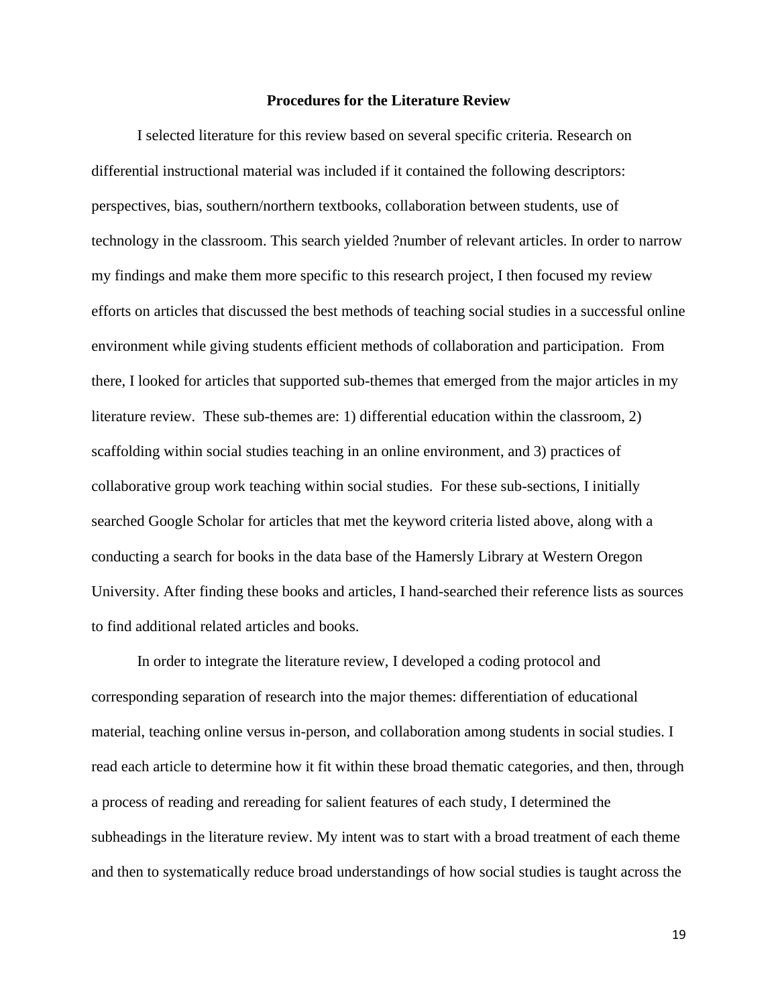### **Procedures for the Literature Review**

I selected literature for this review based on several specific criteria. Research on differential instructional material was included if it contained the following descriptors: perspectives, bias, southern/northern textbooks, collaboration between students, use of technology in the classroom. This search yielded ?number of relevant articles. In order to narrow my findings and make them more specific to this research project, I then focused my review efforts on articles that discussed the best methods of teaching social studies in a successful online environment while giving students efficient methods of collaboration and participation. From there, I looked for articles that supported sub-themes that emerged from the major articles in my literature review. These sub-themes are: 1) differential education within the classroom, 2) scaffolding within social studies teaching in an online environment, and 3) practices of collaborative group work teaching within social studies. For these sub-sections, I initially searched Google Scholar for articles that met the keyword criteria listed above, along with a conducting a search for books in the data base of the Hamersly Library at Western Oregon University. After finding these books and articles, I hand-searched their reference lists as sources to find additional related articles and books.

In order to integrate the literature review, I developed a coding protocol and corresponding separation of research into the major themes: differentiation of educational material, teaching online versus in-person, and collaboration among students in social studies. I read each article to determine how it fit within these broad thematic categories, and then, through a process of reading and rereading for salient features of each study, I determined the subheadings in the literature review. My intent was to start with a broad treatment of each theme and then to systematically reduce broad understandings of how social studies is taught across the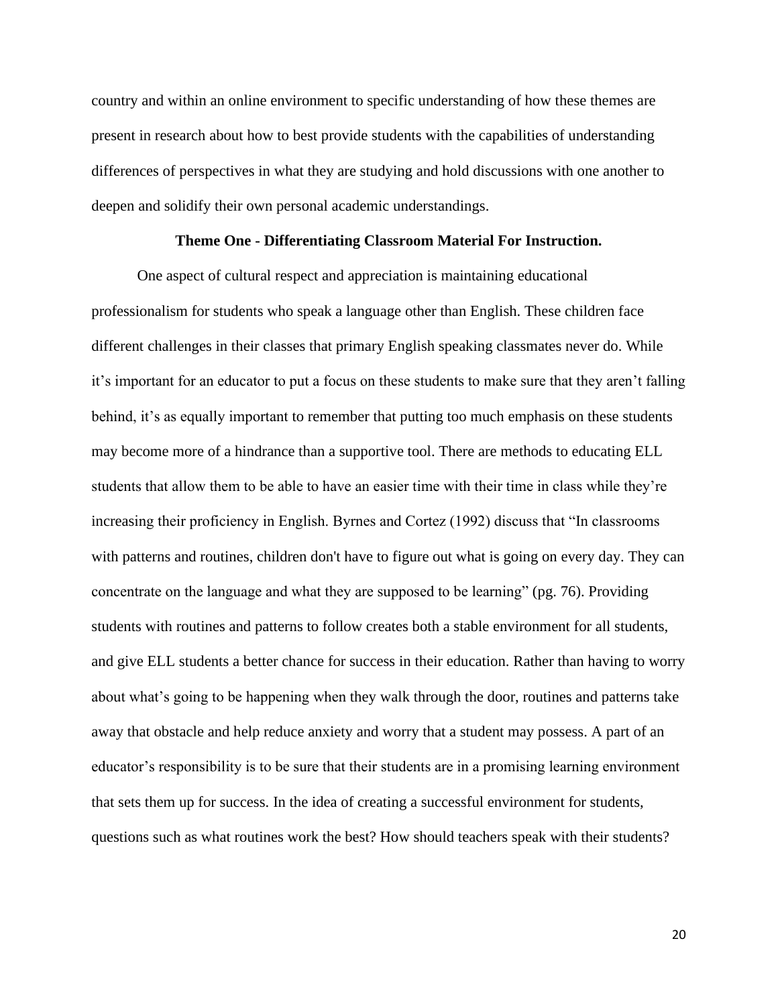country and within an online environment to specific understanding of how these themes are present in research about how to best provide students with the capabilities of understanding differences of perspectives in what they are studying and hold discussions with one another to deepen and solidify their own personal academic understandings.

#### **Theme One - Differentiating Classroom Material For Instruction.**

One aspect of cultural respect and appreciation is maintaining educational professionalism for students who speak a language other than English. These children face different challenges in their classes that primary English speaking classmates never do. While it's important for an educator to put a focus on these students to make sure that they aren't falling behind, it's as equally important to remember that putting too much emphasis on these students may become more of a hindrance than a supportive tool. There are methods to educating ELL students that allow them to be able to have an easier time with their time in class while they're increasing their proficiency in English. Byrnes and Cortez (1992) discuss that "In classrooms with patterns and routines, children don't have to figure out what is going on every day. They can concentrate on the language and what they are supposed to be learning" (pg. 76). Providing students with routines and patterns to follow creates both a stable environment for all students, and give ELL students a better chance for success in their education. Rather than having to worry about what's going to be happening when they walk through the door, routines and patterns take away that obstacle and help reduce anxiety and worry that a student may possess. A part of an educator's responsibility is to be sure that their students are in a promising learning environment that sets them up for success. In the idea of creating a successful environment for students, questions such as what routines work the best? How should teachers speak with their students?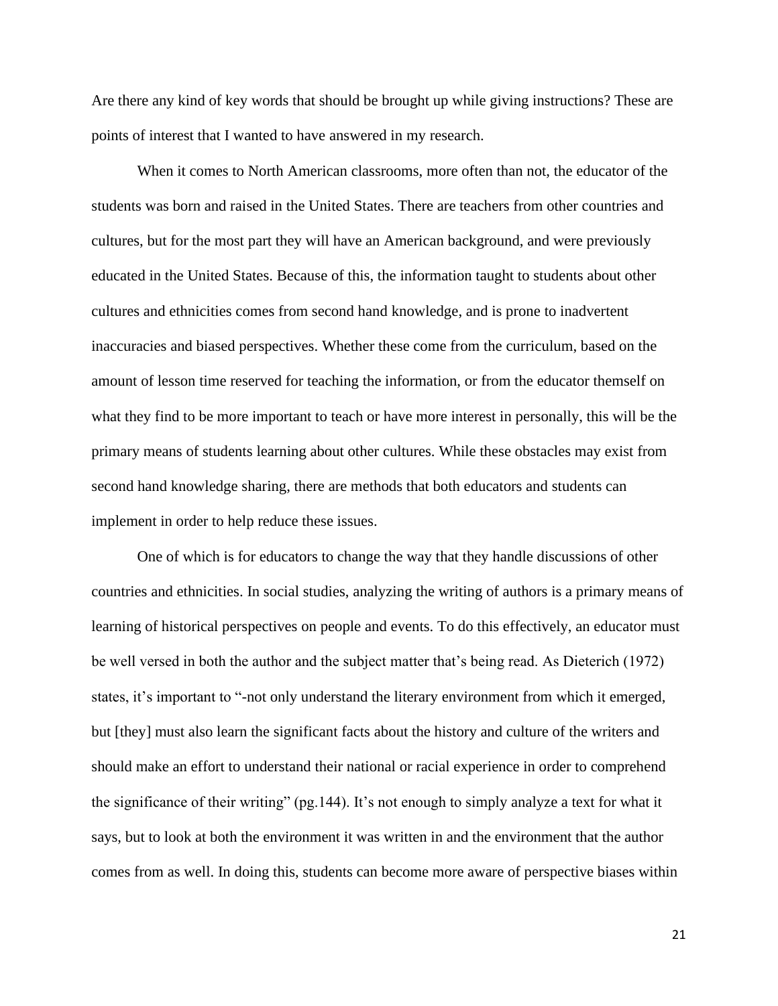Are there any kind of key words that should be brought up while giving instructions? These are points of interest that I wanted to have answered in my research.

When it comes to North American classrooms, more often than not, the educator of the students was born and raised in the United States. There are teachers from other countries and cultures, but for the most part they will have an American background, and were previously educated in the United States. Because of this, the information taught to students about other cultures and ethnicities comes from second hand knowledge, and is prone to inadvertent inaccuracies and biased perspectives. Whether these come from the curriculum, based on the amount of lesson time reserved for teaching the information, or from the educator themself on what they find to be more important to teach or have more interest in personally, this will be the primary means of students learning about other cultures. While these obstacles may exist from second hand knowledge sharing, there are methods that both educators and students can implement in order to help reduce these issues.

One of which is for educators to change the way that they handle discussions of other countries and ethnicities. In social studies, analyzing the writing of authors is a primary means of learning of historical perspectives on people and events. To do this effectively, an educator must be well versed in both the author and the subject matter that's being read. As Dieterich (1972) states, it's important to "-not only understand the literary environment from which it emerged, but [they] must also learn the significant facts about the history and culture of the writers and should make an effort to understand their national or racial experience in order to comprehend the significance of their writing" (pg.144). It's not enough to simply analyze a text for what it says, but to look at both the environment it was written in and the environment that the author comes from as well. In doing this, students can become more aware of perspective biases within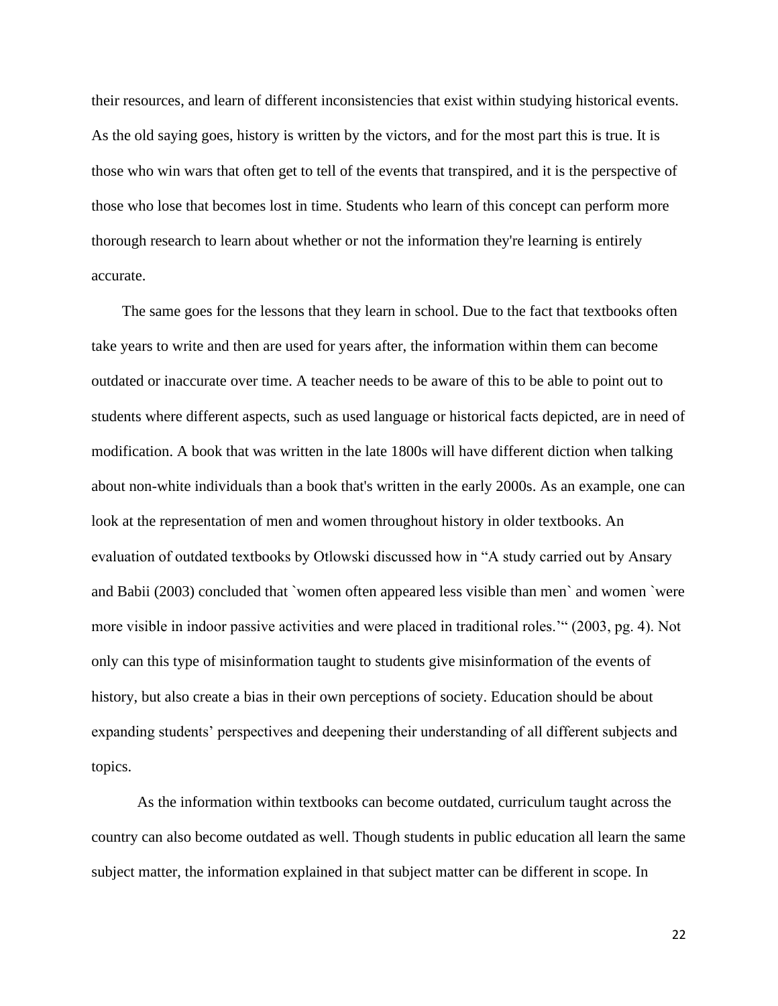their resources, and learn of different inconsistencies that exist within studying historical events. As the old saying goes, history is written by the victors, and for the most part this is true. It is those who win wars that often get to tell of the events that transpired, and it is the perspective of those who lose that becomes lost in time. Students who learn of this concept can perform more thorough research to learn about whether or not the information they're learning is entirely accurate.

 The same goes for the lessons that they learn in school. Due to the fact that textbooks often take years to write and then are used for years after, the information within them can become outdated or inaccurate over time. A teacher needs to be aware of this to be able to point out to students where different aspects, such as used language or historical facts depicted, are in need of modification. A book that was written in the late 1800s will have different diction when talking about non-white individuals than a book that's written in the early 2000s. As an example, one can look at the representation of men and women throughout history in older textbooks. An evaluation of outdated textbooks by Otlowski discussed how in "A study carried out by Ansary and Babii (2003) concluded that `women often appeared less visible than men` and women `were more visible in indoor passive activities and were placed in traditional roles.'" (2003, pg. 4). Not only can this type of misinformation taught to students give misinformation of the events of history, but also create a bias in their own perceptions of society. Education should be about expanding students' perspectives and deepening their understanding of all different subjects and topics.

As the information within textbooks can become outdated, curriculum taught across the country can also become outdated as well. Though students in public education all learn the same subject matter, the information explained in that subject matter can be different in scope. In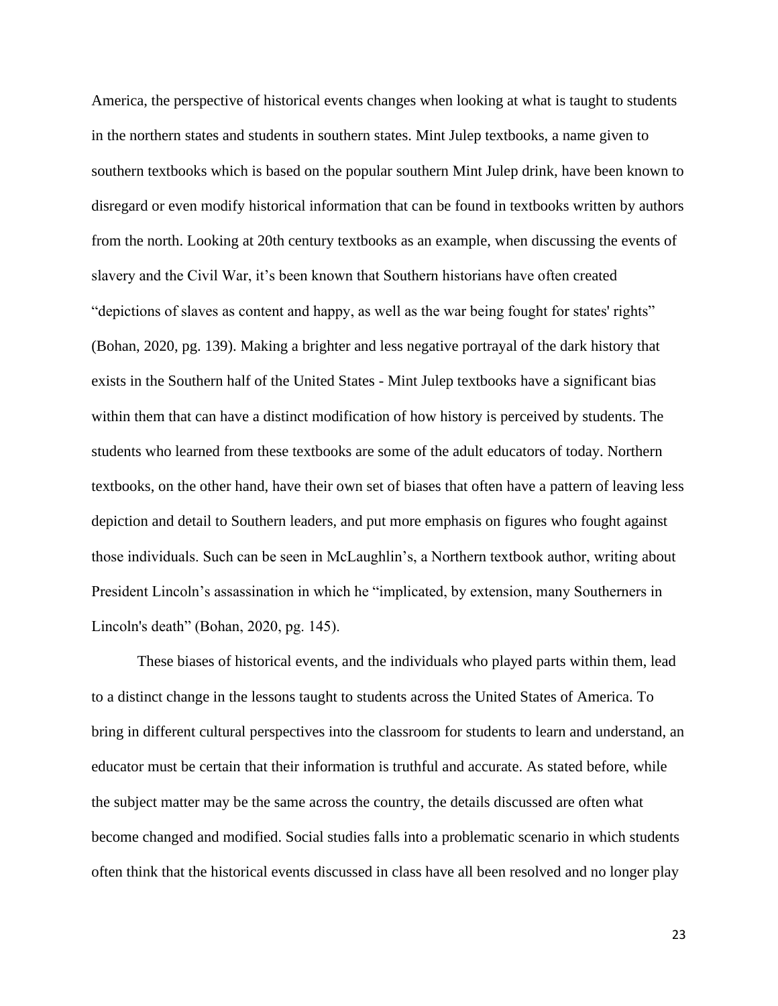America, the perspective of historical events changes when looking at what is taught to students in the northern states and students in southern states. Mint Julep textbooks, a name given to southern textbooks which is based on the popular southern Mint Julep drink, have been known to disregard or even modify historical information that can be found in textbooks written by authors from the north. Looking at 20th century textbooks as an example, when discussing the events of slavery and the Civil War, it's been known that Southern historians have often created "depictions of slaves as content and happy, as well as the war being fought for states' rights" (Bohan, 2020, pg. 139). Making a brighter and less negative portrayal of the dark history that exists in the Southern half of the United States - Mint Julep textbooks have a significant bias within them that can have a distinct modification of how history is perceived by students. The students who learned from these textbooks are some of the adult educators of today. Northern textbooks, on the other hand, have their own set of biases that often have a pattern of leaving less depiction and detail to Southern leaders, and put more emphasis on figures who fought against those individuals. Such can be seen in McLaughlin's, a Northern textbook author, writing about President Lincoln's assassination in which he "implicated, by extension, many Southerners in Lincoln's death" (Bohan, 2020, pg. 145).

These biases of historical events, and the individuals who played parts within them, lead to a distinct change in the lessons taught to students across the United States of America. To bring in different cultural perspectives into the classroom for students to learn and understand, an educator must be certain that their information is truthful and accurate. As stated before, while the subject matter may be the same across the country, the details discussed are often what become changed and modified. Social studies falls into a problematic scenario in which students often think that the historical events discussed in class have all been resolved and no longer play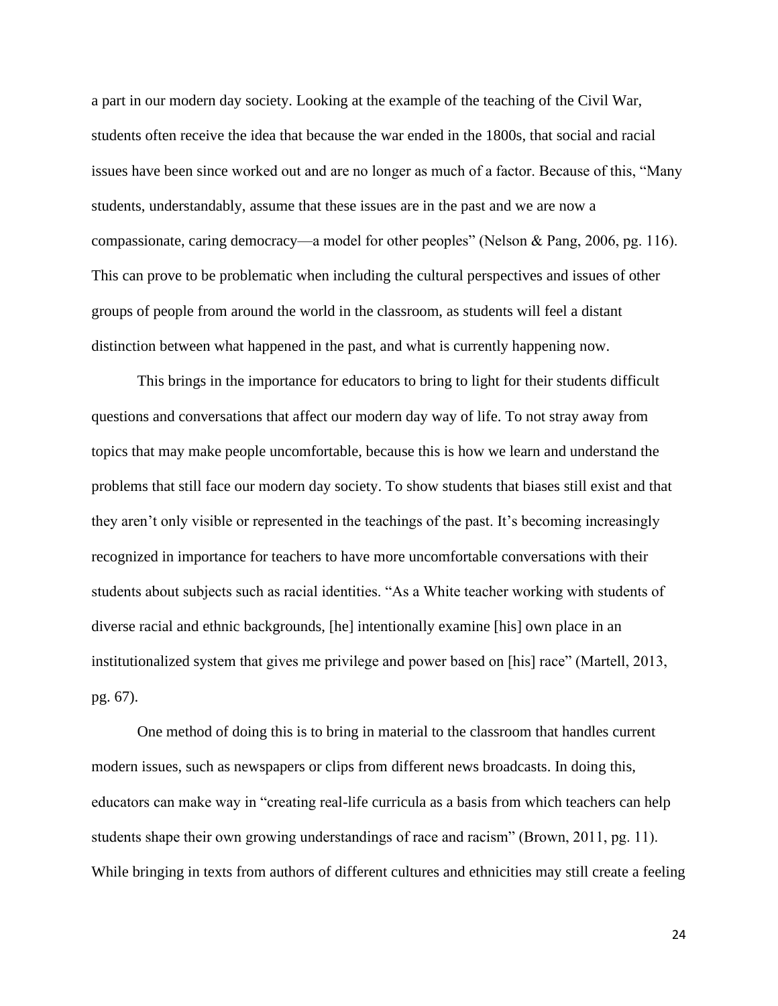a part in our modern day society. Looking at the example of the teaching of the Civil War, students often receive the idea that because the war ended in the 1800s, that social and racial issues have been since worked out and are no longer as much of a factor. Because of this, "Many students, understandably, assume that these issues are in the past and we are now a compassionate, caring democracy—a model for other peoples" (Nelson & Pang, 2006, pg. 116). This can prove to be problematic when including the cultural perspectives and issues of other groups of people from around the world in the classroom, as students will feel a distant distinction between what happened in the past, and what is currently happening now.

This brings in the importance for educators to bring to light for their students difficult questions and conversations that affect our modern day way of life. To not stray away from topics that may make people uncomfortable, because this is how we learn and understand the problems that still face our modern day society. To show students that biases still exist and that they aren't only visible or represented in the teachings of the past. It's becoming increasingly recognized in importance for teachers to have more uncomfortable conversations with their students about subjects such as racial identities. "As a White teacher working with students of diverse racial and ethnic backgrounds, [he] intentionally examine [his] own place in an institutionalized system that gives me privilege and power based on [his] race" (Martell, 2013, pg. 67).

One method of doing this is to bring in material to the classroom that handles current modern issues, such as newspapers or clips from different news broadcasts. In doing this, educators can make way in "creating real-life curricula as a basis from which teachers can help students shape their own growing understandings of race and racism" (Brown, 2011, pg. 11). While bringing in texts from authors of different cultures and ethnicities may still create a feeling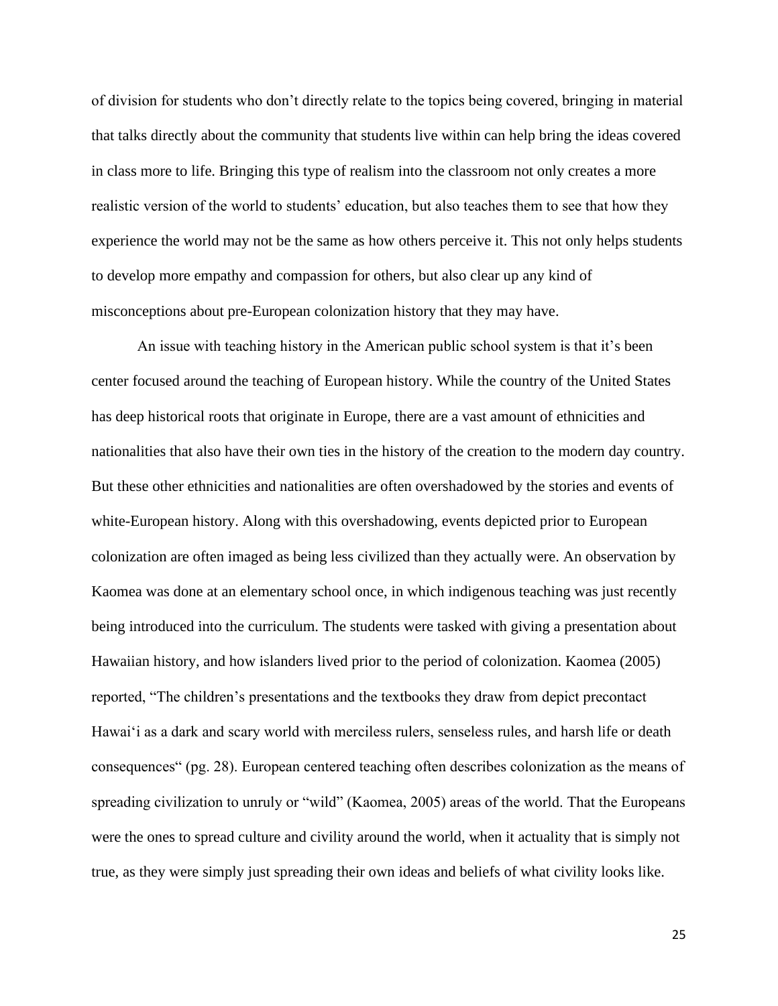of division for students who don't directly relate to the topics being covered, bringing in material that talks directly about the community that students live within can help bring the ideas covered in class more to life. Bringing this type of realism into the classroom not only creates a more realistic version of the world to students' education, but also teaches them to see that how they experience the world may not be the same as how others perceive it. This not only helps students to develop more empathy and compassion for others, but also clear up any kind of misconceptions about pre-European colonization history that they may have.

An issue with teaching history in the American public school system is that it's been center focused around the teaching of European history. While the country of the United States has deep historical roots that originate in Europe, there are a vast amount of ethnicities and nationalities that also have their own ties in the history of the creation to the modern day country. But these other ethnicities and nationalities are often overshadowed by the stories and events of white-European history. Along with this overshadowing, events depicted prior to European colonization are often imaged as being less civilized than they actually were. An observation by Kaomea was done at an elementary school once, in which indigenous teaching was just recently being introduced into the curriculum. The students were tasked with giving a presentation about Hawaiian history, and how islanders lived prior to the period of colonization. Kaomea (2005) reported, "The children's presentations and the textbooks they draw from depict precontact Hawai'i as a dark and scary world with merciless rulers, senseless rules, and harsh life or death consequences" (pg. 28). European centered teaching often describes colonization as the means of spreading civilization to unruly or "wild" (Kaomea, 2005) areas of the world. That the Europeans were the ones to spread culture and civility around the world, when it actuality that is simply not true, as they were simply just spreading their own ideas and beliefs of what civility looks like.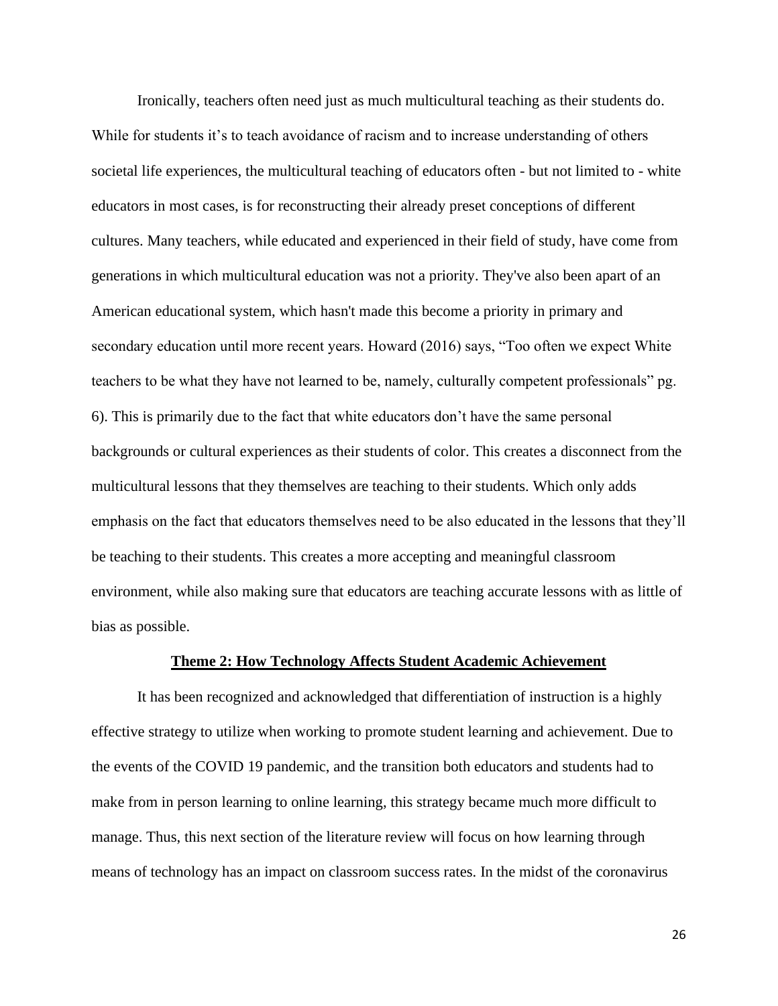Ironically, teachers often need just as much multicultural teaching as their students do. While for students it's to teach avoidance of racism and to increase understanding of others societal life experiences, the multicultural teaching of educators often - but not limited to - white educators in most cases, is for reconstructing their already preset conceptions of different cultures. Many teachers, while educated and experienced in their field of study, have come from generations in which multicultural education was not a priority. They've also been apart of an American educational system, which hasn't made this become a priority in primary and secondary education until more recent years. Howard (2016) says, "Too often we expect White teachers to be what they have not learned to be, namely, culturally competent professionals" pg. 6). This is primarily due to the fact that white educators don't have the same personal backgrounds or cultural experiences as their students of color. This creates a disconnect from the multicultural lessons that they themselves are teaching to their students. Which only adds emphasis on the fact that educators themselves need to be also educated in the lessons that they'll be teaching to their students. This creates a more accepting and meaningful classroom environment, while also making sure that educators are teaching accurate lessons with as little of bias as possible.

## **Theme 2: How Technology Affects Student Academic Achievement**

It has been recognized and acknowledged that differentiation of instruction is a highly effective strategy to utilize when working to promote student learning and achievement. Due to the events of the COVID 19 pandemic, and the transition both educators and students had to make from in person learning to online learning, this strategy became much more difficult to manage. Thus, this next section of the literature review will focus on how learning through means of technology has an impact on classroom success rates. In the midst of the coronavirus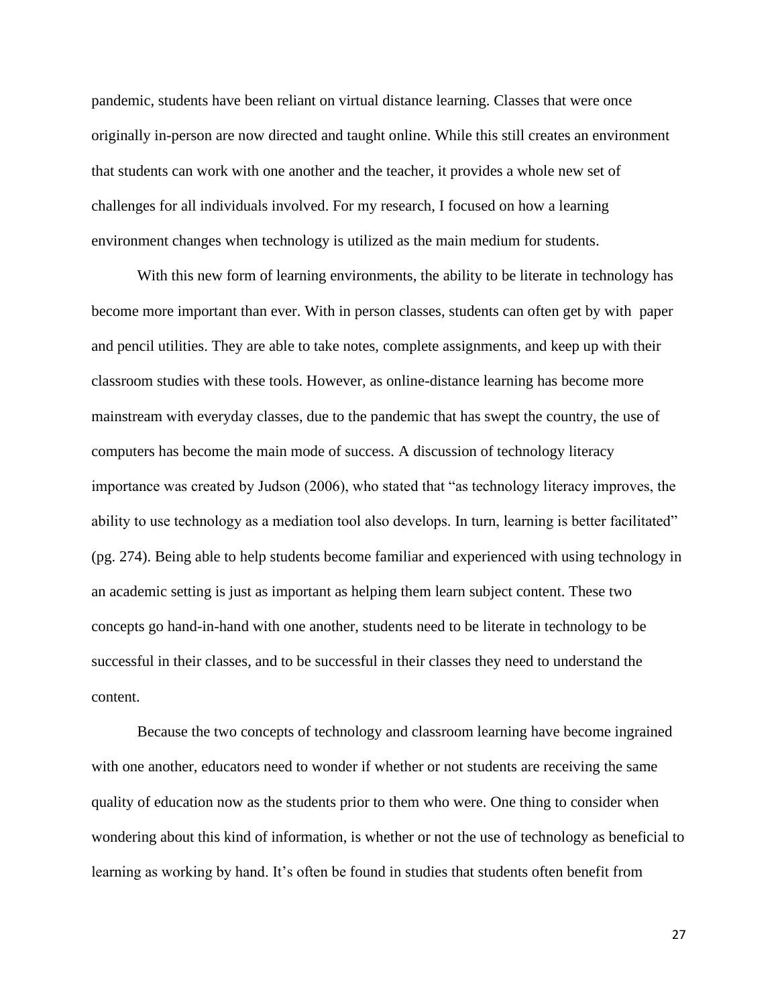pandemic, students have been reliant on virtual distance learning. Classes that were once originally in-person are now directed and taught online. While this still creates an environment that students can work with one another and the teacher, it provides a whole new set of challenges for all individuals involved. For my research, I focused on how a learning environment changes when technology is utilized as the main medium for students.

With this new form of learning environments, the ability to be literate in technology has become more important than ever. With in person classes, students can often get by with paper and pencil utilities. They are able to take notes, complete assignments, and keep up with their classroom studies with these tools. However, as online-distance learning has become more mainstream with everyday classes, due to the pandemic that has swept the country, the use of computers has become the main mode of success. A discussion of technology literacy importance was created by Judson (2006), who stated that "as technology literacy improves, the ability to use technology as a mediation tool also develops. In turn, learning is better facilitated" (pg. 274). Being able to help students become familiar and experienced with using technology in an academic setting is just as important as helping them learn subject content. These two concepts go hand-in-hand with one another, students need to be literate in technology to be successful in their classes, and to be successful in their classes they need to understand the content.

Because the two concepts of technology and classroom learning have become ingrained with one another, educators need to wonder if whether or not students are receiving the same quality of education now as the students prior to them who were. One thing to consider when wondering about this kind of information, is whether or not the use of technology as beneficial to learning as working by hand. It's often be found in studies that students often benefit from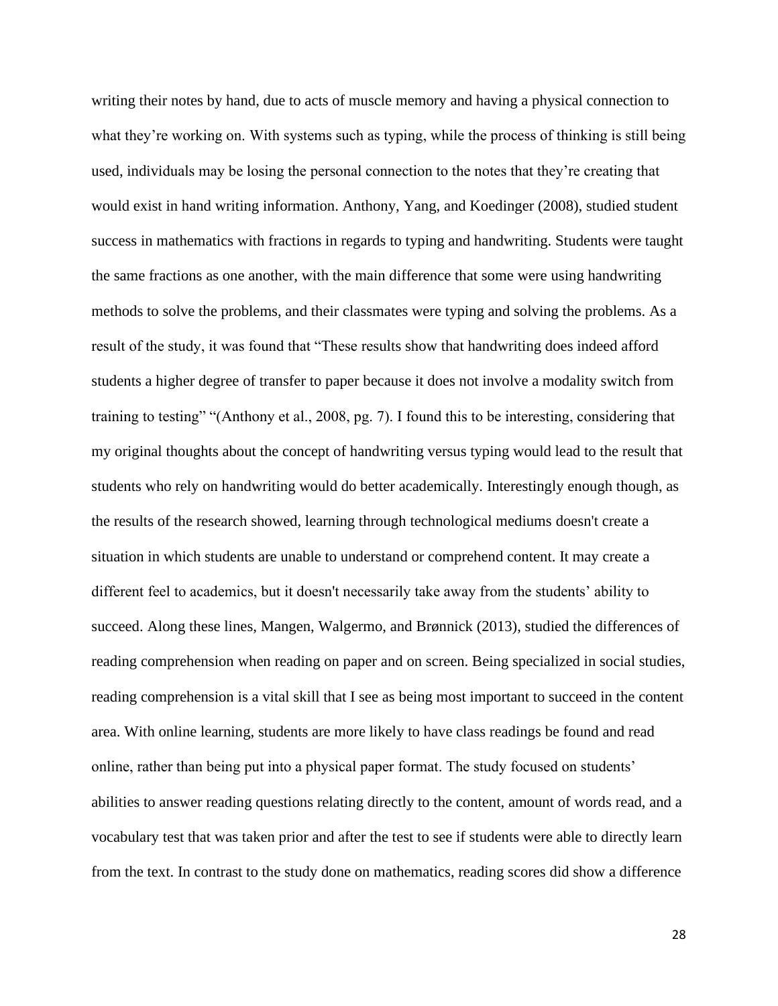writing their notes by hand, due to acts of muscle memory and having a physical connection to what they're working on. With systems such as typing, while the process of thinking is still being used, individuals may be losing the personal connection to the notes that they're creating that would exist in hand writing information. Anthony, Yang, and Koedinger (2008), studied student success in mathematics with fractions in regards to typing and handwriting. Students were taught the same fractions as one another, with the main difference that some were using handwriting methods to solve the problems, and their classmates were typing and solving the problems. As a result of the study, it was found that "These results show that handwriting does indeed afford students a higher degree of transfer to paper because it does not involve a modality switch from training to testing" "(Anthony et al., 2008, pg. 7). I found this to be interesting, considering that my original thoughts about the concept of handwriting versus typing would lead to the result that students who rely on handwriting would do better academically. Interestingly enough though, as the results of the research showed, learning through technological mediums doesn't create a situation in which students are unable to understand or comprehend content. It may create a different feel to academics, but it doesn't necessarily take away from the students' ability to succeed. Along these lines, Mangen, Walgermo, and Brønnick (2013), studied the differences of reading comprehension when reading on paper and on screen. Being specialized in social studies, reading comprehension is a vital skill that I see as being most important to succeed in the content area. With online learning, students are more likely to have class readings be found and read online, rather than being put into a physical paper format. The study focused on students' abilities to answer reading questions relating directly to the content, amount of words read, and a vocabulary test that was taken prior and after the test to see if students were able to directly learn from the text. In contrast to the study done on mathematics, reading scores did show a difference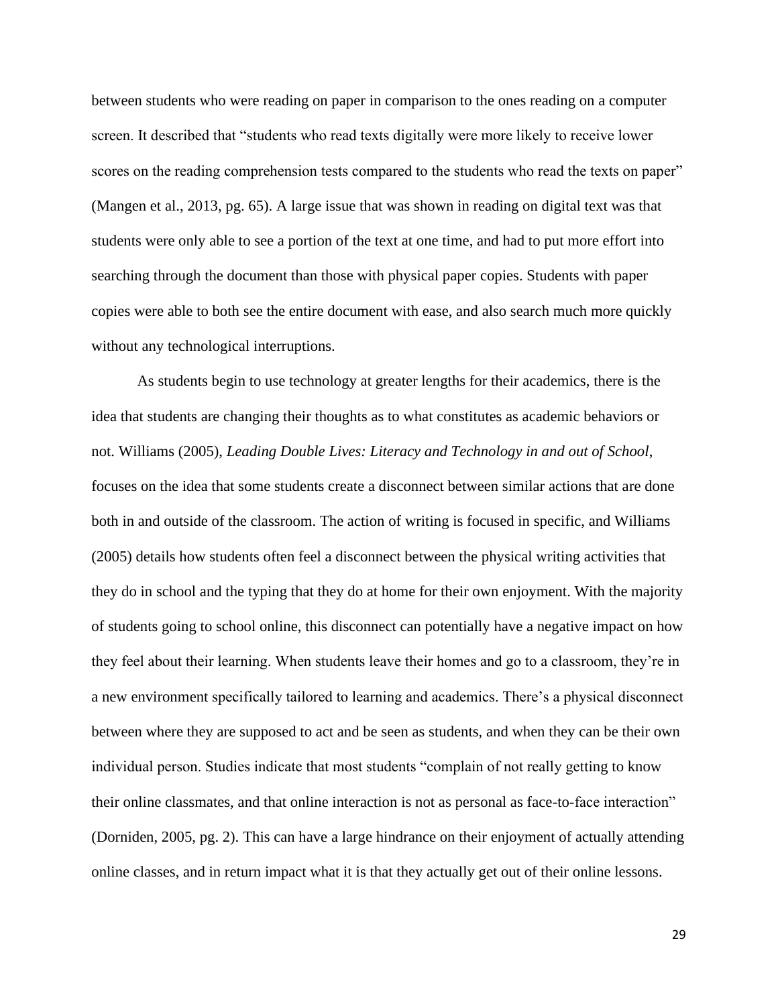between students who were reading on paper in comparison to the ones reading on a computer screen. It described that "students who read texts digitally were more likely to receive lower scores on the reading comprehension tests compared to the students who read the texts on paper" (Mangen et al., 2013, pg. 65). A large issue that was shown in reading on digital text was that students were only able to see a portion of the text at one time, and had to put more effort into searching through the document than those with physical paper copies. Students with paper copies were able to both see the entire document with ease, and also search much more quickly without any technological interruptions.

As students begin to use technology at greater lengths for their academics, there is the idea that students are changing their thoughts as to what constitutes as academic behaviors or not. Williams (2005), *Leading Double Lives: Literacy and Technology in and out of School*, focuses on the idea that some students create a disconnect between similar actions that are done both in and outside of the classroom. The action of writing is focused in specific, and Williams (2005) details how students often feel a disconnect between the physical writing activities that they do in school and the typing that they do at home for their own enjoyment. With the majority of students going to school online, this disconnect can potentially have a negative impact on how they feel about their learning. When students leave their homes and go to a classroom, they're in a new environment specifically tailored to learning and academics. There's a physical disconnect between where they are supposed to act and be seen as students, and when they can be their own individual person. Studies indicate that most students "complain of not really getting to know their online classmates, and that online interaction is not as personal as face-to-face interaction" (Dorniden, 2005, pg. 2). This can have a large hindrance on their enjoyment of actually attending online classes, and in return impact what it is that they actually get out of their online lessons.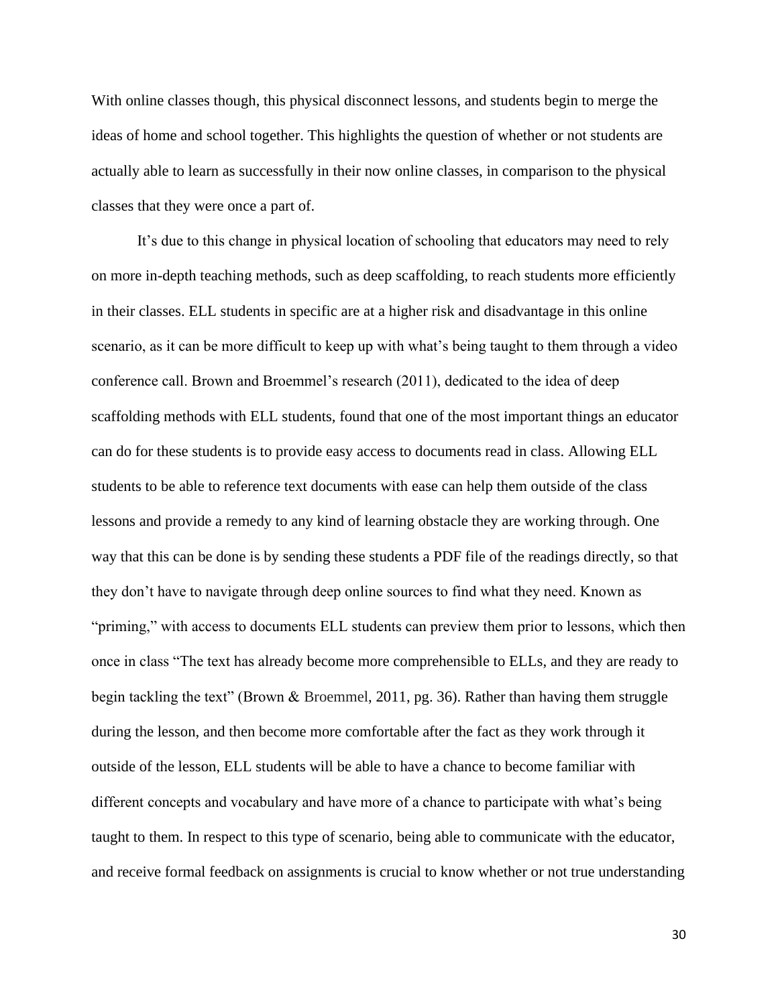With online classes though, this physical disconnect lessons, and students begin to merge the ideas of home and school together. This highlights the question of whether or not students are actually able to learn as successfully in their now online classes, in comparison to the physical classes that they were once a part of.

It's due to this change in physical location of schooling that educators may need to rely on more in-depth teaching methods, such as deep scaffolding, to reach students more efficiently in their classes. ELL students in specific are at a higher risk and disadvantage in this online scenario, as it can be more difficult to keep up with what's being taught to them through a video conference call. Brown and Broemmel's research (2011), dedicated to the idea of deep scaffolding methods with ELL students, found that one of the most important things an educator can do for these students is to provide easy access to documents read in class. Allowing ELL students to be able to reference text documents with ease can help them outside of the class lessons and provide a remedy to any kind of learning obstacle they are working through. One way that this can be done is by sending these students a PDF file of the readings directly, so that they don't have to navigate through deep online sources to find what they need. Known as "priming," with access to documents ELL students can preview them prior to lessons, which then once in class "The text has already become more comprehensible to ELLs, and they are ready to begin tackling the text" (Brown & Broemmel, 2011, pg. 36). Rather than having them struggle during the lesson, and then become more comfortable after the fact as they work through it outside of the lesson, ELL students will be able to have a chance to become familiar with different concepts and vocabulary and have more of a chance to participate with what's being taught to them. In respect to this type of scenario, being able to communicate with the educator, and receive formal feedback on assignments is crucial to know whether or not true understanding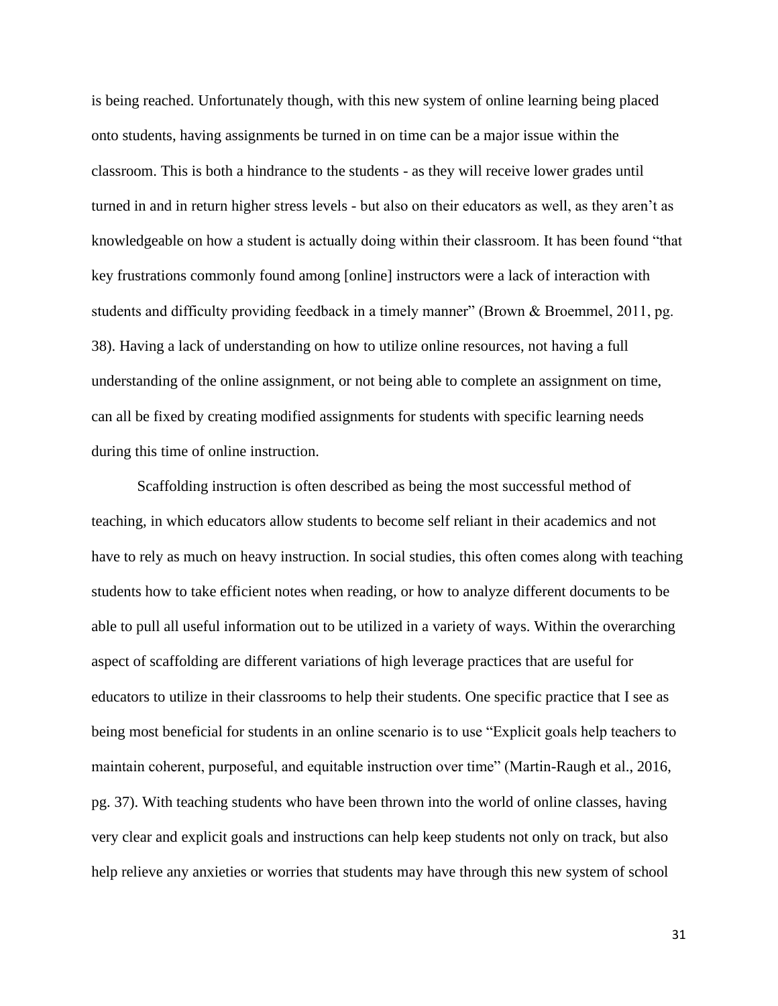is being reached. Unfortunately though, with this new system of online learning being placed onto students, having assignments be turned in on time can be a major issue within the classroom. This is both a hindrance to the students - as they will receive lower grades until turned in and in return higher stress levels - but also on their educators as well, as they aren't as knowledgeable on how a student is actually doing within their classroom. It has been found "that key frustrations commonly found among [online] instructors were a lack of interaction with students and difficulty providing feedback in a timely manner" (Brown & Broemmel, 2011, pg. 38). Having a lack of understanding on how to utilize online resources, not having a full understanding of the online assignment, or not being able to complete an assignment on time, can all be fixed by creating modified assignments for students with specific learning needs during this time of online instruction.

Scaffolding instruction is often described as being the most successful method of teaching, in which educators allow students to become self reliant in their academics and not have to rely as much on heavy instruction. In social studies, this often comes along with teaching students how to take efficient notes when reading, or how to analyze different documents to be able to pull all useful information out to be utilized in a variety of ways. Within the overarching aspect of scaffolding are different variations of high leverage practices that are useful for educators to utilize in their classrooms to help their students. One specific practice that I see as being most beneficial for students in an online scenario is to use "Explicit goals help teachers to maintain coherent, purposeful, and equitable instruction over time" (Martin-Raugh et al., 2016, pg. 37). With teaching students who have been thrown into the world of online classes, having very clear and explicit goals and instructions can help keep students not only on track, but also help relieve any anxieties or worries that students may have through this new system of school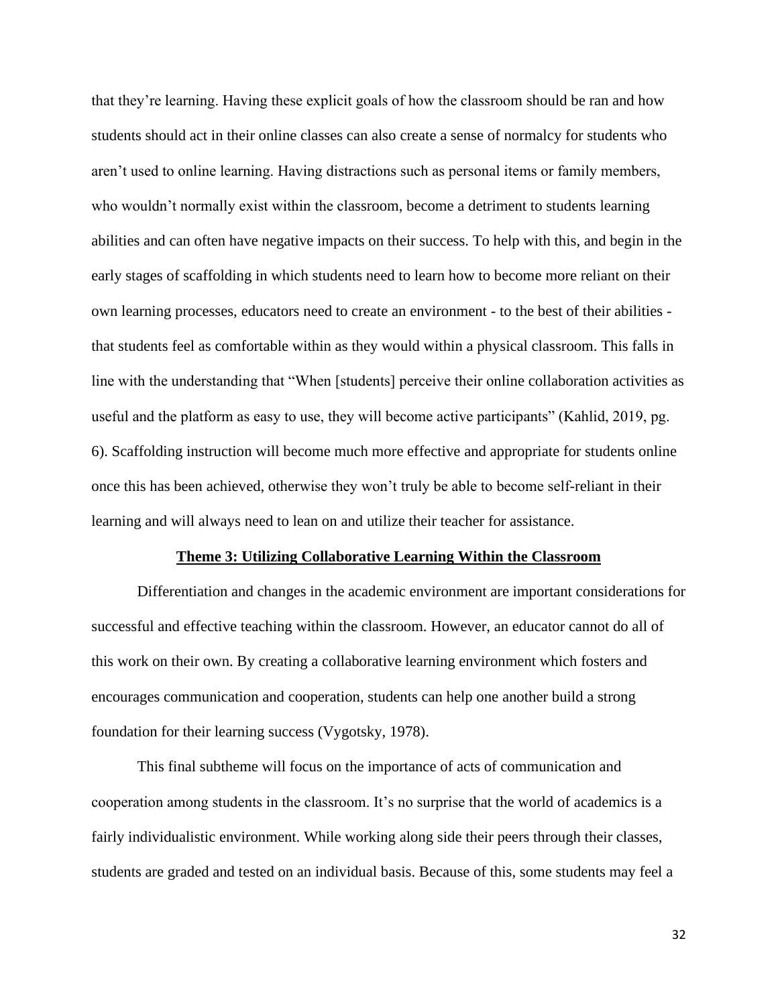that they're learning. Having these explicit goals of how the classroom should be ran and how students should act in their online classes can also create a sense of normalcy for students who aren't used to online learning. Having distractions such as personal items or family members, who wouldn't normally exist within the classroom, become a detriment to students learning abilities and can often have negative impacts on their success. To help with this, and begin in the early stages of scaffolding in which students need to learn how to become more reliant on their own learning processes, educators need to create an environment - to the best of their abilities that students feel as comfortable within as they would within a physical classroom. This falls in line with the understanding that "When [students] perceive their online collaboration activities as useful and the platform as easy to use, they will become active participants" (Kahlid, 2019, pg. 6). Scaffolding instruction will become much more effective and appropriate for students online once this has been achieved, otherwise they won't truly be able to become self-reliant in their learning and will always need to lean on and utilize their teacher for assistance.

#### **Theme 3: Utilizing Collaborative Learning Within the Classroom**

Differentiation and changes in the academic environment are important considerations for successful and effective teaching within the classroom. However, an educator cannot do all of this work on their own. By creating a collaborative learning environment which fosters and encourages communication and cooperation, students can help one another build a strong foundation for their learning success (Vygotsky, 1978).

This final subtheme will focus on the importance of acts of communication and cooperation among students in the classroom. It's no surprise that the world of academics is a fairly individualistic environment. While working along side their peers through their classes, students are graded and tested on an individual basis. Because of this, some students may feel a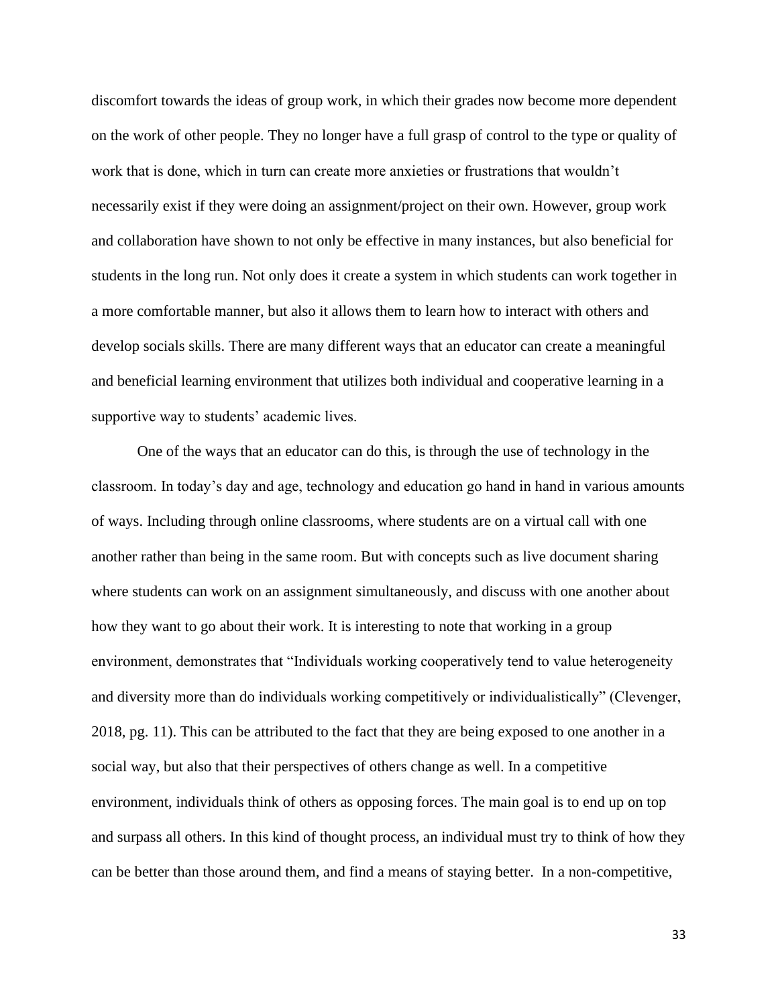discomfort towards the ideas of group work, in which their grades now become more dependent on the work of other people. They no longer have a full grasp of control to the type or quality of work that is done, which in turn can create more anxieties or frustrations that wouldn't necessarily exist if they were doing an assignment/project on their own. However, group work and collaboration have shown to not only be effective in many instances, but also beneficial for students in the long run. Not only does it create a system in which students can work together in a more comfortable manner, but also it allows them to learn how to interact with others and develop socials skills. There are many different ways that an educator can create a meaningful and beneficial learning environment that utilizes both individual and cooperative learning in a supportive way to students' academic lives.

One of the ways that an educator can do this, is through the use of technology in the classroom. In today's day and age, technology and education go hand in hand in various amounts of ways. Including through online classrooms, where students are on a virtual call with one another rather than being in the same room. But with concepts such as live document sharing where students can work on an assignment simultaneously, and discuss with one another about how they want to go about their work. It is interesting to note that working in a group environment, demonstrates that "Individuals working cooperatively tend to value heterogeneity and diversity more than do individuals working competitively or individualistically" (Clevenger, 2018, pg. 11). This can be attributed to the fact that they are being exposed to one another in a social way, but also that their perspectives of others change as well. In a competitive environment, individuals think of others as opposing forces. The main goal is to end up on top and surpass all others. In this kind of thought process, an individual must try to think of how they can be better than those around them, and find a means of staying better. In a non-competitive,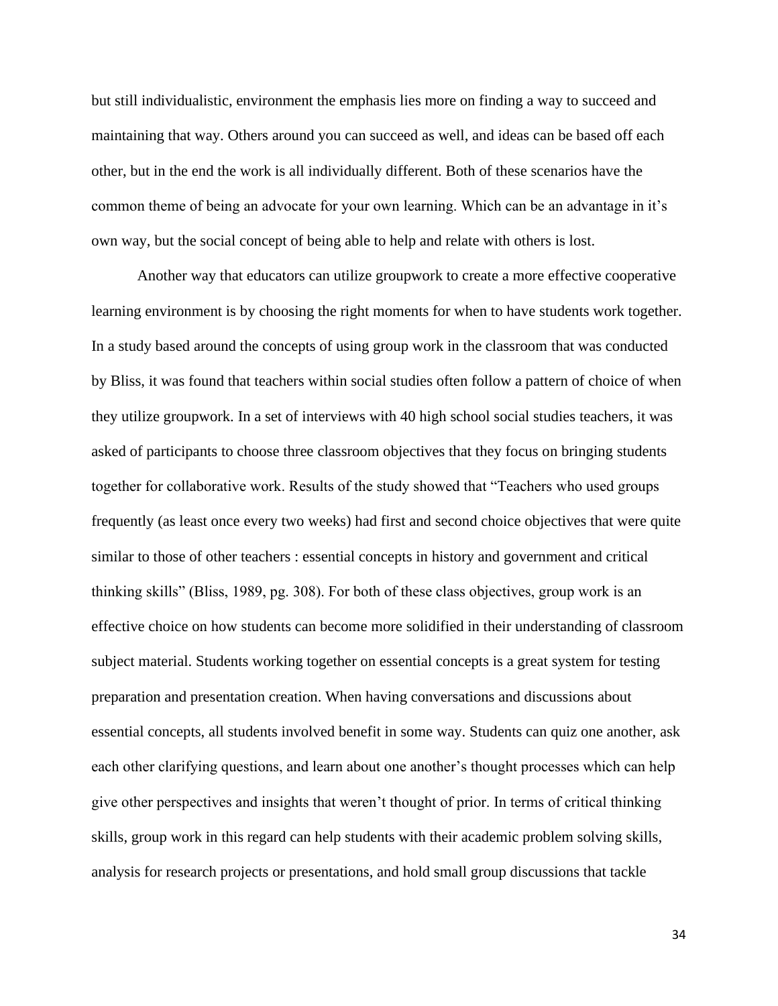but still individualistic, environment the emphasis lies more on finding a way to succeed and maintaining that way. Others around you can succeed as well, and ideas can be based off each other, but in the end the work is all individually different. Both of these scenarios have the common theme of being an advocate for your own learning. Which can be an advantage in it's own way, but the social concept of being able to help and relate with others is lost.

Another way that educators can utilize groupwork to create a more effective cooperative learning environment is by choosing the right moments for when to have students work together. In a study based around the concepts of using group work in the classroom that was conducted by Bliss, it was found that teachers within social studies often follow a pattern of choice of when they utilize groupwork. In a set of interviews with 40 high school social studies teachers, it was asked of participants to choose three classroom objectives that they focus on bringing students together for collaborative work. Results of the study showed that "Teachers who used groups frequently (as least once every two weeks) had first and second choice objectives that were quite similar to those of other teachers : essential concepts in history and government and critical thinking skills" (Bliss, 1989, pg. 308). For both of these class objectives, group work is an effective choice on how students can become more solidified in their understanding of classroom subject material. Students working together on essential concepts is a great system for testing preparation and presentation creation. When having conversations and discussions about essential concepts, all students involved benefit in some way. Students can quiz one another, ask each other clarifying questions, and learn about one another's thought processes which can help give other perspectives and insights that weren't thought of prior. In terms of critical thinking skills, group work in this regard can help students with their academic problem solving skills, analysis for research projects or presentations, and hold small group discussions that tackle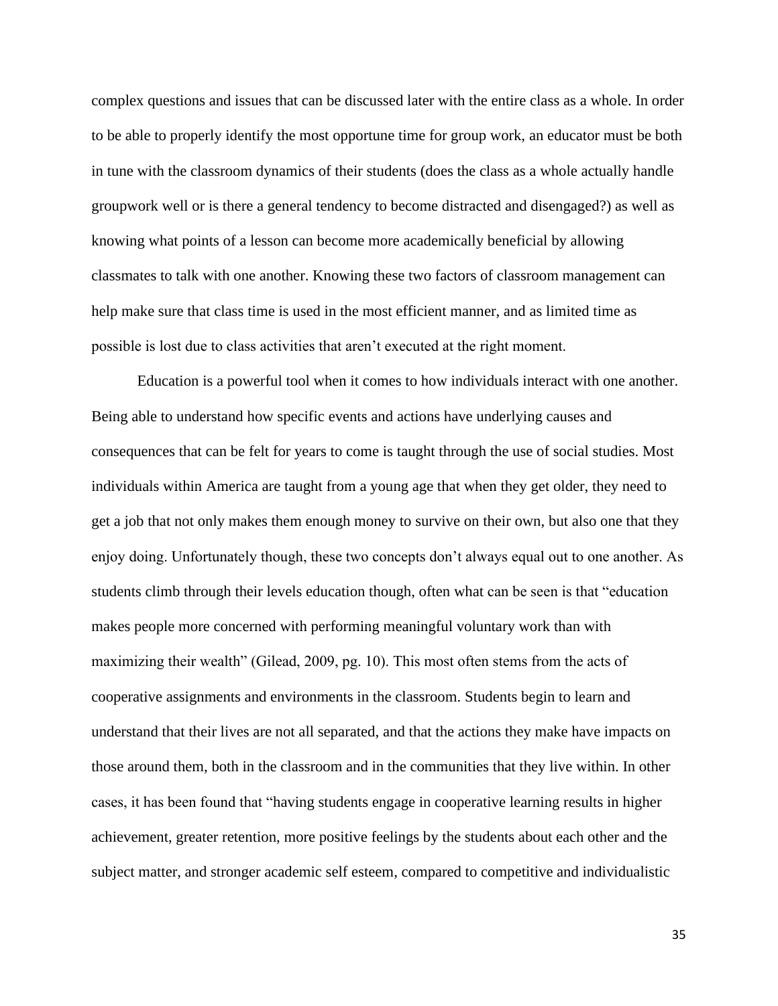complex questions and issues that can be discussed later with the entire class as a whole. In order to be able to properly identify the most opportune time for group work, an educator must be both in tune with the classroom dynamics of their students (does the class as a whole actually handle groupwork well or is there a general tendency to become distracted and disengaged?) as well as knowing what points of a lesson can become more academically beneficial by allowing classmates to talk with one another. Knowing these two factors of classroom management can help make sure that class time is used in the most efficient manner, and as limited time as possible is lost due to class activities that aren't executed at the right moment.

Education is a powerful tool when it comes to how individuals interact with one another. Being able to understand how specific events and actions have underlying causes and consequences that can be felt for years to come is taught through the use of social studies. Most individuals within America are taught from a young age that when they get older, they need to get a job that not only makes them enough money to survive on their own, but also one that they enjoy doing. Unfortunately though, these two concepts don't always equal out to one another. As students climb through their levels education though, often what can be seen is that "education makes people more concerned with performing meaningful voluntary work than with maximizing their wealth" (Gilead, 2009, pg. 10). This most often stems from the acts of cooperative assignments and environments in the classroom. Students begin to learn and understand that their lives are not all separated, and that the actions they make have impacts on those around them, both in the classroom and in the communities that they live within. In other cases, it has been found that "having students engage in cooperative learning results in higher achievement, greater retention, more positive feelings by the students about each other and the subject matter, and stronger academic self esteem, compared to competitive and individualistic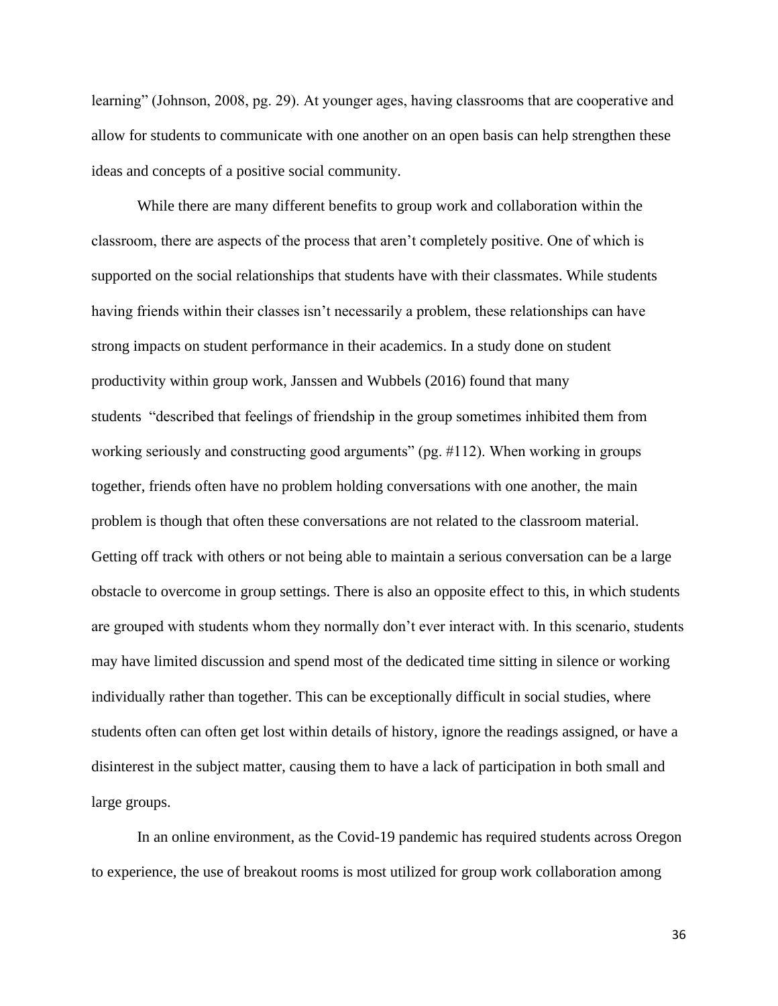learning" (Johnson, 2008, pg. 29). At younger ages, having classrooms that are cooperative and allow for students to communicate with one another on an open basis can help strengthen these ideas and concepts of a positive social community.

While there are many different benefits to group work and collaboration within the classroom, there are aspects of the process that aren't completely positive. One of which is supported on the social relationships that students have with their classmates. While students having friends within their classes isn't necessarily a problem, these relationships can have strong impacts on student performance in their academics. In a study done on student productivity within group work, Janssen and Wubbels (2016) found that many students "described that feelings of friendship in the group sometimes inhibited them from working seriously and constructing good arguments" (pg. #112). When working in groups together, friends often have no problem holding conversations with one another, the main problem is though that often these conversations are not related to the classroom material. Getting off track with others or not being able to maintain a serious conversation can be a large obstacle to overcome in group settings. There is also an opposite effect to this, in which students are grouped with students whom they normally don't ever interact with. In this scenario, students may have limited discussion and spend most of the dedicated time sitting in silence or working individually rather than together. This can be exceptionally difficult in social studies, where students often can often get lost within details of history, ignore the readings assigned, or have a disinterest in the subject matter, causing them to have a lack of participation in both small and large groups.

In an online environment, as the Covid-19 pandemic has required students across Oregon to experience, the use of breakout rooms is most utilized for group work collaboration among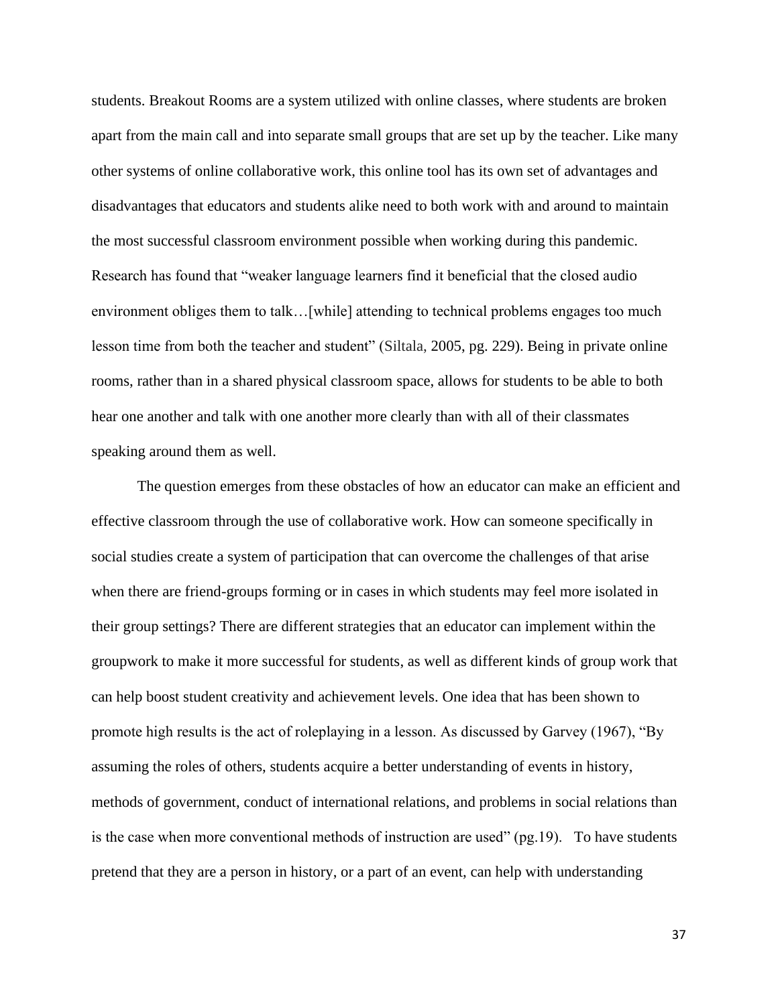students. Breakout Rooms are a system utilized with online classes, where students are broken apart from the main call and into separate small groups that are set up by the teacher. Like many other systems of online collaborative work, this online tool has its own set of advantages and disadvantages that educators and students alike need to both work with and around to maintain the most successful classroom environment possible when working during this pandemic. Research has found that "weaker language learners find it beneficial that the closed audio environment obliges them to talk…[while] attending to technical problems engages too much lesson time from both the teacher and student" (Siltala, 2005, pg. 229). Being in private online rooms, rather than in a shared physical classroom space, allows for students to be able to both hear one another and talk with one another more clearly than with all of their classmates speaking around them as well.

The question emerges from these obstacles of how an educator can make an efficient and effective classroom through the use of collaborative work. How can someone specifically in social studies create a system of participation that can overcome the challenges of that arise when there are friend-groups forming or in cases in which students may feel more isolated in their group settings? There are different strategies that an educator can implement within the groupwork to make it more successful for students, as well as different kinds of group work that can help boost student creativity and achievement levels. One idea that has been shown to promote high results is the act of roleplaying in a lesson. As discussed by Garvey (1967), "By assuming the roles of others, students acquire a better understanding of events in history, methods of government, conduct of international relations, and problems in social relations than is the case when more conventional methods of instruction are used" (pg.19). To have students pretend that they are a person in history, or a part of an event, can help with understanding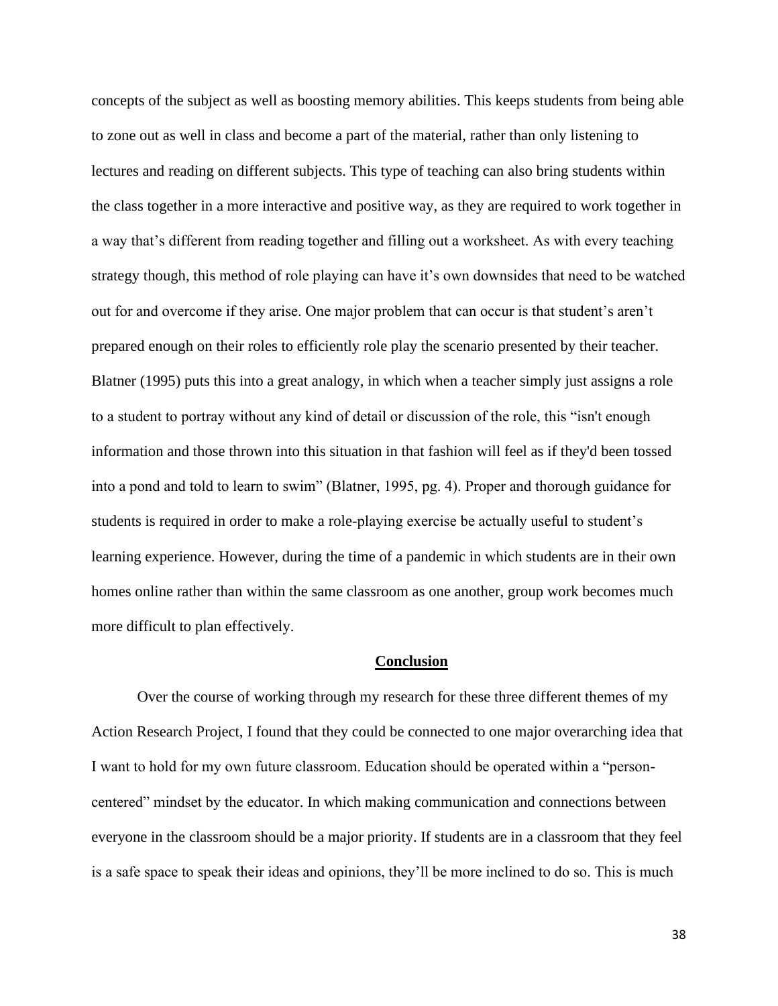concepts of the subject as well as boosting memory abilities. This keeps students from being able to zone out as well in class and become a part of the material, rather than only listening to lectures and reading on different subjects. This type of teaching can also bring students within the class together in a more interactive and positive way, as they are required to work together in a way that's different from reading together and filling out a worksheet. As with every teaching strategy though, this method of role playing can have it's own downsides that need to be watched out for and overcome if they arise. One major problem that can occur is that student's aren't prepared enough on their roles to efficiently role play the scenario presented by their teacher. Blatner (1995) puts this into a great analogy, in which when a teacher simply just assigns a role to a student to portray without any kind of detail or discussion of the role, this "isn't enough information and those thrown into this situation in that fashion will feel as if they'd been tossed into a pond and told to learn to swim" (Blatner, 1995, pg. 4). Proper and thorough guidance for students is required in order to make a role-playing exercise be actually useful to student's learning experience. However, during the time of a pandemic in which students are in their own homes online rather than within the same classroom as one another, group work becomes much more difficult to plan effectively.

# **Conclusion**

Over the course of working through my research for these three different themes of my Action Research Project, I found that they could be connected to one major overarching idea that I want to hold for my own future classroom. Education should be operated within a "personcentered" mindset by the educator. In which making communication and connections between everyone in the classroom should be a major priority. If students are in a classroom that they feel is a safe space to speak their ideas and opinions, they'll be more inclined to do so. This is much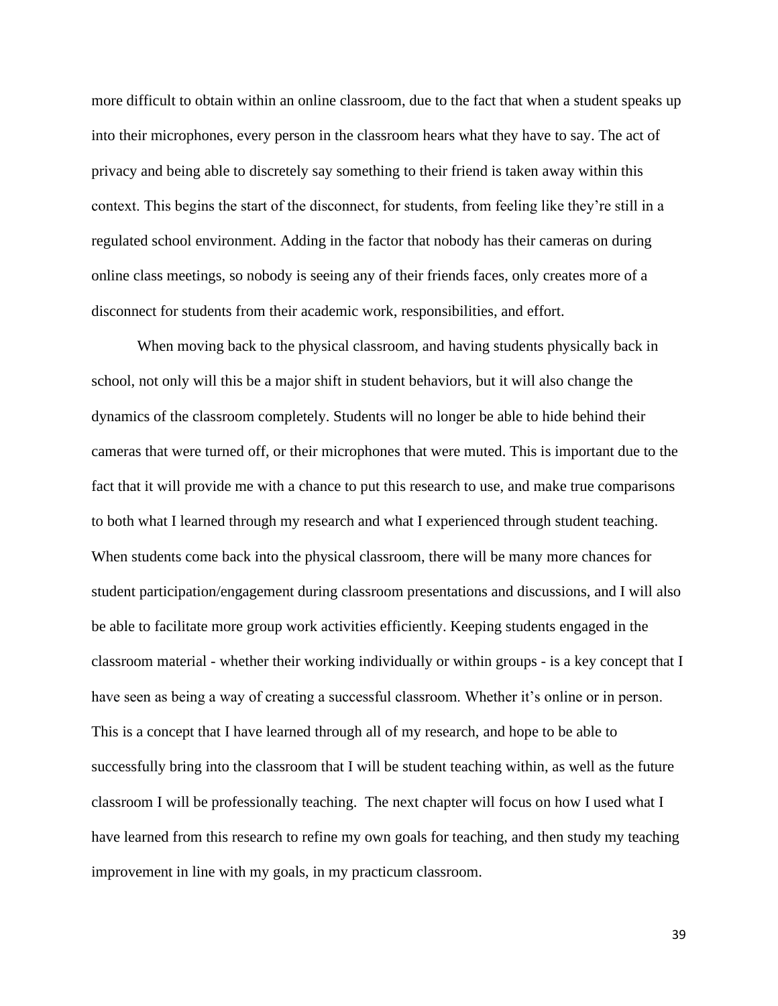more difficult to obtain within an online classroom, due to the fact that when a student speaks up into their microphones, every person in the classroom hears what they have to say. The act of privacy and being able to discretely say something to their friend is taken away within this context. This begins the start of the disconnect, for students, from feeling like they're still in a regulated school environment. Adding in the factor that nobody has their cameras on during online class meetings, so nobody is seeing any of their friends faces, only creates more of a disconnect for students from their academic work, responsibilities, and effort.

When moving back to the physical classroom, and having students physically back in school, not only will this be a major shift in student behaviors, but it will also change the dynamics of the classroom completely. Students will no longer be able to hide behind their cameras that were turned off, or their microphones that were muted. This is important due to the fact that it will provide me with a chance to put this research to use, and make true comparisons to both what I learned through my research and what I experienced through student teaching. When students come back into the physical classroom, there will be many more chances for student participation/engagement during classroom presentations and discussions, and I will also be able to facilitate more group work activities efficiently. Keeping students engaged in the classroom material - whether their working individually or within groups - is a key concept that I have seen as being a way of creating a successful classroom. Whether it's online or in person. This is a concept that I have learned through all of my research, and hope to be able to successfully bring into the classroom that I will be student teaching within, as well as the future classroom I will be professionally teaching. The next chapter will focus on how I used what I have learned from this research to refine my own goals for teaching, and then study my teaching improvement in line with my goals, in my practicum classroom.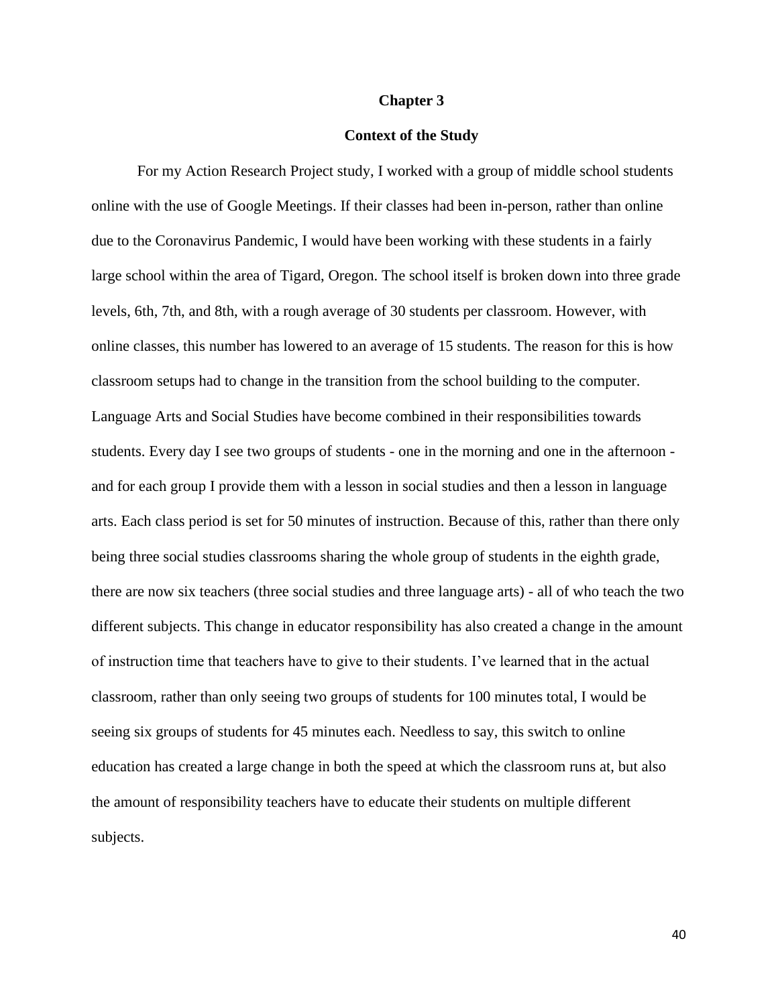#### **Chapter 3**

## **Context of the Study**

For my Action Research Project study, I worked with a group of middle school students online with the use of Google Meetings. If their classes had been in-person, rather than online due to the Coronavirus Pandemic, I would have been working with these students in a fairly large school within the area of Tigard, Oregon. The school itself is broken down into three grade levels, 6th, 7th, and 8th, with a rough average of 30 students per classroom. However, with online classes, this number has lowered to an average of 15 students. The reason for this is how classroom setups had to change in the transition from the school building to the computer. Language Arts and Social Studies have become combined in their responsibilities towards students. Every day I see two groups of students - one in the morning and one in the afternoon and for each group I provide them with a lesson in social studies and then a lesson in language arts. Each class period is set for 50 minutes of instruction. Because of this, rather than there only being three social studies classrooms sharing the whole group of students in the eighth grade, there are now six teachers (three social studies and three language arts) - all of who teach the two different subjects. This change in educator responsibility has also created a change in the amount of instruction time that teachers have to give to their students. I've learned that in the actual classroom, rather than only seeing two groups of students for 100 minutes total, I would be seeing six groups of students for 45 minutes each. Needless to say, this switch to online education has created a large change in both the speed at which the classroom runs at, but also the amount of responsibility teachers have to educate their students on multiple different subjects.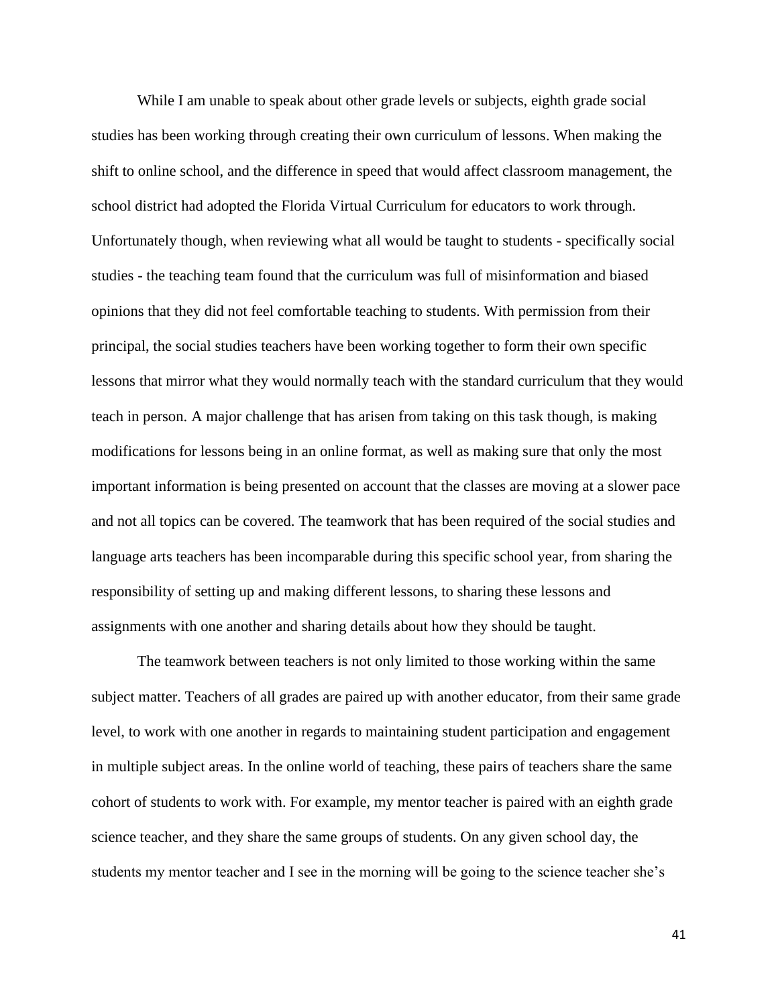While I am unable to speak about other grade levels or subjects, eighth grade social studies has been working through creating their own curriculum of lessons. When making the shift to online school, and the difference in speed that would affect classroom management, the school district had adopted the Florida Virtual Curriculum for educators to work through. Unfortunately though, when reviewing what all would be taught to students - specifically social studies - the teaching team found that the curriculum was full of misinformation and biased opinions that they did not feel comfortable teaching to students. With permission from their principal, the social studies teachers have been working together to form their own specific lessons that mirror what they would normally teach with the standard curriculum that they would teach in person. A major challenge that has arisen from taking on this task though, is making modifications for lessons being in an online format, as well as making sure that only the most important information is being presented on account that the classes are moving at a slower pace and not all topics can be covered. The teamwork that has been required of the social studies and language arts teachers has been incomparable during this specific school year, from sharing the responsibility of setting up and making different lessons, to sharing these lessons and assignments with one another and sharing details about how they should be taught.

The teamwork between teachers is not only limited to those working within the same subject matter. Teachers of all grades are paired up with another educator, from their same grade level, to work with one another in regards to maintaining student participation and engagement in multiple subject areas. In the online world of teaching, these pairs of teachers share the same cohort of students to work with. For example, my mentor teacher is paired with an eighth grade science teacher, and they share the same groups of students. On any given school day, the students my mentor teacher and I see in the morning will be going to the science teacher she's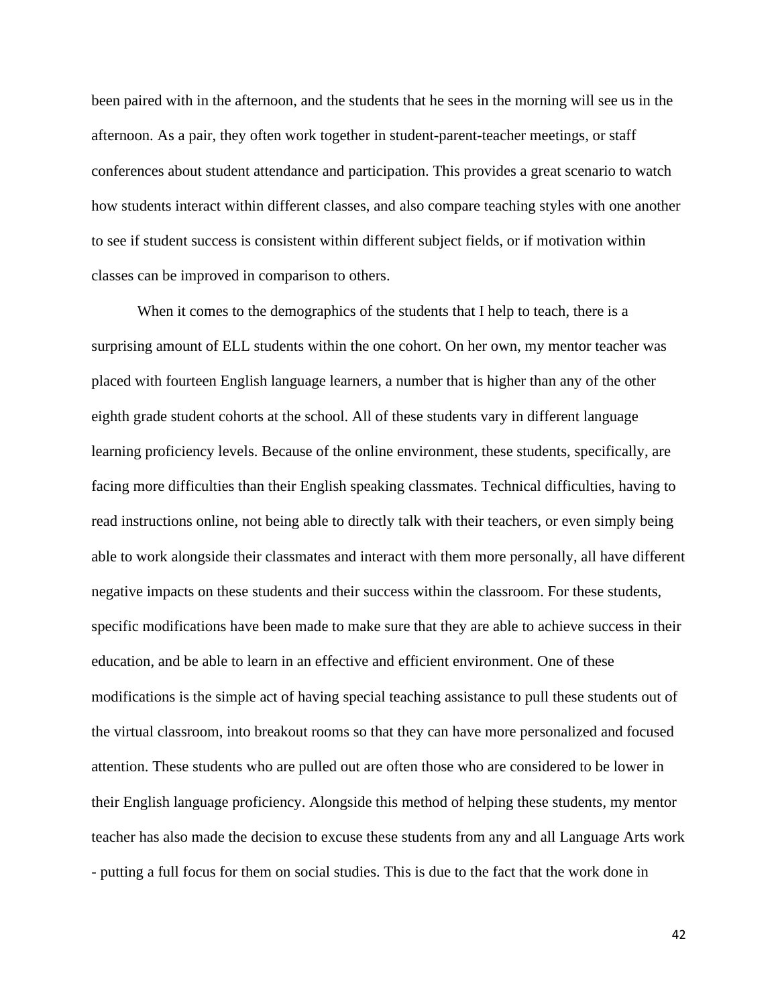been paired with in the afternoon, and the students that he sees in the morning will see us in the afternoon. As a pair, they often work together in student-parent-teacher meetings, or staff conferences about student attendance and participation. This provides a great scenario to watch how students interact within different classes, and also compare teaching styles with one another to see if student success is consistent within different subject fields, or if motivation within classes can be improved in comparison to others.

When it comes to the demographics of the students that I help to teach, there is a surprising amount of ELL students within the one cohort. On her own, my mentor teacher was placed with fourteen English language learners, a number that is higher than any of the other eighth grade student cohorts at the school. All of these students vary in different language learning proficiency levels. Because of the online environment, these students, specifically, are facing more difficulties than their English speaking classmates. Technical difficulties, having to read instructions online, not being able to directly talk with their teachers, or even simply being able to work alongside their classmates and interact with them more personally, all have different negative impacts on these students and their success within the classroom. For these students, specific modifications have been made to make sure that they are able to achieve success in their education, and be able to learn in an effective and efficient environment. One of these modifications is the simple act of having special teaching assistance to pull these students out of the virtual classroom, into breakout rooms so that they can have more personalized and focused attention. These students who are pulled out are often those who are considered to be lower in their English language proficiency. Alongside this method of helping these students, my mentor teacher has also made the decision to excuse these students from any and all Language Arts work - putting a full focus for them on social studies. This is due to the fact that the work done in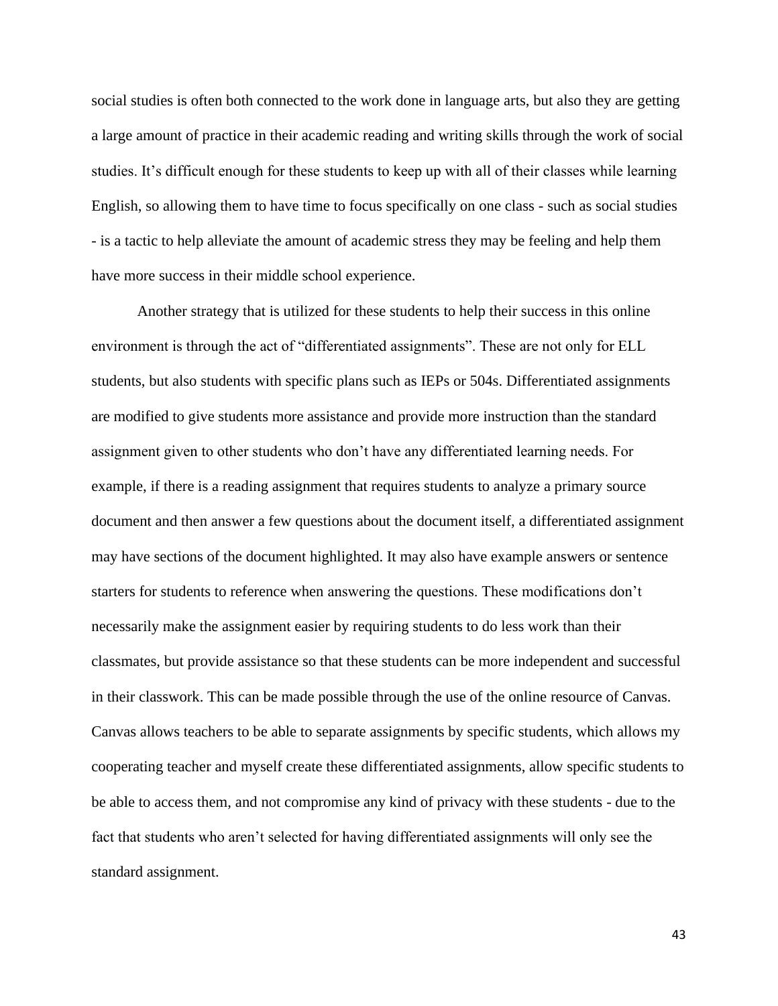social studies is often both connected to the work done in language arts, but also they are getting a large amount of practice in their academic reading and writing skills through the work of social studies. It's difficult enough for these students to keep up with all of their classes while learning English, so allowing them to have time to focus specifically on one class - such as social studies - is a tactic to help alleviate the amount of academic stress they may be feeling and help them have more success in their middle school experience.

Another strategy that is utilized for these students to help their success in this online environment is through the act of "differentiated assignments". These are not only for ELL students, but also students with specific plans such as IEPs or 504s. Differentiated assignments are modified to give students more assistance and provide more instruction than the standard assignment given to other students who don't have any differentiated learning needs. For example, if there is a reading assignment that requires students to analyze a primary source document and then answer a few questions about the document itself, a differentiated assignment may have sections of the document highlighted. It may also have example answers or sentence starters for students to reference when answering the questions. These modifications don't necessarily make the assignment easier by requiring students to do less work than their classmates, but provide assistance so that these students can be more independent and successful in their classwork. This can be made possible through the use of the online resource of Canvas. Canvas allows teachers to be able to separate assignments by specific students, which allows my cooperating teacher and myself create these differentiated assignments, allow specific students to be able to access them, and not compromise any kind of privacy with these students - due to the fact that students who aren't selected for having differentiated assignments will only see the standard assignment.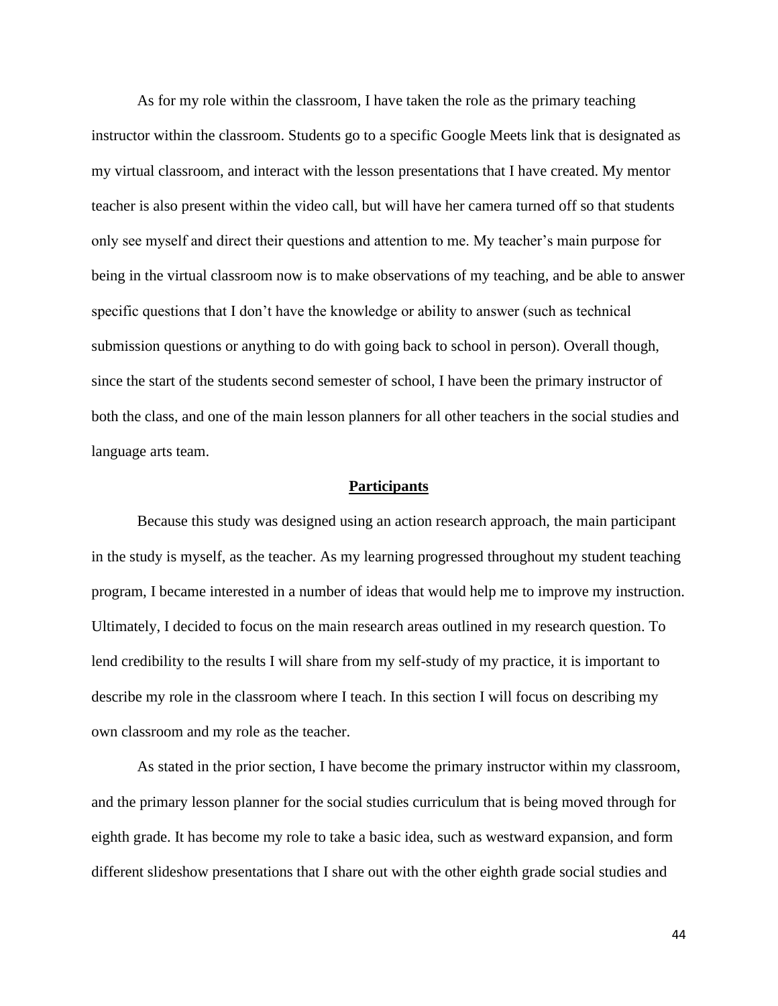As for my role within the classroom, I have taken the role as the primary teaching instructor within the classroom. Students go to a specific Google Meets link that is designated as my virtual classroom, and interact with the lesson presentations that I have created. My mentor teacher is also present within the video call, but will have her camera turned off so that students only see myself and direct their questions and attention to me. My teacher's main purpose for being in the virtual classroom now is to make observations of my teaching, and be able to answer specific questions that I don't have the knowledge or ability to answer (such as technical submission questions or anything to do with going back to school in person). Overall though, since the start of the students second semester of school, I have been the primary instructor of both the class, and one of the main lesson planners for all other teachers in the social studies and language arts team.

# **Participants**

Because this study was designed using an action research approach, the main participant in the study is myself, as the teacher. As my learning progressed throughout my student teaching program, I became interested in a number of ideas that would help me to improve my instruction. Ultimately, I decided to focus on the main research areas outlined in my research question. To lend credibility to the results I will share from my self-study of my practice, it is important to describe my role in the classroom where I teach. In this section I will focus on describing my own classroom and my role as the teacher.

As stated in the prior section, I have become the primary instructor within my classroom, and the primary lesson planner for the social studies curriculum that is being moved through for eighth grade. It has become my role to take a basic idea, such as westward expansion, and form different slideshow presentations that I share out with the other eighth grade social studies and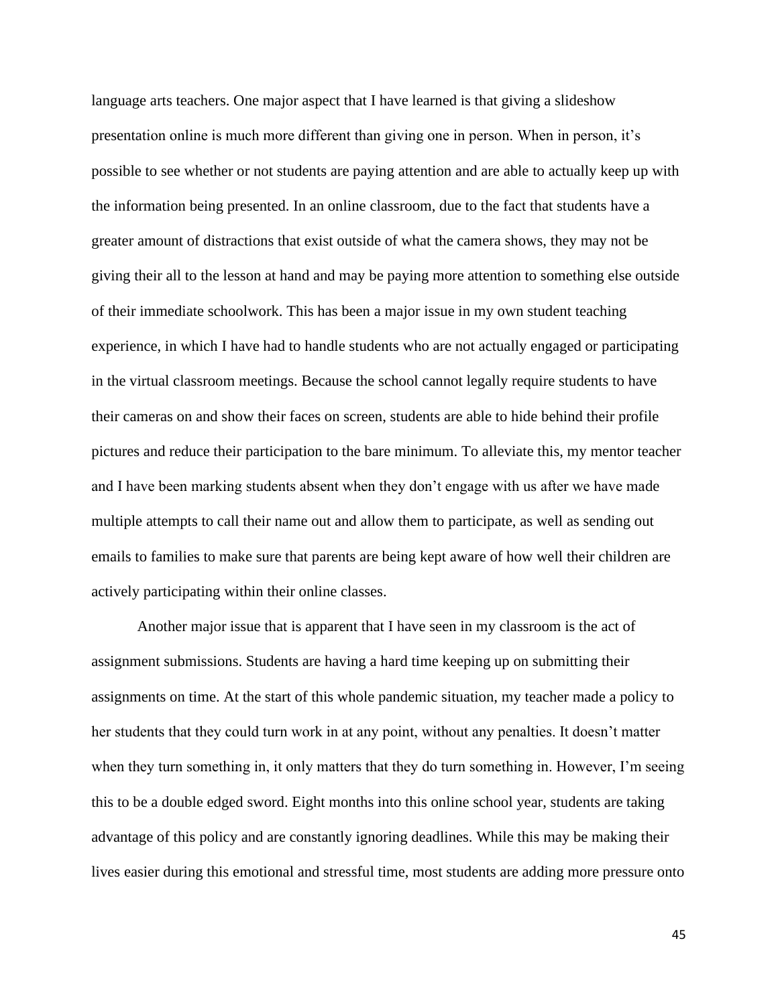language arts teachers. One major aspect that I have learned is that giving a slideshow presentation online is much more different than giving one in person. When in person, it's possible to see whether or not students are paying attention and are able to actually keep up with the information being presented. In an online classroom, due to the fact that students have a greater amount of distractions that exist outside of what the camera shows, they may not be giving their all to the lesson at hand and may be paying more attention to something else outside of their immediate schoolwork. This has been a major issue in my own student teaching experience, in which I have had to handle students who are not actually engaged or participating in the virtual classroom meetings. Because the school cannot legally require students to have their cameras on and show their faces on screen, students are able to hide behind their profile pictures and reduce their participation to the bare minimum. To alleviate this, my mentor teacher and I have been marking students absent when they don't engage with us after we have made multiple attempts to call their name out and allow them to participate, as well as sending out emails to families to make sure that parents are being kept aware of how well their children are actively participating within their online classes.

Another major issue that is apparent that I have seen in my classroom is the act of assignment submissions. Students are having a hard time keeping up on submitting their assignments on time. At the start of this whole pandemic situation, my teacher made a policy to her students that they could turn work in at any point, without any penalties. It doesn't matter when they turn something in, it only matters that they do turn something in. However, I'm seeing this to be a double edged sword. Eight months into this online school year, students are taking advantage of this policy and are constantly ignoring deadlines. While this may be making their lives easier during this emotional and stressful time, most students are adding more pressure onto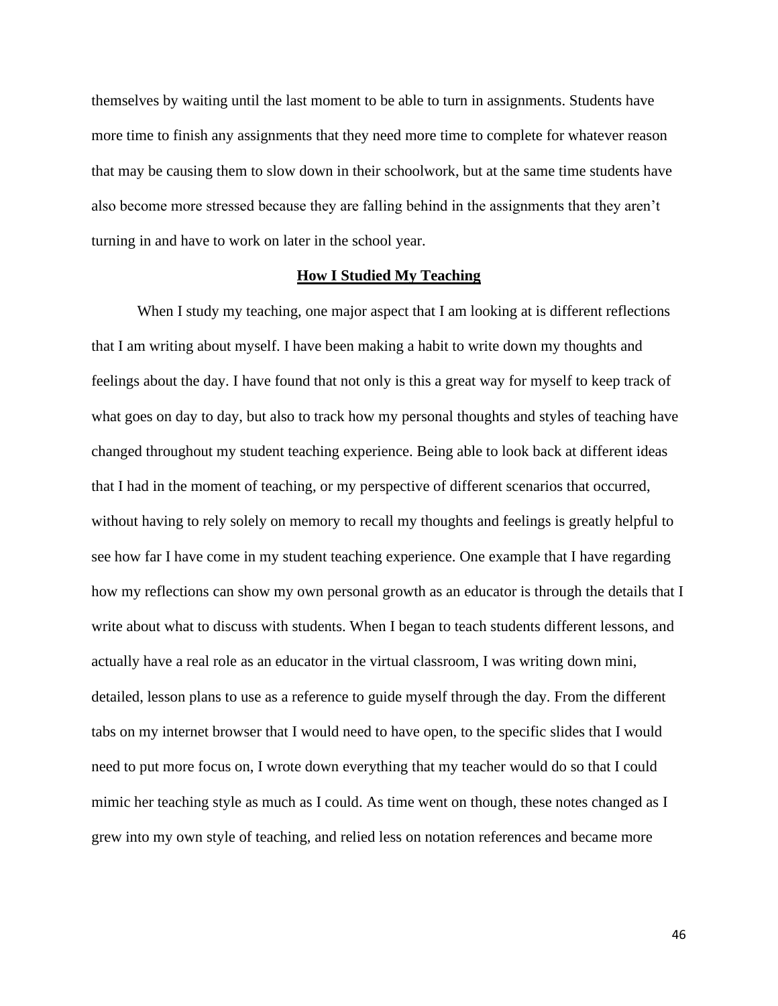themselves by waiting until the last moment to be able to turn in assignments. Students have more time to finish any assignments that they need more time to complete for whatever reason that may be causing them to slow down in their schoolwork, but at the same time students have also become more stressed because they are falling behind in the assignments that they aren't turning in and have to work on later in the school year.

# **How I Studied My Teaching**

When I study my teaching, one major aspect that I am looking at is different reflections that I am writing about myself. I have been making a habit to write down my thoughts and feelings about the day. I have found that not only is this a great way for myself to keep track of what goes on day to day, but also to track how my personal thoughts and styles of teaching have changed throughout my student teaching experience. Being able to look back at different ideas that I had in the moment of teaching, or my perspective of different scenarios that occurred, without having to rely solely on memory to recall my thoughts and feelings is greatly helpful to see how far I have come in my student teaching experience. One example that I have regarding how my reflections can show my own personal growth as an educator is through the details that I write about what to discuss with students. When I began to teach students different lessons, and actually have a real role as an educator in the virtual classroom, I was writing down mini, detailed, lesson plans to use as a reference to guide myself through the day. From the different tabs on my internet browser that I would need to have open, to the specific slides that I would need to put more focus on, I wrote down everything that my teacher would do so that I could mimic her teaching style as much as I could. As time went on though, these notes changed as I grew into my own style of teaching, and relied less on notation references and became more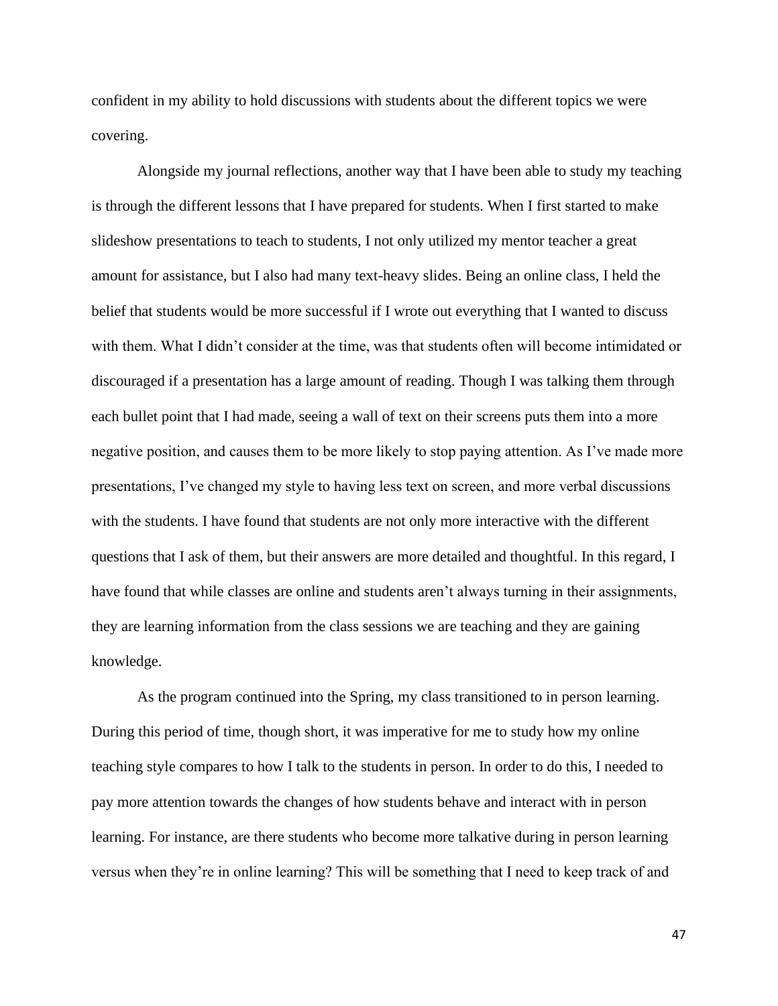confident in my ability to hold discussions with students about the different topics we were covering.

Alongside my journal reflections, another way that I have been able to study my teaching is through the different lessons that I have prepared for students. When I first started to make slideshow presentations to teach to students, I not only utilized my mentor teacher a great amount for assistance, but I also had many text-heavy slides. Being an online class, I held the belief that students would be more successful if I wrote out everything that I wanted to discuss with them. What I didn't consider at the time, was that students often will become intimidated or discouraged if a presentation has a large amount of reading. Though I was talking them through each bullet point that I had made, seeing a wall of text on their screens puts them into a more negative position, and causes them to be more likely to stop paying attention. As I've made more presentations, I've changed my style to having less text on screen, and more verbal discussions with the students. I have found that students are not only more interactive with the different questions that I ask of them, but their answers are more detailed and thoughtful. In this regard, I have found that while classes are online and students aren't always turning in their assignments, they are learning information from the class sessions we are teaching and they are gaining knowledge.

As the program continued into the Spring, my class transitioned to in person learning. During this period of time, though short, it was imperative for me to study how my online teaching style compares to how I talk to the students in person. In order to do this, I needed to pay more attention towards the changes of how students behave and interact with in person learning. For instance, are there students who become more talkative during in person learning versus when they're in online learning? This will be something that I need to keep track of and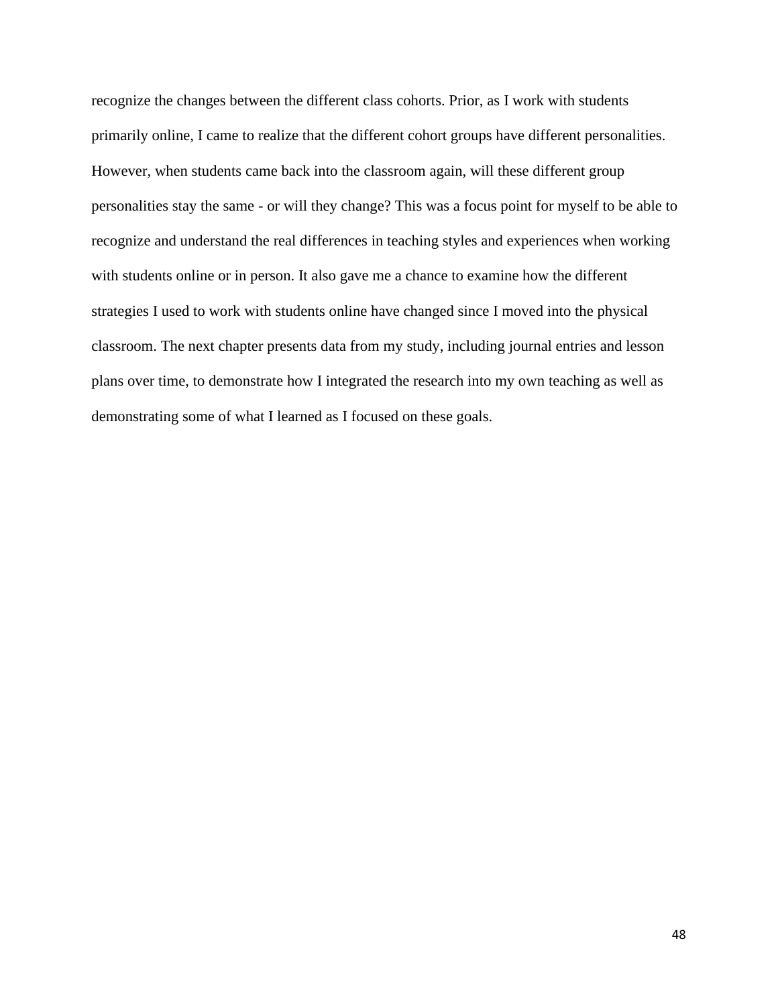recognize the changes between the different class cohorts. Prior, as I work with students primarily online, I came to realize that the different cohort groups have different personalities. However, when students came back into the classroom again, will these different group personalities stay the same - or will they change? This was a focus point for myself to be able to recognize and understand the real differences in teaching styles and experiences when working with students online or in person. It also gave me a chance to examine how the different strategies I used to work with students online have changed since I moved into the physical classroom. The next chapter presents data from my study, including journal entries and lesson plans over time, to demonstrate how I integrated the research into my own teaching as well as demonstrating some of what I learned as I focused on these goals.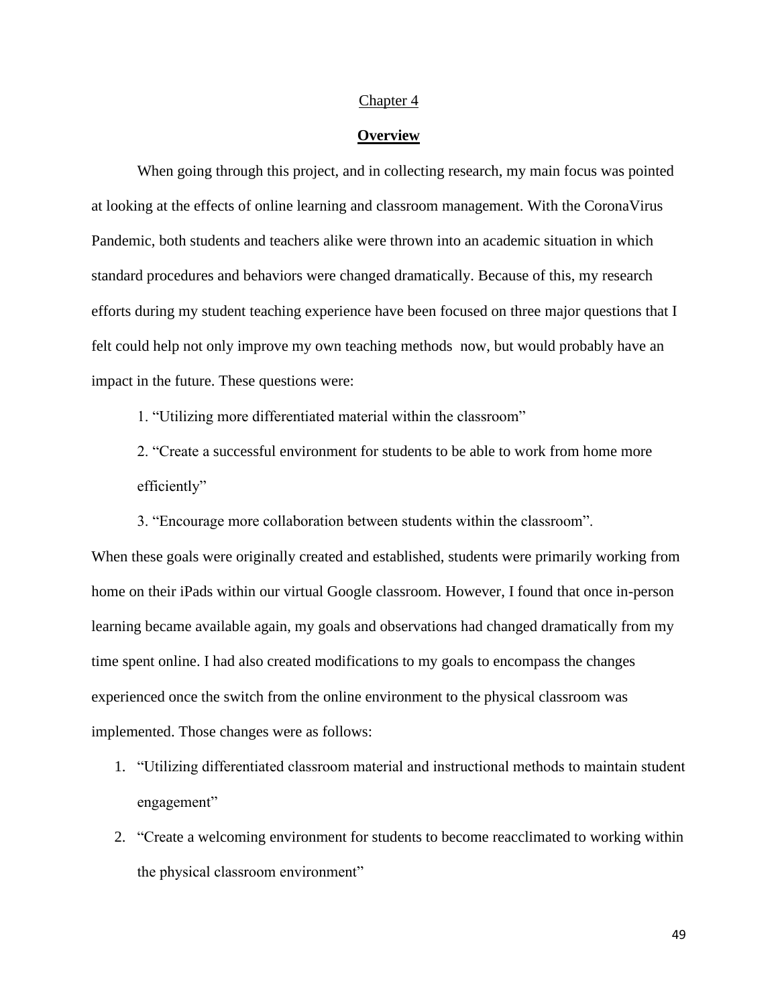#### Chapter 4

## **Overview**

When going through this project, and in collecting research, my main focus was pointed at looking at the effects of online learning and classroom management. With the CoronaVirus Pandemic, both students and teachers alike were thrown into an academic situation in which standard procedures and behaviors were changed dramatically. Because of this, my research efforts during my student teaching experience have been focused on three major questions that I felt could help not only improve my own teaching methods now, but would probably have an impact in the future. These questions were:

1. "Utilizing more differentiated material within the classroom"

2. "Create a successful environment for students to be able to work from home more efficiently"

3. "Encourage more collaboration between students within the classroom".

When these goals were originally created and established, students were primarily working from home on their iPads within our virtual Google classroom. However, I found that once in-person learning became available again, my goals and observations had changed dramatically from my time spent online. I had also created modifications to my goals to encompass the changes experienced once the switch from the online environment to the physical classroom was implemented. Those changes were as follows:

- 1. "Utilizing differentiated classroom material and instructional methods to maintain student engagement"
- 2. "Create a welcoming environment for students to become reacclimated to working within the physical classroom environment"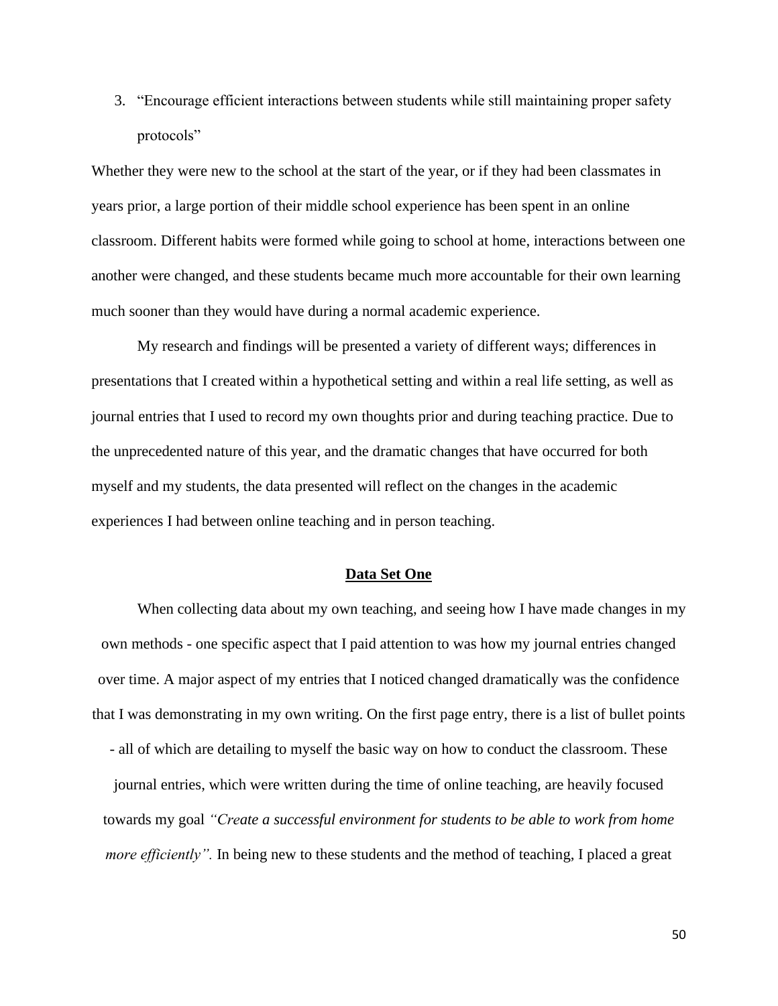3. "Encourage efficient interactions between students while still maintaining proper safety protocols"

Whether they were new to the school at the start of the year, or if they had been classmates in years prior, a large portion of their middle school experience has been spent in an online classroom. Different habits were formed while going to school at home, interactions between one another were changed, and these students became much more accountable for their own learning much sooner than they would have during a normal academic experience.

My research and findings will be presented a variety of different ways; differences in presentations that I created within a hypothetical setting and within a real life setting, as well as journal entries that I used to record my own thoughts prior and during teaching practice. Due to the unprecedented nature of this year, and the dramatic changes that have occurred for both myself and my students, the data presented will reflect on the changes in the academic experiences I had between online teaching and in person teaching.

# **Data Set One**

When collecting data about my own teaching, and seeing how I have made changes in my own methods - one specific aspect that I paid attention to was how my journal entries changed over time. A major aspect of my entries that I noticed changed dramatically was the confidence that I was demonstrating in my own writing. On the first page entry, there is a list of bullet points

- all of which are detailing to myself the basic way on how to conduct the classroom. These journal entries, which were written during the time of online teaching, are heavily focused towards my goal *"Create a successful environment for students to be able to work from home more efficiently*". In being new to these students and the method of teaching, I placed a great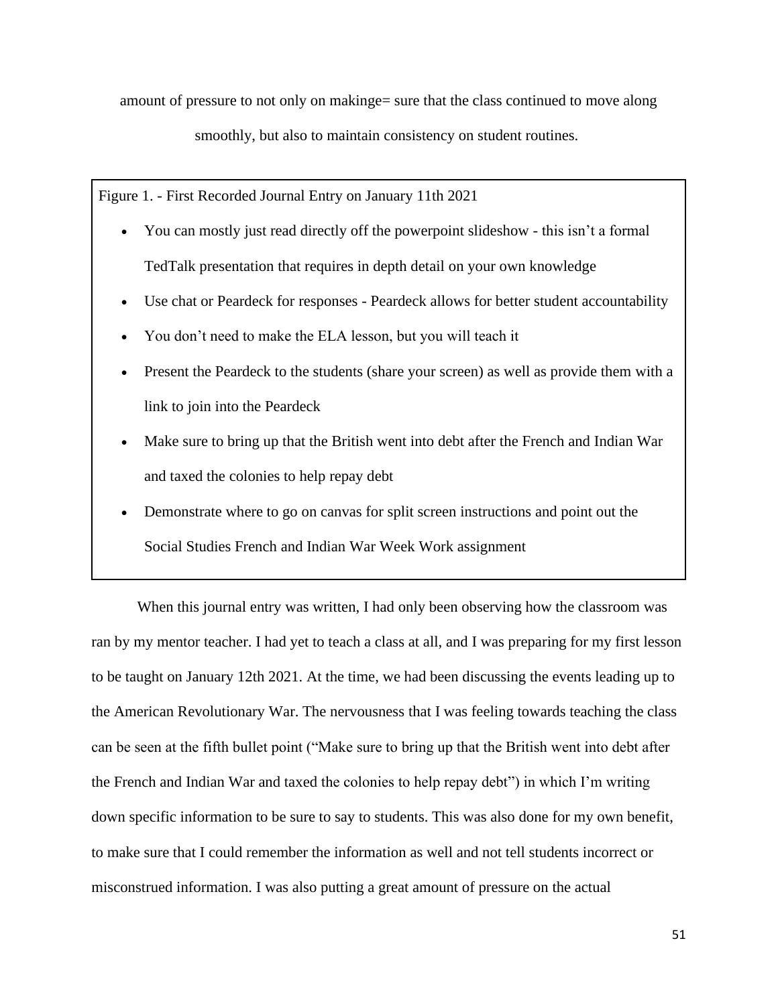amount of pressure to not only on makinge= sure that the class continued to move along

smoothly, but also to maintain consistency on student routines.

Figure 1. - First Recorded Journal Entry on January 11th 2021

- You can mostly just read directly off the powerpoint slideshow this isn't a formal TedTalk presentation that requires in depth detail on your own knowledge
- Use chat or Peardeck for responses Peardeck allows for better student accountability
- You don't need to make the ELA lesson, but you will teach it
- Present the Peardeck to the students (share your screen) as well as provide them with a link to join into the Peardeck
- Make sure to bring up that the British went into debt after the French and Indian War and taxed the colonies to help repay debt
- Demonstrate where to go on canvas for split screen instructions and point out the Social Studies French and Indian War Week Work assignment

When this journal entry was written, I had only been observing how the classroom was ran by my mentor teacher. I had yet to teach a class at all, and I was preparing for my first lesson to be taught on January 12th 2021. At the time, we had been discussing the events leading up to the American Revolutionary War. The nervousness that I was feeling towards teaching the class can be seen at the fifth bullet point ("Make sure to bring up that the British went into debt after the French and Indian War and taxed the colonies to help repay debt") in which I'm writing down specific information to be sure to say to students. This was also done for my own benefit, to make sure that I could remember the information as well and not tell students incorrect or misconstrued information. I was also putting a great amount of pressure on the actual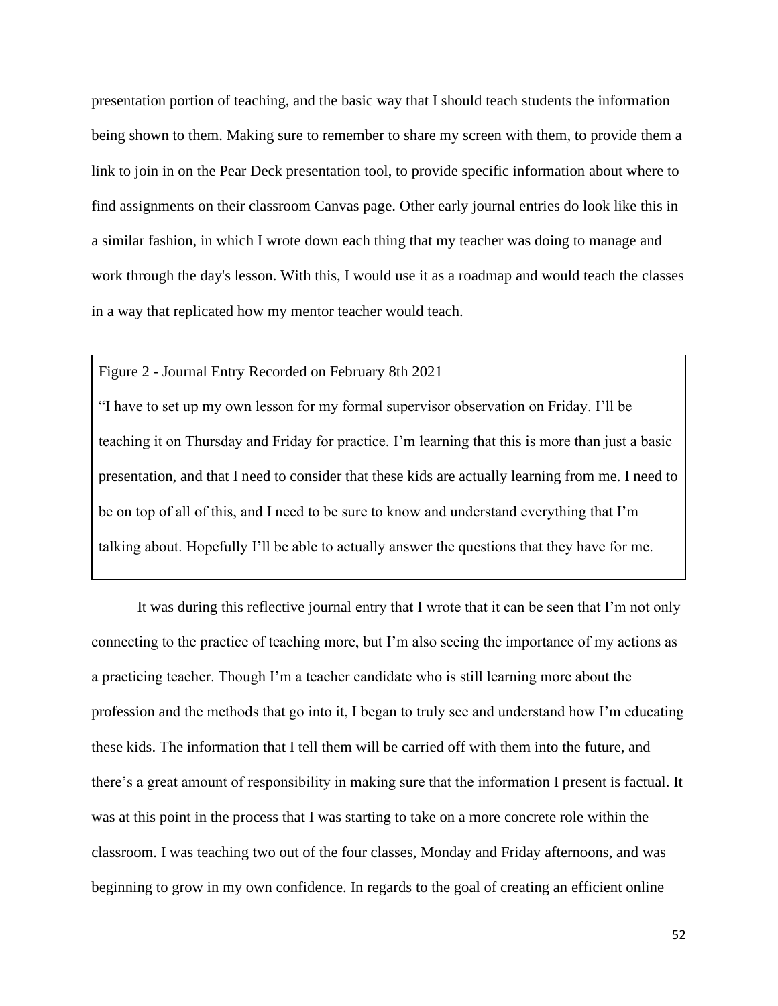presentation portion of teaching, and the basic way that I should teach students the information being shown to them. Making sure to remember to share my screen with them, to provide them a link to join in on the Pear Deck presentation tool, to provide specific information about where to find assignments on their classroom Canvas page. Other early journal entries do look like this in a similar fashion, in which I wrote down each thing that my teacher was doing to manage and work through the day's lesson. With this, I would use it as a roadmap and would teach the classes in a way that replicated how my mentor teacher would teach.

# Figure 2 - Journal Entry Recorded on February 8th 2021

"I have to set up my own lesson for my formal supervisor observation on Friday. I'll be teaching it on Thursday and Friday for practice. I'm learning that this is more than just a basic presentation, and that I need to consider that these kids are actually learning from me. I need to be on top of all of this, and I need to be sure to know and understand everything that I'm talking about. Hopefully I'll be able to actually answer the questions that they have for me.

It was during this reflective journal entry that I wrote that it can be seen that I'm not only connecting to the practice of teaching more, but I'm also seeing the importance of my actions as a practicing teacher. Though I'm a teacher candidate who is still learning more about the profession and the methods that go into it, I began to truly see and understand how I'm educating these kids. The information that I tell them will be carried off with them into the future, and there's a great amount of responsibility in making sure that the information I present is factual. It was at this point in the process that I was starting to take on a more concrete role within the classroom. I was teaching two out of the four classes, Monday and Friday afternoons, and was beginning to grow in my own confidence. In regards to the goal of creating an efficient online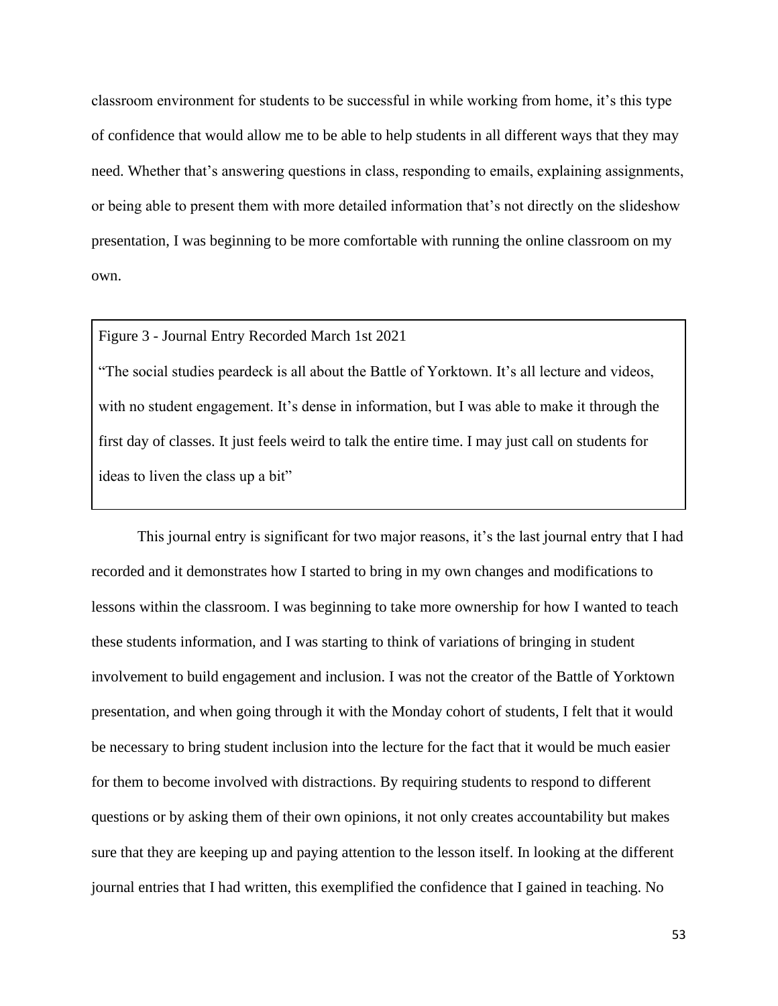classroom environment for students to be successful in while working from home, it's this type of confidence that would allow me to be able to help students in all different ways that they may need. Whether that's answering questions in class, responding to emails, explaining assignments, or being able to present them with more detailed information that's not directly on the slideshow presentation, I was beginning to be more comfortable with running the online classroom on my own.

# Figure 3 - Journal Entry Recorded March 1st 2021

"The social studies peardeck is all about the Battle of Yorktown. It's all lecture and videos, with no student engagement. It's dense in information, but I was able to make it through the first day of classes. It just feels weird to talk the entire time. I may just call on students for ideas to liven the class up a bit"

This journal entry is significant for two major reasons, it's the last journal entry that I had recorded and it demonstrates how I started to bring in my own changes and modifications to lessons within the classroom. I was beginning to take more ownership for how I wanted to teach these students information, and I was starting to think of variations of bringing in student involvement to build engagement and inclusion. I was not the creator of the Battle of Yorktown presentation, and when going through it with the Monday cohort of students, I felt that it would be necessary to bring student inclusion into the lecture for the fact that it would be much easier for them to become involved with distractions. By requiring students to respond to different questions or by asking them of their own opinions, it not only creates accountability but makes sure that they are keeping up and paying attention to the lesson itself. In looking at the different journal entries that I had written, this exemplified the confidence that I gained in teaching. No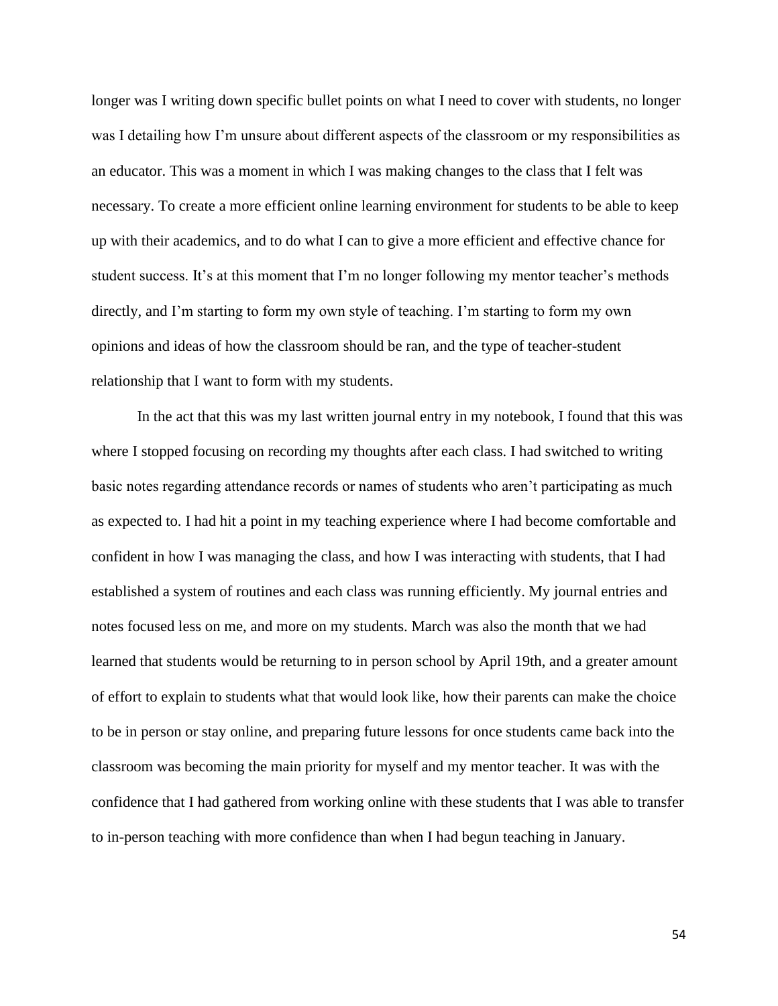longer was I writing down specific bullet points on what I need to cover with students, no longer was I detailing how I'm unsure about different aspects of the classroom or my responsibilities as an educator. This was a moment in which I was making changes to the class that I felt was necessary. To create a more efficient online learning environment for students to be able to keep up with their academics, and to do what I can to give a more efficient and effective chance for student success. It's at this moment that I'm no longer following my mentor teacher's methods directly, and I'm starting to form my own style of teaching. I'm starting to form my own opinions and ideas of how the classroom should be ran, and the type of teacher-student relationship that I want to form with my students.

In the act that this was my last written journal entry in my notebook, I found that this was where I stopped focusing on recording my thoughts after each class. I had switched to writing basic notes regarding attendance records or names of students who aren't participating as much as expected to. I had hit a point in my teaching experience where I had become comfortable and confident in how I was managing the class, and how I was interacting with students, that I had established a system of routines and each class was running efficiently. My journal entries and notes focused less on me, and more on my students. March was also the month that we had learned that students would be returning to in person school by April 19th, and a greater amount of effort to explain to students what that would look like, how their parents can make the choice to be in person or stay online, and preparing future lessons for once students came back into the classroom was becoming the main priority for myself and my mentor teacher. It was with the confidence that I had gathered from working online with these students that I was able to transfer to in-person teaching with more confidence than when I had begun teaching in January.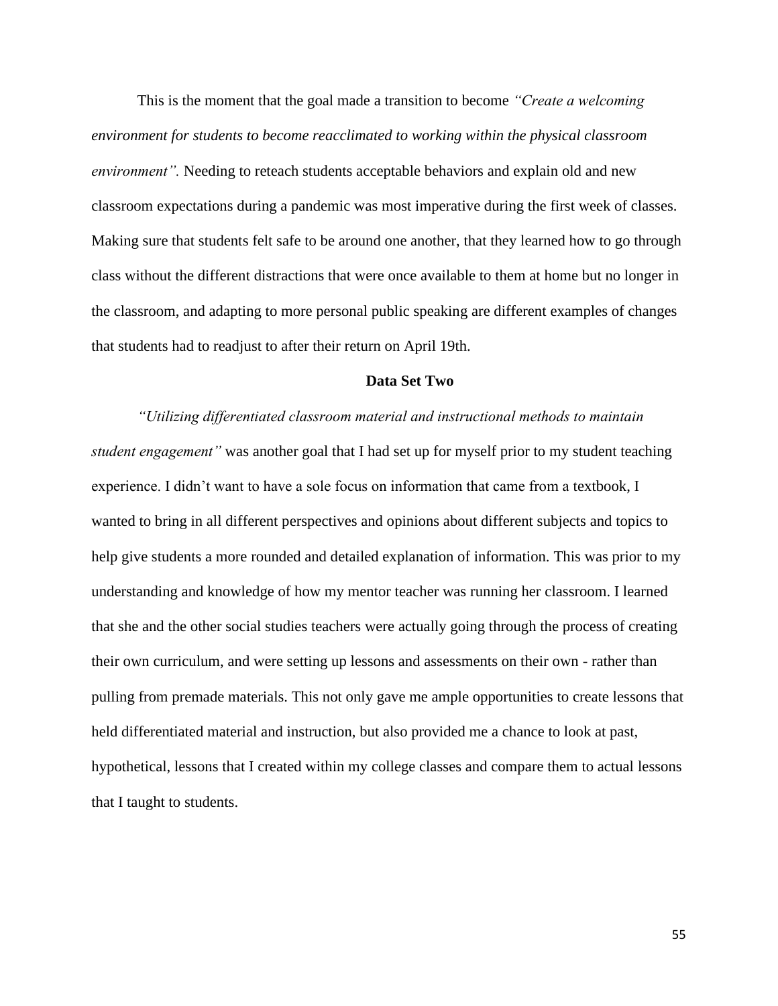This is the moment that the goal made a transition to become *"Create a welcoming environment for students to become reacclimated to working within the physical classroom environment".* Needing to reteach students acceptable behaviors and explain old and new classroom expectations during a pandemic was most imperative during the first week of classes. Making sure that students felt safe to be around one another, that they learned how to go through class without the different distractions that were once available to them at home but no longer in the classroom, and adapting to more personal public speaking are different examples of changes that students had to readjust to after their return on April 19th.

# **Data Set Two**

*"Utilizing differentiated classroom material and instructional methods to maintain student engagement"* was another goal that I had set up for myself prior to my student teaching experience. I didn't want to have a sole focus on information that came from a textbook, I wanted to bring in all different perspectives and opinions about different subjects and topics to help give students a more rounded and detailed explanation of information. This was prior to my understanding and knowledge of how my mentor teacher was running her classroom. I learned that she and the other social studies teachers were actually going through the process of creating their own curriculum, and were setting up lessons and assessments on their own - rather than pulling from premade materials. This not only gave me ample opportunities to create lessons that held differentiated material and instruction, but also provided me a chance to look at past, hypothetical, lessons that I created within my college classes and compare them to actual lessons that I taught to students.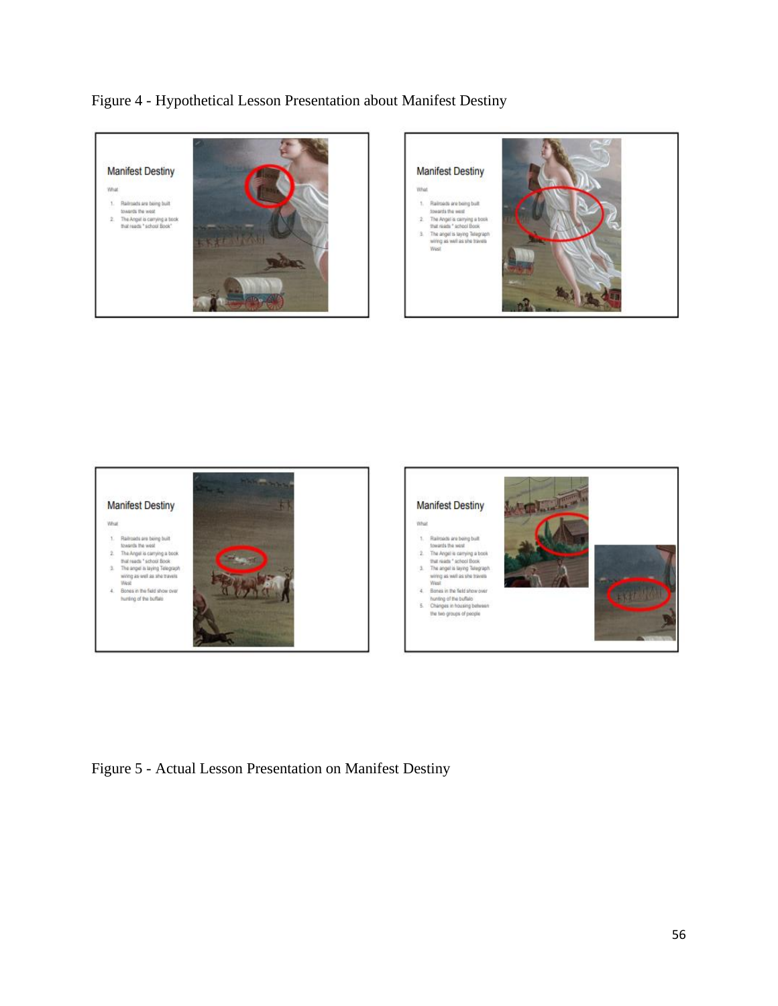Figure 4 - Hypothetical Lesson Presentation about Manifest Destiny









Figure 5 - Actual Lesson Presentation on Manifest Destiny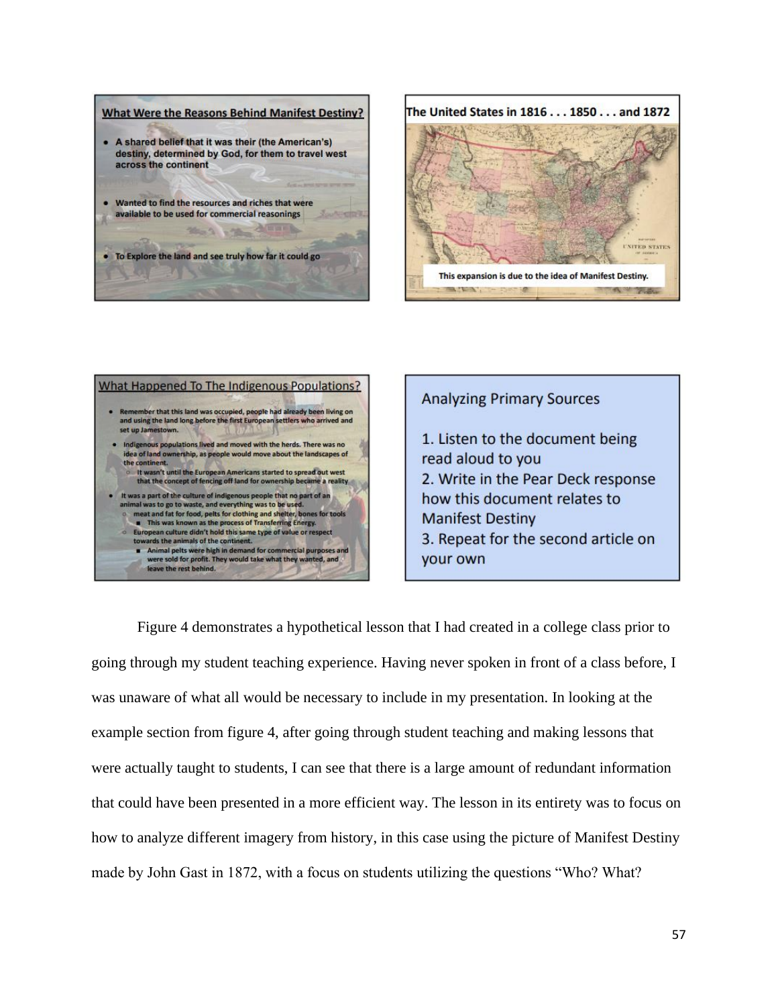



| What Happened To The Indigenous Populations?                                                                                                                                                                                                                                                                                                                                                                                                                                                                                                          |
|-------------------------------------------------------------------------------------------------------------------------------------------------------------------------------------------------------------------------------------------------------------------------------------------------------------------------------------------------------------------------------------------------------------------------------------------------------------------------------------------------------------------------------------------------------|
| Remember that this land was occupied, people had already been living on<br>and using the land long before the first European settlers who arrived and<br>set up Jamestown.                                                                                                                                                                                                                                                                                                                                                                            |
| Indigenous populations lived and moved with the herds. There was no<br>idea of land ownership, as people would move about the landscapes of<br>the continent.<br>o It wasn't until the European Americans started to spread out west<br>that the concept of fencing off land for ownership became a reality                                                                                                                                                                                                                                           |
| It was a part of the culture of indigenous people that no part of an<br>animal was to go to waste, and everything was to be used.<br>meat and fat for food, pelts for clothing and shelter, bones for tools<br>This was known as the process of Transferring Energy.<br>European culture didn't hold this same type of value or respect<br>$\sigma$<br>towards the animals of the continent.<br>Animal pelts were high in demand for commercial purposes and<br>were sold for profit. They would take what they wanted, and<br>leave the rest behind. |

**Analyzing Primary Sources** 1. Listen to the document being read aloud to you 2. Write in the Pear Deck response how this document relates to **Manifest Destiny** 3. Repeat for the second article on your own

Figure 4 demonstrates a hypothetical lesson that I had created in a college class prior to going through my student teaching experience. Having never spoken in front of a class before, I was unaware of what all would be necessary to include in my presentation. In looking at the example section from figure 4, after going through student teaching and making lessons that were actually taught to students, I can see that there is a large amount of redundant information that could have been presented in a more efficient way. The lesson in its entirety was to focus on how to analyze different imagery from history, in this case using the picture of Manifest Destiny made by John Gast in 1872, with a focus on students utilizing the questions "Who? What?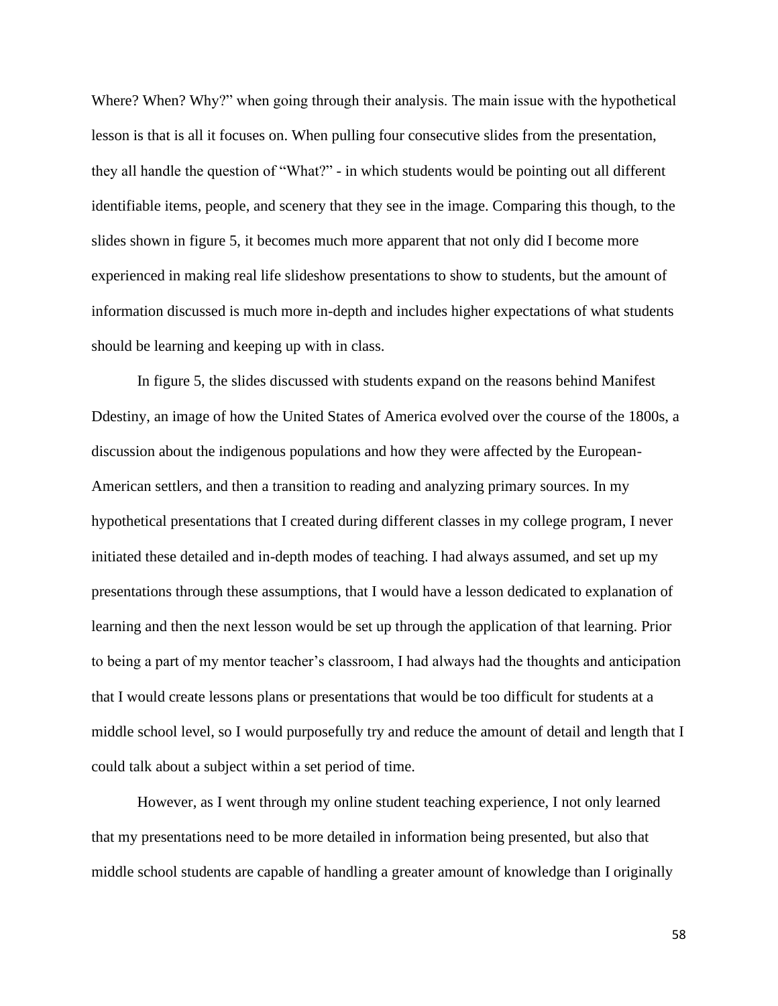Where? When? Why?" when going through their analysis. The main issue with the hypothetical lesson is that is all it focuses on. When pulling four consecutive slides from the presentation, they all handle the question of "What?" - in which students would be pointing out all different identifiable items, people, and scenery that they see in the image. Comparing this though, to the slides shown in figure 5, it becomes much more apparent that not only did I become more experienced in making real life slideshow presentations to show to students, but the amount of information discussed is much more in-depth and includes higher expectations of what students should be learning and keeping up with in class.

In figure 5, the slides discussed with students expand on the reasons behind Manifest Ddestiny, an image of how the United States of America evolved over the course of the 1800s, a discussion about the indigenous populations and how they were affected by the European-American settlers, and then a transition to reading and analyzing primary sources. In my hypothetical presentations that I created during different classes in my college program, I never initiated these detailed and in-depth modes of teaching. I had always assumed, and set up my presentations through these assumptions, that I would have a lesson dedicated to explanation of learning and then the next lesson would be set up through the application of that learning. Prior to being a part of my mentor teacher's classroom, I had always had the thoughts and anticipation that I would create lessons plans or presentations that would be too difficult for students at a middle school level, so I would purposefully try and reduce the amount of detail and length that I could talk about a subject within a set period of time.

However, as I went through my online student teaching experience, I not only learned that my presentations need to be more detailed in information being presented, but also that middle school students are capable of handling a greater amount of knowledge than I originally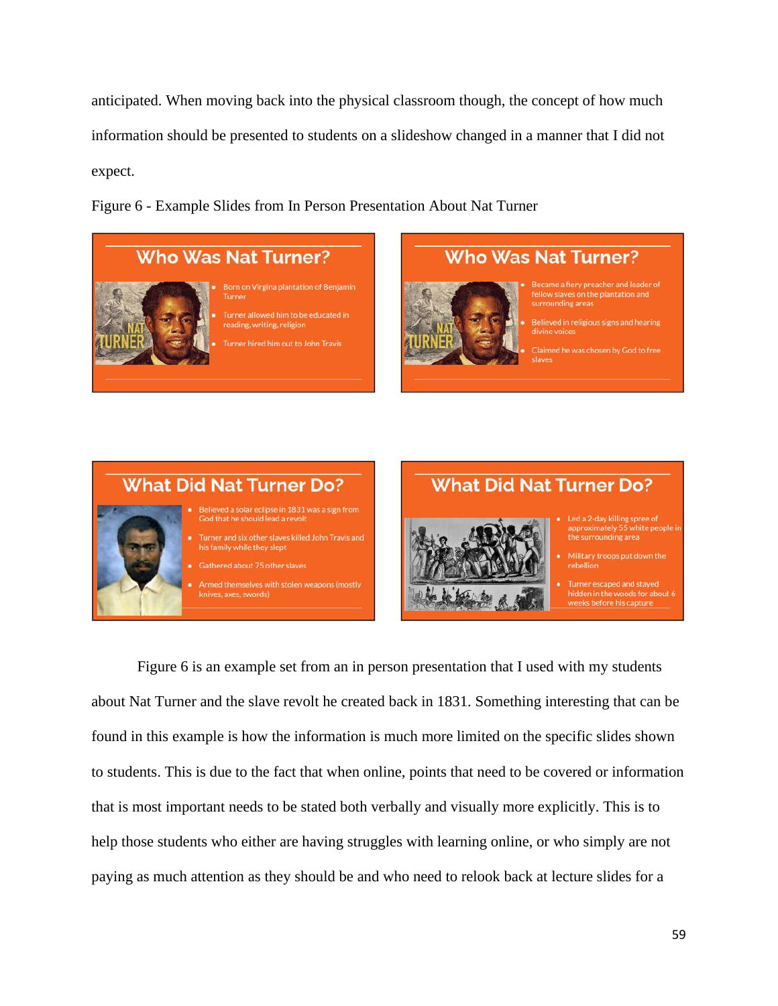anticipated. When moving back into the physical classroom though, the concept of how much information should be presented to students on a slideshow changed in a manner that I did not expect.

Figure 6 - Example Slides from In Person Presentation About Nat Turner

# **Who Was Nat Turner?**



# reading, writing, religion Turner hired him out to John Travis

**Who Was Nat Turner?** 

- surrounding areas
- Believed in religious signs and hearing

Claimed he was chosen by God to free



Figure 6 is an example set from an in person presentation that I used with my students about Nat Turner and the slave revolt he created back in 1831. Something interesting that can be found in this example is how the information is much more limited on the specific slides shown to students. This is due to the fact that when online, points that need to be covered or information that is most important needs to be stated both verbally and visually more explicitly. This is to help those students who either are having struggles with learning online, or who simply are not paying as much attention as they should be and who need to relook back at lecture slides for a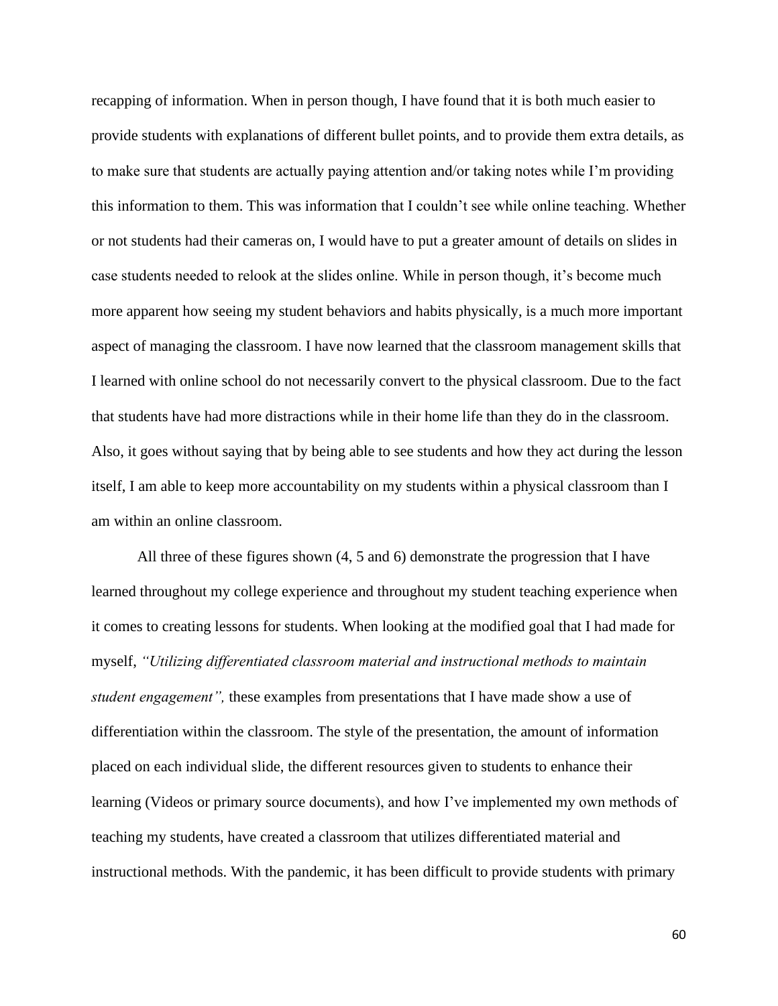recapping of information. When in person though, I have found that it is both much easier to provide students with explanations of different bullet points, and to provide them extra details, as to make sure that students are actually paying attention and/or taking notes while I'm providing this information to them. This was information that I couldn't see while online teaching. Whether or not students had their cameras on, I would have to put a greater amount of details on slides in case students needed to relook at the slides online. While in person though, it's become much more apparent how seeing my student behaviors and habits physically, is a much more important aspect of managing the classroom. I have now learned that the classroom management skills that I learned with online school do not necessarily convert to the physical classroom. Due to the fact that students have had more distractions while in their home life than they do in the classroom. Also, it goes without saying that by being able to see students and how they act during the lesson itself, I am able to keep more accountability on my students within a physical classroom than I am within an online classroom.

All three of these figures shown (4, 5 and 6) demonstrate the progression that I have learned throughout my college experience and throughout my student teaching experience when it comes to creating lessons for students. When looking at the modified goal that I had made for myself, *"Utilizing differentiated classroom material and instructional methods to maintain student engagement",* these examples from presentations that I have made show a use of differentiation within the classroom. The style of the presentation, the amount of information placed on each individual slide, the different resources given to students to enhance their learning (Videos or primary source documents), and how I've implemented my own methods of teaching my students, have created a classroom that utilizes differentiated material and instructional methods. With the pandemic, it has been difficult to provide students with primary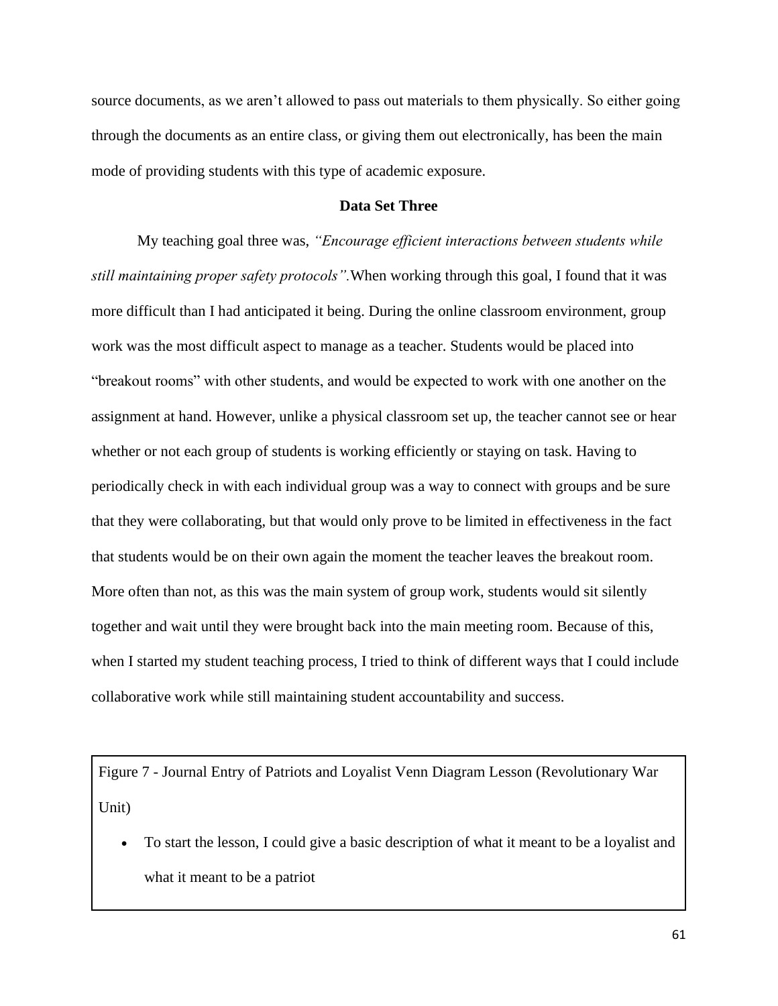source documents, as we aren't allowed to pass out materials to them physically. So either going through the documents as an entire class, or giving them out electronically, has been the main mode of providing students with this type of academic exposure.

# **Data Set Three**

My teaching goal three was, *"Encourage efficient interactions between students while still maintaining proper safety protocols".*When working through this goal, I found that it was more difficult than I had anticipated it being. During the online classroom environment, group work was the most difficult aspect to manage as a teacher. Students would be placed into "breakout rooms" with other students, and would be expected to work with one another on the assignment at hand. However, unlike a physical classroom set up, the teacher cannot see or hear whether or not each group of students is working efficiently or staying on task. Having to periodically check in with each individual group was a way to connect with groups and be sure that they were collaborating, but that would only prove to be limited in effectiveness in the fact that students would be on their own again the moment the teacher leaves the breakout room. More often than not, as this was the main system of group work, students would sit silently together and wait until they were brought back into the main meeting room. Because of this, when I started my student teaching process, I tried to think of different ways that I could include collaborative work while still maintaining student accountability and success.

Figure 7 - Journal Entry of Patriots and Loyalist Venn Diagram Lesson (Revolutionary War Unit)

• To start the lesson, I could give a basic description of what it meant to be a loyalist and what it meant to be a patriot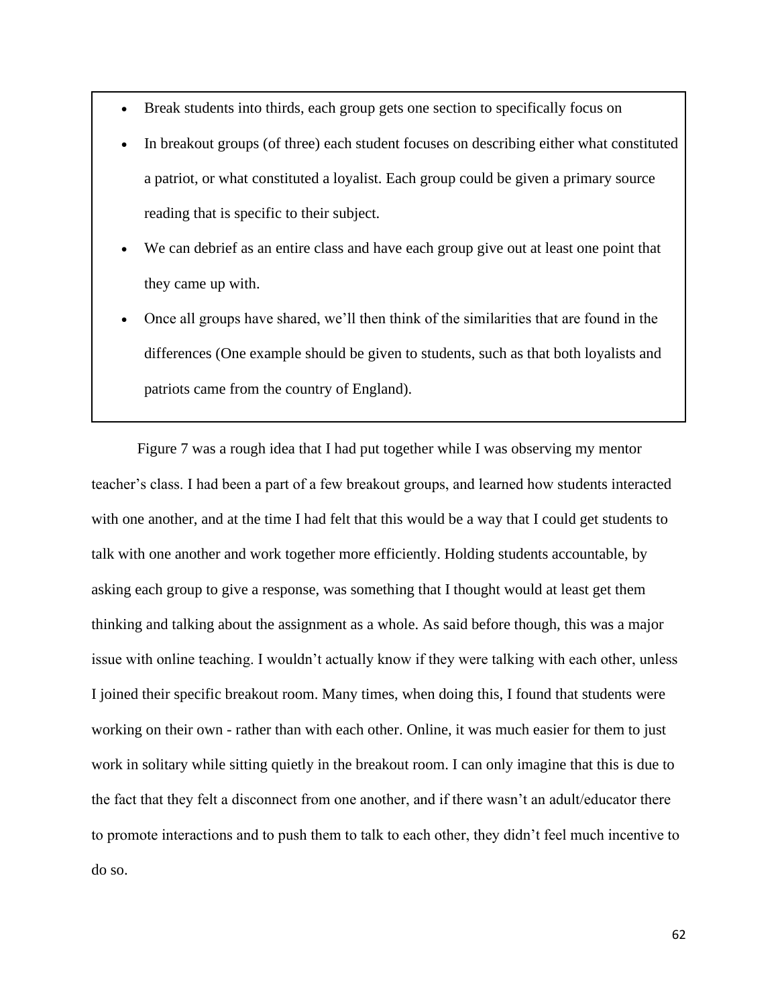- Break students into thirds, each group gets one section to specifically focus on
- In breakout groups (of three) each student focuses on describing either what constituted a patriot, or what constituted a loyalist. Each group could be given a primary source reading that is specific to their subject.
- We can debrief as an entire class and have each group give out at least one point that they came up with.
- Once all groups have shared, we'll then think of the similarities that are found in the differences (One example should be given to students, such as that both loyalists and patriots came from the country of England).

Figure 7 was a rough idea that I had put together while I was observing my mentor teacher's class. I had been a part of a few breakout groups, and learned how students interacted with one another, and at the time I had felt that this would be a way that I could get students to talk with one another and work together more efficiently. Holding students accountable, by asking each group to give a response, was something that I thought would at least get them thinking and talking about the assignment as a whole. As said before though, this was a major issue with online teaching. I wouldn't actually know if they were talking with each other, unless I joined their specific breakout room. Many times, when doing this, I found that students were working on their own - rather than with each other. Online, it was much easier for them to just work in solitary while sitting quietly in the breakout room. I can only imagine that this is due to the fact that they felt a disconnect from one another, and if there wasn't an adult/educator there to promote interactions and to push them to talk to each other, they didn't feel much incentive to do so.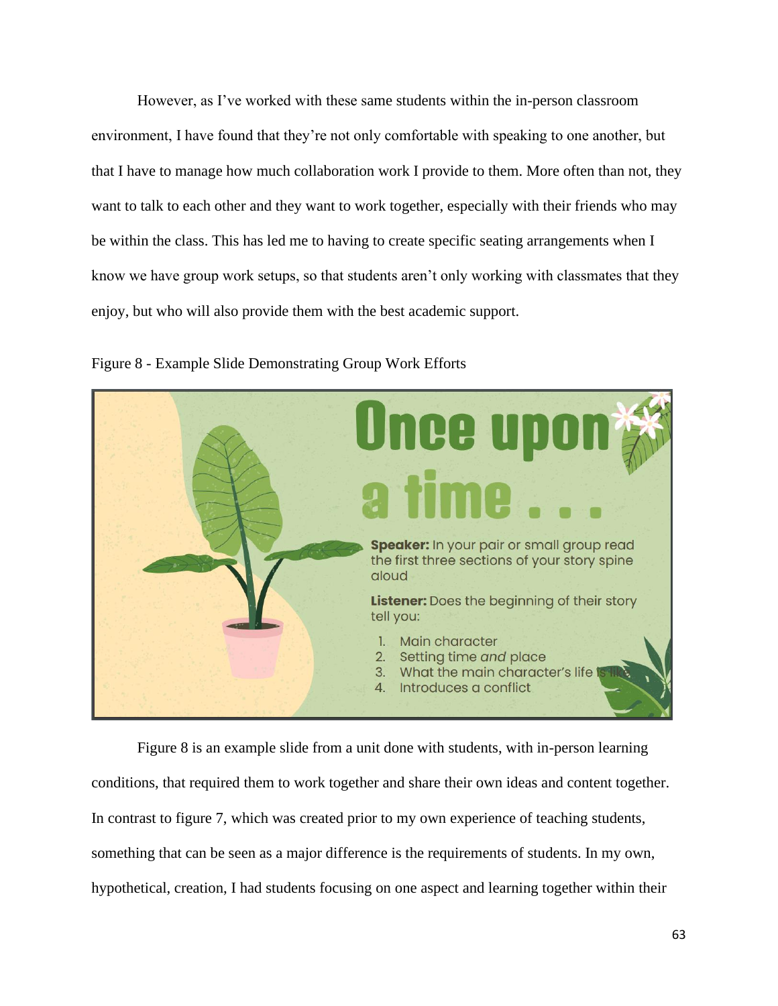However, as I've worked with these same students within the in-person classroom environment, I have found that they're not only comfortable with speaking to one another, but that I have to manage how much collaboration work I provide to them. More often than not, they want to talk to each other and they want to work together, especially with their friends who may be within the class. This has led me to having to create specific seating arrangements when I know we have group work setups, so that students aren't only working with classmates that they enjoy, but who will also provide them with the best academic support.



Figure 8 - Example Slide Demonstrating Group Work Efforts

Figure 8 is an example slide from a unit done with students, with in-person learning conditions, that required them to work together and share their own ideas and content together. In contrast to figure 7, which was created prior to my own experience of teaching students, something that can be seen as a major difference is the requirements of students. In my own, hypothetical, creation, I had students focusing on one aspect and learning together within their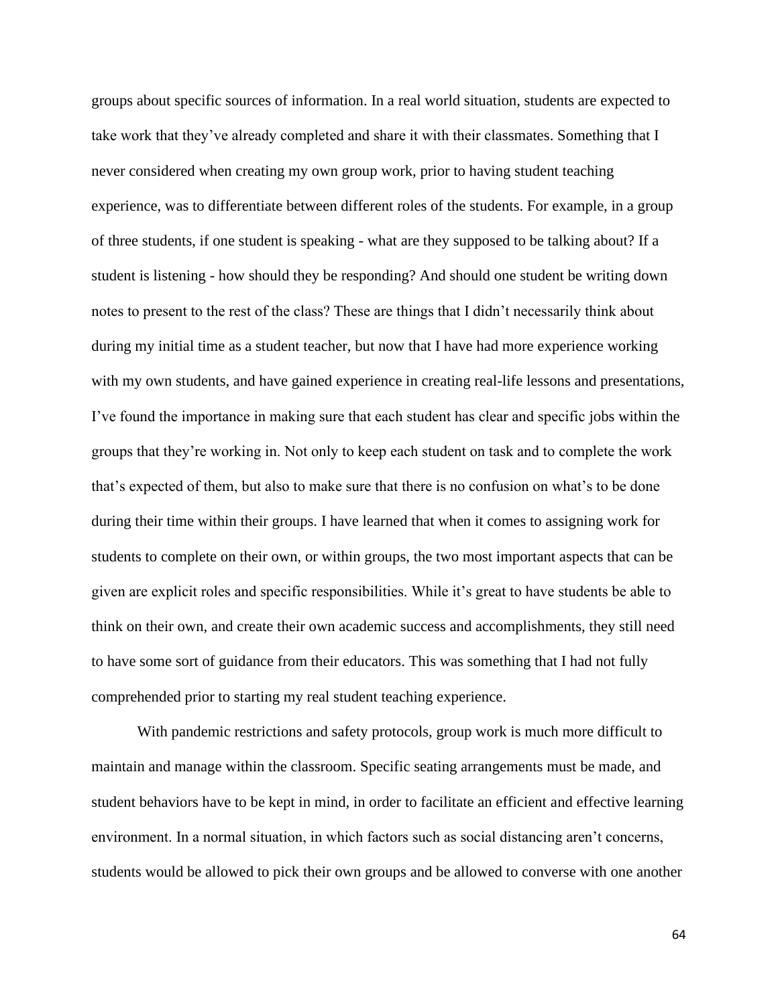groups about specific sources of information. In a real world situation, students are expected to take work that they've already completed and share it with their classmates. Something that I never considered when creating my own group work, prior to having student teaching experience, was to differentiate between different roles of the students. For example, in a group of three students, if one student is speaking - what are they supposed to be talking about? If a student is listening - how should they be responding? And should one student be writing down notes to present to the rest of the class? These are things that I didn't necessarily think about during my initial time as a student teacher, but now that I have had more experience working with my own students, and have gained experience in creating real-life lessons and presentations, I've found the importance in making sure that each student has clear and specific jobs within the groups that they're working in. Not only to keep each student on task and to complete the work that's expected of them, but also to make sure that there is no confusion on what's to be done during their time within their groups. I have learned that when it comes to assigning work for students to complete on their own, or within groups, the two most important aspects that can be given are explicit roles and specific responsibilities. While it's great to have students be able to think on their own, and create their own academic success and accomplishments, they still need to have some sort of guidance from their educators. This was something that I had not fully comprehended prior to starting my real student teaching experience.

With pandemic restrictions and safety protocols, group work is much more difficult to maintain and manage within the classroom. Specific seating arrangements must be made, and student behaviors have to be kept in mind, in order to facilitate an efficient and effective learning environment. In a normal situation, in which factors such as social distancing aren't concerns, students would be allowed to pick their own groups and be allowed to converse with one another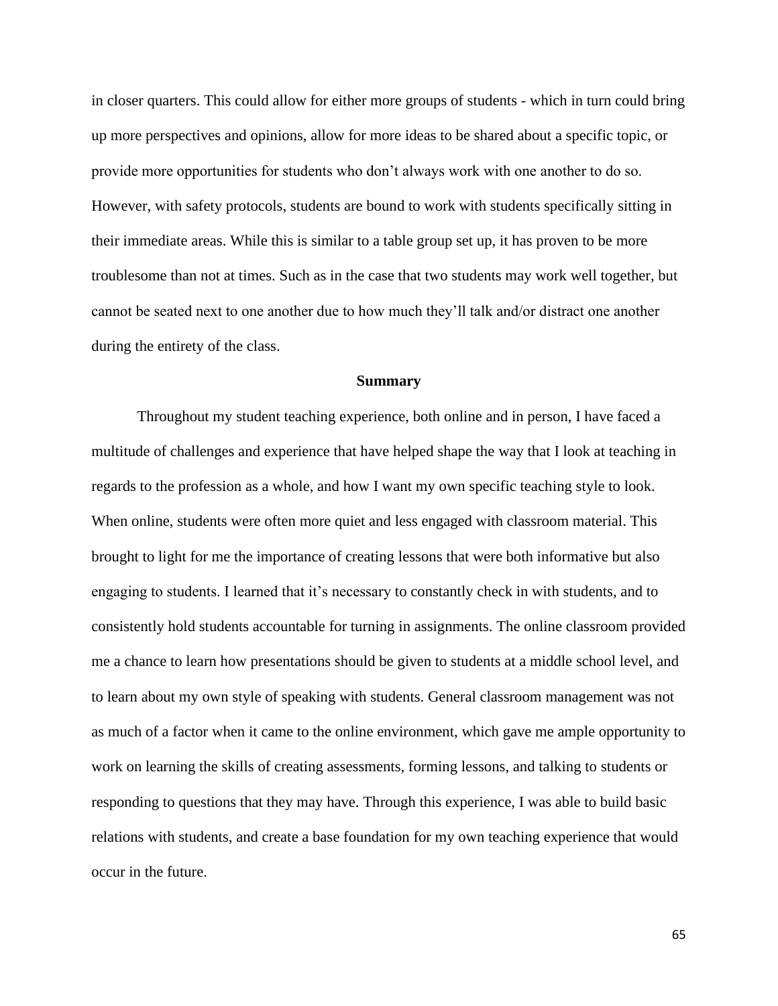in closer quarters. This could allow for either more groups of students - which in turn could bring up more perspectives and opinions, allow for more ideas to be shared about a specific topic, or provide more opportunities for students who don't always work with one another to do so. However, with safety protocols, students are bound to work with students specifically sitting in their immediate areas. While this is similar to a table group set up, it has proven to be more troublesome than not at times. Such as in the case that two students may work well together, but cannot be seated next to one another due to how much they'll talk and/or distract one another during the entirety of the class.

#### **Summary**

Throughout my student teaching experience, both online and in person, I have faced a multitude of challenges and experience that have helped shape the way that I look at teaching in regards to the profession as a whole, and how I want my own specific teaching style to look. When online, students were often more quiet and less engaged with classroom material. This brought to light for me the importance of creating lessons that were both informative but also engaging to students. I learned that it's necessary to constantly check in with students, and to consistently hold students accountable for turning in assignments. The online classroom provided me a chance to learn how presentations should be given to students at a middle school level, and to learn about my own style of speaking with students. General classroom management was not as much of a factor when it came to the online environment, which gave me ample opportunity to work on learning the skills of creating assessments, forming lessons, and talking to students or responding to questions that they may have. Through this experience, I was able to build basic relations with students, and create a base foundation for my own teaching experience that would occur in the future.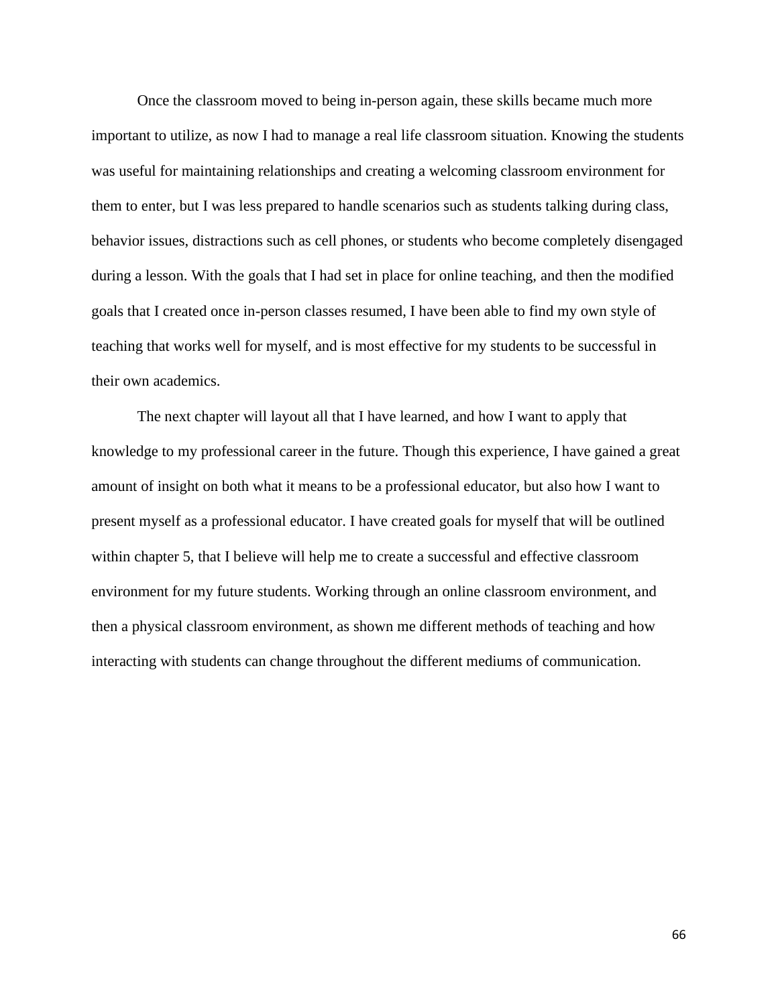Once the classroom moved to being in-person again, these skills became much more important to utilize, as now I had to manage a real life classroom situation. Knowing the students was useful for maintaining relationships and creating a welcoming classroom environment for them to enter, but I was less prepared to handle scenarios such as students talking during class, behavior issues, distractions such as cell phones, or students who become completely disengaged during a lesson. With the goals that I had set in place for online teaching, and then the modified goals that I created once in-person classes resumed, I have been able to find my own style of teaching that works well for myself, and is most effective for my students to be successful in their own academics.

The next chapter will layout all that I have learned, and how I want to apply that knowledge to my professional career in the future. Though this experience, I have gained a great amount of insight on both what it means to be a professional educator, but also how I want to present myself as a professional educator. I have created goals for myself that will be outlined within chapter 5, that I believe will help me to create a successful and effective classroom environment for my future students. Working through an online classroom environment, and then a physical classroom environment, as shown me different methods of teaching and how interacting with students can change throughout the different mediums of communication.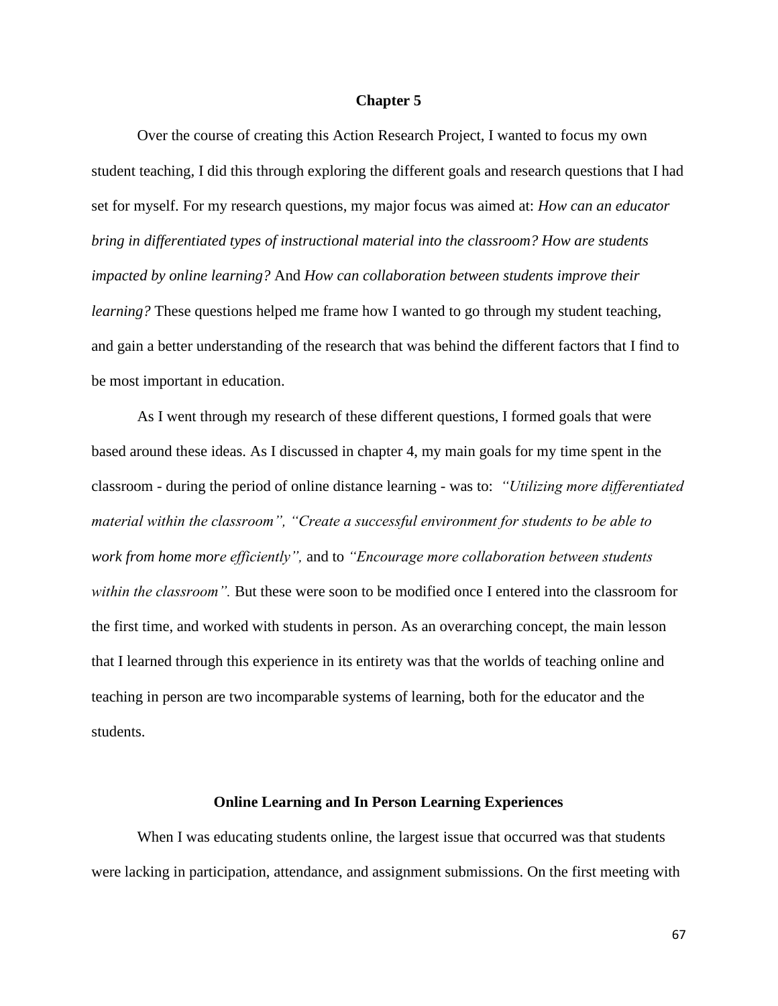#### **Chapter 5**

Over the course of creating this Action Research Project, I wanted to focus my own student teaching, I did this through exploring the different goals and research questions that I had set for myself. For my research questions, my major focus was aimed at: *How can an educator bring in differentiated types of instructional material into the classroom? How are students impacted by online learning?* And *How can collaboration between students improve their learning?* These questions helped me frame how I wanted to go through my student teaching, and gain a better understanding of the research that was behind the different factors that I find to be most important in education.

As I went through my research of these different questions, I formed goals that were based around these ideas. As I discussed in chapter 4, my main goals for my time spent in the classroom - during the period of online distance learning - was to: *"Utilizing more differentiated material within the classroom", "Create a successful environment for students to be able to work from home more efficiently",* and to *"Encourage more collaboration between students within the classroom".* But these were soon to be modified once I entered into the classroom for the first time, and worked with students in person. As an overarching concept, the main lesson that I learned through this experience in its entirety was that the worlds of teaching online and teaching in person are two incomparable systems of learning, both for the educator and the students.

#### **Online Learning and In Person Learning Experiences**

When I was educating students online, the largest issue that occurred was that students were lacking in participation, attendance, and assignment submissions. On the first meeting with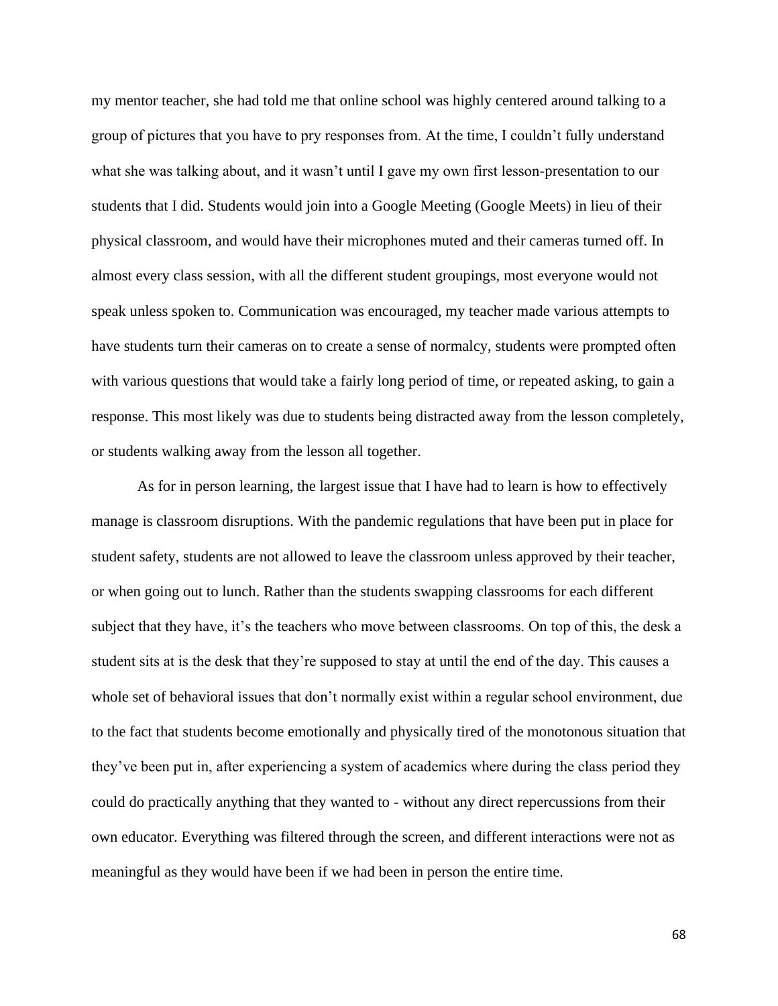my mentor teacher, she had told me that online school was highly centered around talking to a group of pictures that you have to pry responses from. At the time, I couldn't fully understand what she was talking about, and it wasn't until I gave my own first lesson-presentation to our students that I did. Students would join into a Google Meeting (Google Meets) in lieu of their physical classroom, and would have their microphones muted and their cameras turned off. In almost every class session, with all the different student groupings, most everyone would not speak unless spoken to. Communication was encouraged, my teacher made various attempts to have students turn their cameras on to create a sense of normalcy, students were prompted often with various questions that would take a fairly long period of time, or repeated asking, to gain a response. This most likely was due to students being distracted away from the lesson completely, or students walking away from the lesson all together.

As for in person learning, the largest issue that I have had to learn is how to effectively manage is classroom disruptions. With the pandemic regulations that have been put in place for student safety, students are not allowed to leave the classroom unless approved by their teacher, or when going out to lunch. Rather than the students swapping classrooms for each different subject that they have, it's the teachers who move between classrooms. On top of this, the desk a student sits at is the desk that they're supposed to stay at until the end of the day. This causes a whole set of behavioral issues that don't normally exist within a regular school environment, due to the fact that students become emotionally and physically tired of the monotonous situation that they've been put in, after experiencing a system of academics where during the class period they could do practically anything that they wanted to - without any direct repercussions from their own educator. Everything was filtered through the screen, and different interactions were not as meaningful as they would have been if we had been in person the entire time.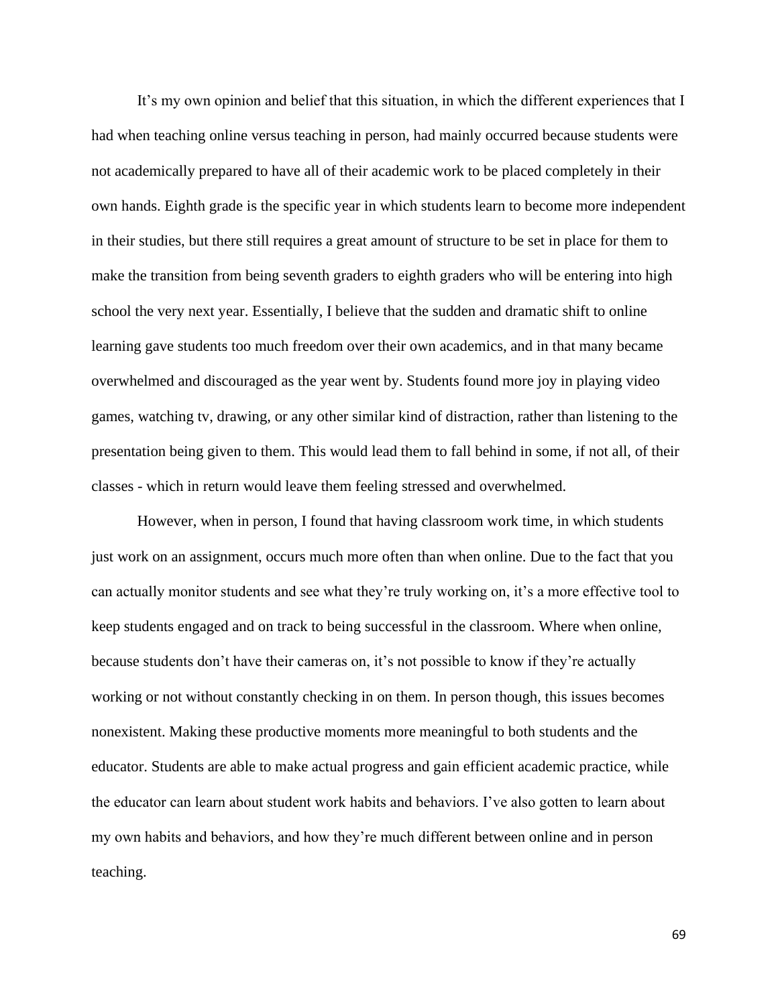It's my own opinion and belief that this situation, in which the different experiences that I had when teaching online versus teaching in person, had mainly occurred because students were not academically prepared to have all of their academic work to be placed completely in their own hands. Eighth grade is the specific year in which students learn to become more independent in their studies, but there still requires a great amount of structure to be set in place for them to make the transition from being seventh graders to eighth graders who will be entering into high school the very next year. Essentially, I believe that the sudden and dramatic shift to online learning gave students too much freedom over their own academics, and in that many became overwhelmed and discouraged as the year went by. Students found more joy in playing video games, watching tv, drawing, or any other similar kind of distraction, rather than listening to the presentation being given to them. This would lead them to fall behind in some, if not all, of their classes - which in return would leave them feeling stressed and overwhelmed.

However, when in person, I found that having classroom work time, in which students just work on an assignment, occurs much more often than when online. Due to the fact that you can actually monitor students and see what they're truly working on, it's a more effective tool to keep students engaged and on track to being successful in the classroom. Where when online, because students don't have their cameras on, it's not possible to know if they're actually working or not without constantly checking in on them. In person though, this issues becomes nonexistent. Making these productive moments more meaningful to both students and the educator. Students are able to make actual progress and gain efficient academic practice, while the educator can learn about student work habits and behaviors. I've also gotten to learn about my own habits and behaviors, and how they're much different between online and in person teaching.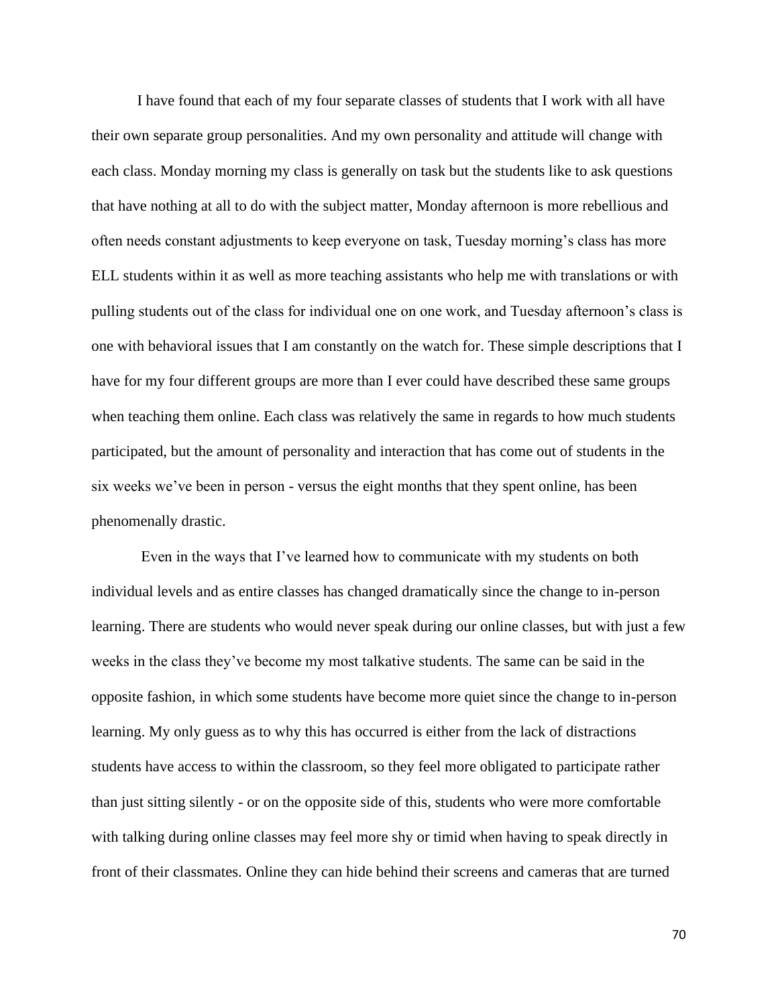I have found that each of my four separate classes of students that I work with all have their own separate group personalities. And my own personality and attitude will change with each class. Monday morning my class is generally on task but the students like to ask questions that have nothing at all to do with the subject matter, Monday afternoon is more rebellious and often needs constant adjustments to keep everyone on task, Tuesday morning's class has more ELL students within it as well as more teaching assistants who help me with translations or with pulling students out of the class for individual one on one work, and Tuesday afternoon's class is one with behavioral issues that I am constantly on the watch for. These simple descriptions that I have for my four different groups are more than I ever could have described these same groups when teaching them online. Each class was relatively the same in regards to how much students participated, but the amount of personality and interaction that has come out of students in the six weeks we've been in person - versus the eight months that they spent online, has been phenomenally drastic.

Even in the ways that I've learned how to communicate with my students on both individual levels and as entire classes has changed dramatically since the change to in-person learning. There are students who would never speak during our online classes, but with just a few weeks in the class they've become my most talkative students. The same can be said in the opposite fashion, in which some students have become more quiet since the change to in-person learning. My only guess as to why this has occurred is either from the lack of distractions students have access to within the classroom, so they feel more obligated to participate rather than just sitting silently - or on the opposite side of this, students who were more comfortable with talking during online classes may feel more shy or timid when having to speak directly in front of their classmates. Online they can hide behind their screens and cameras that are turned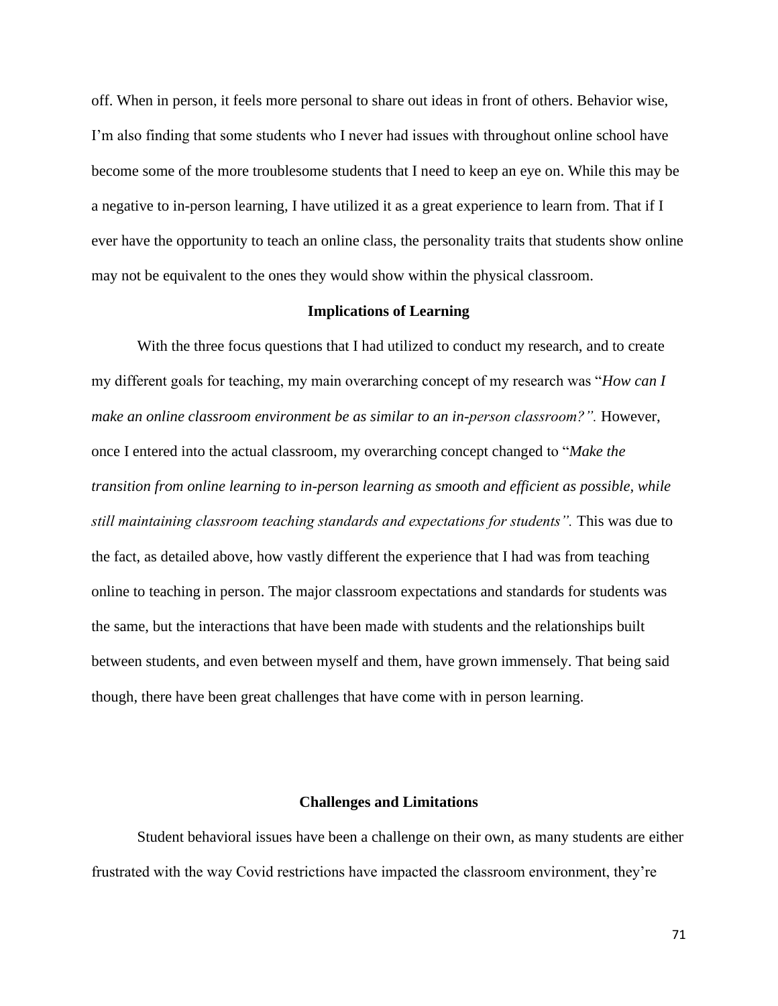off. When in person, it feels more personal to share out ideas in front of others. Behavior wise, I'm also finding that some students who I never had issues with throughout online school have become some of the more troublesome students that I need to keep an eye on. While this may be a negative to in-person learning, I have utilized it as a great experience to learn from. That if I ever have the opportunity to teach an online class, the personality traits that students show online may not be equivalent to the ones they would show within the physical classroom.

### **Implications of Learning**

With the three focus questions that I had utilized to conduct my research, and to create my different goals for teaching, my main overarching concept of my research was "*How can I make an online classroom environment be as similar to an in-person classroom?".* However, once I entered into the actual classroom, my overarching concept changed to "*Make the transition from online learning to in-person learning as smooth and efficient as possible, while still maintaining classroom teaching standards and expectations for students".* This was due to the fact, as detailed above, how vastly different the experience that I had was from teaching online to teaching in person. The major classroom expectations and standards for students was the same, but the interactions that have been made with students and the relationships built between students, and even between myself and them, have grown immensely. That being said though, there have been great challenges that have come with in person learning.

#### **Challenges and Limitations**

Student behavioral issues have been a challenge on their own, as many students are either frustrated with the way Covid restrictions have impacted the classroom environment, they're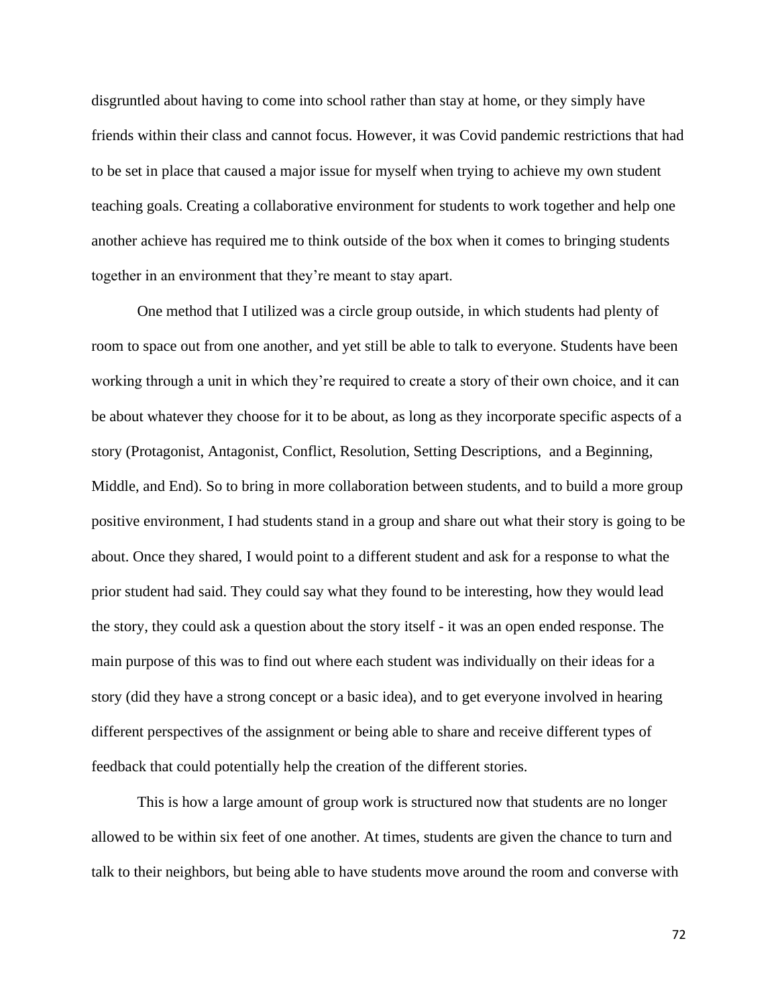disgruntled about having to come into school rather than stay at home, or they simply have friends within their class and cannot focus. However, it was Covid pandemic restrictions that had to be set in place that caused a major issue for myself when trying to achieve my own student teaching goals. Creating a collaborative environment for students to work together and help one another achieve has required me to think outside of the box when it comes to bringing students together in an environment that they're meant to stay apart.

One method that I utilized was a circle group outside, in which students had plenty of room to space out from one another, and yet still be able to talk to everyone. Students have been working through a unit in which they're required to create a story of their own choice, and it can be about whatever they choose for it to be about, as long as they incorporate specific aspects of a story (Protagonist, Antagonist, Conflict, Resolution, Setting Descriptions, and a Beginning, Middle, and End). So to bring in more collaboration between students, and to build a more group positive environment, I had students stand in a group and share out what their story is going to be about. Once they shared, I would point to a different student and ask for a response to what the prior student had said. They could say what they found to be interesting, how they would lead the story, they could ask a question about the story itself - it was an open ended response. The main purpose of this was to find out where each student was individually on their ideas for a story (did they have a strong concept or a basic idea), and to get everyone involved in hearing different perspectives of the assignment or being able to share and receive different types of feedback that could potentially help the creation of the different stories.

This is how a large amount of group work is structured now that students are no longer allowed to be within six feet of one another. At times, students are given the chance to turn and talk to their neighbors, but being able to have students move around the room and converse with

72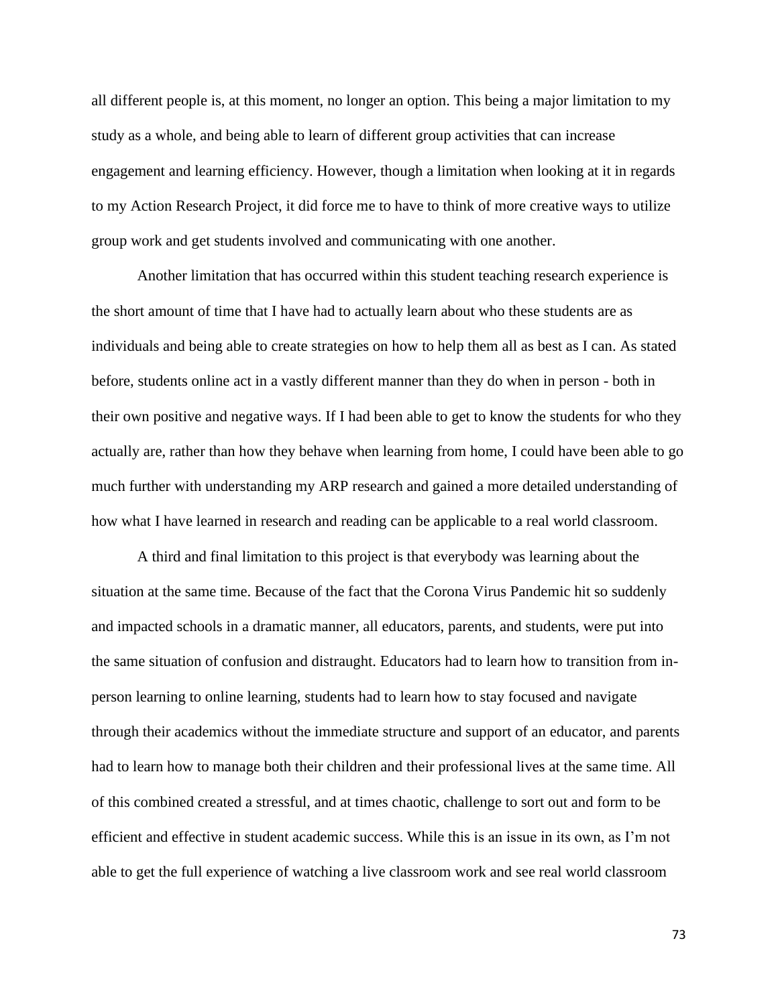all different people is, at this moment, no longer an option. This being a major limitation to my study as a whole, and being able to learn of different group activities that can increase engagement and learning efficiency. However, though a limitation when looking at it in regards to my Action Research Project, it did force me to have to think of more creative ways to utilize group work and get students involved and communicating with one another.

Another limitation that has occurred within this student teaching research experience is the short amount of time that I have had to actually learn about who these students are as individuals and being able to create strategies on how to help them all as best as I can. As stated before, students online act in a vastly different manner than they do when in person - both in their own positive and negative ways. If I had been able to get to know the students for who they actually are, rather than how they behave when learning from home, I could have been able to go much further with understanding my ARP research and gained a more detailed understanding of how what I have learned in research and reading can be applicable to a real world classroom.

A third and final limitation to this project is that everybody was learning about the situation at the same time. Because of the fact that the Corona Virus Pandemic hit so suddenly and impacted schools in a dramatic manner, all educators, parents, and students, were put into the same situation of confusion and distraught. Educators had to learn how to transition from inperson learning to online learning, students had to learn how to stay focused and navigate through their academics without the immediate structure and support of an educator, and parents had to learn how to manage both their children and their professional lives at the same time. All of this combined created a stressful, and at times chaotic, challenge to sort out and form to be efficient and effective in student academic success. While this is an issue in its own, as I'm not able to get the full experience of watching a live classroom work and see real world classroom

73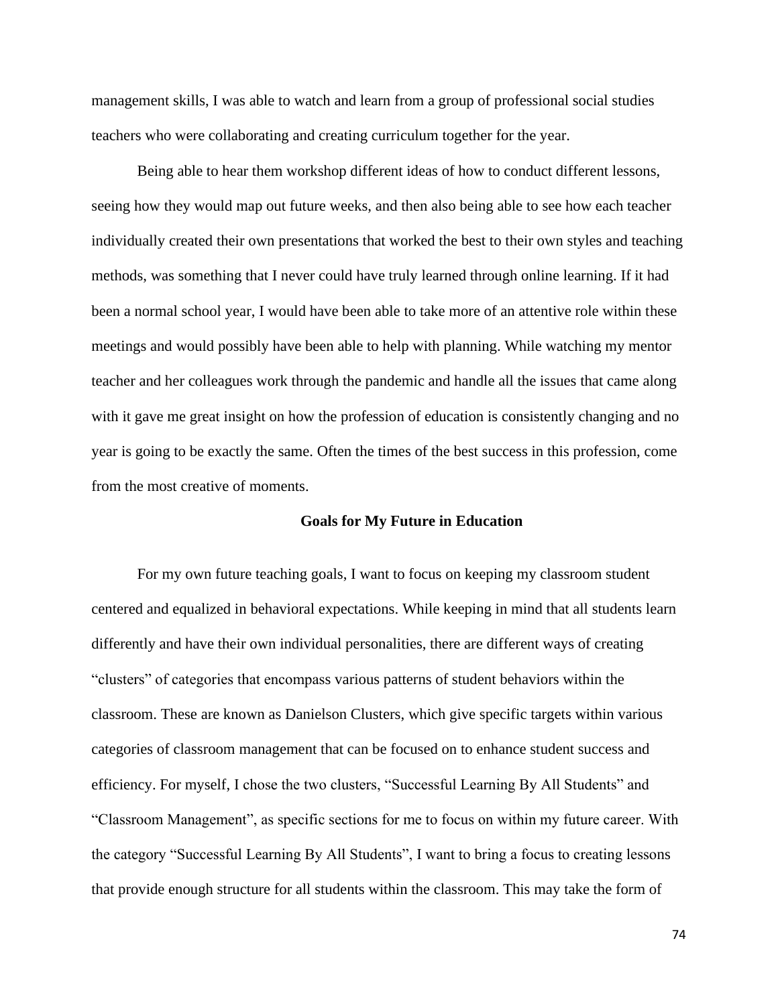management skills, I was able to watch and learn from a group of professional social studies teachers who were collaborating and creating curriculum together for the year.

Being able to hear them workshop different ideas of how to conduct different lessons, seeing how they would map out future weeks, and then also being able to see how each teacher individually created their own presentations that worked the best to their own styles and teaching methods, was something that I never could have truly learned through online learning. If it had been a normal school year, I would have been able to take more of an attentive role within these meetings and would possibly have been able to help with planning. While watching my mentor teacher and her colleagues work through the pandemic and handle all the issues that came along with it gave me great insight on how the profession of education is consistently changing and no year is going to be exactly the same. Often the times of the best success in this profession, come from the most creative of moments.

#### **Goals for My Future in Education**

For my own future teaching goals, I want to focus on keeping my classroom student centered and equalized in behavioral expectations. While keeping in mind that all students learn differently and have their own individual personalities, there are different ways of creating "clusters" of categories that encompass various patterns of student behaviors within the classroom. These are known as Danielson Clusters, which give specific targets within various categories of classroom management that can be focused on to enhance student success and efficiency. For myself, I chose the two clusters, "Successful Learning By All Students" and "Classroom Management", as specific sections for me to focus on within my future career. With the category "Successful Learning By All Students", I want to bring a focus to creating lessons that provide enough structure for all students within the classroom. This may take the form of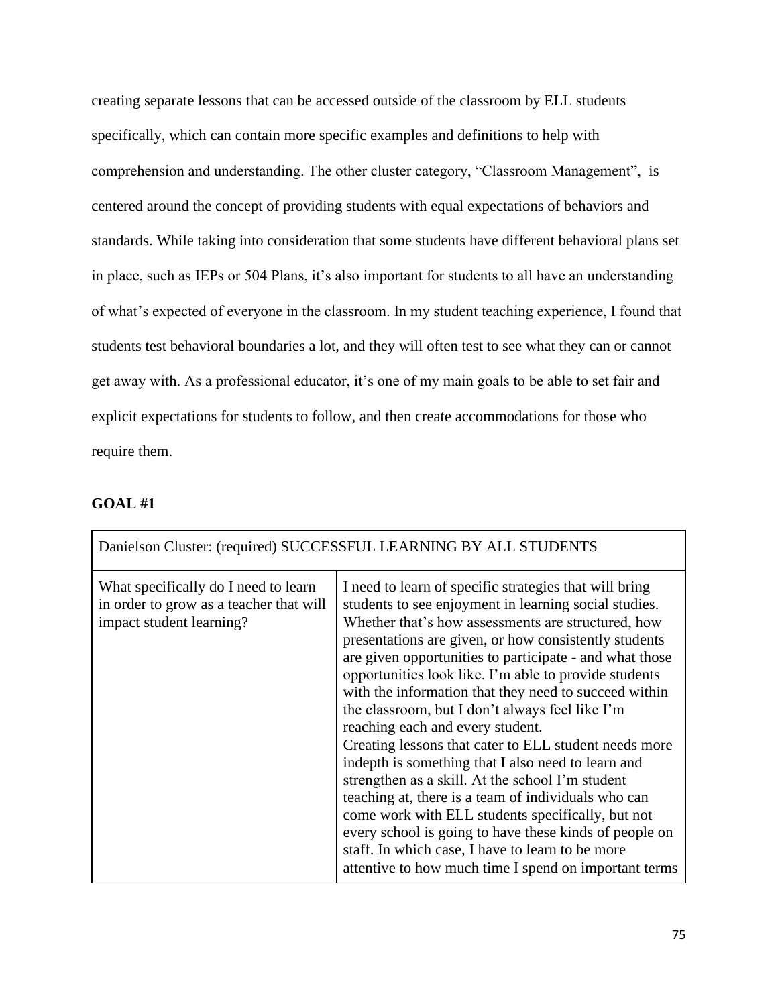creating separate lessons that can be accessed outside of the classroom by ELL students specifically, which can contain more specific examples and definitions to help with comprehension and understanding. The other cluster category, "Classroom Management", is centered around the concept of providing students with equal expectations of behaviors and standards. While taking into consideration that some students have different behavioral plans set in place, such as IEPs or 504 Plans, it's also important for students to all have an understanding of what's expected of everyone in the classroom. In my student teaching experience, I found that students test behavioral boundaries a lot, and they will often test to see what they can or cannot get away with. As a professional educator, it's one of my main goals to be able to set fair and explicit expectations for students to follow, and then create accommodations for those who require them.

## **GOAL #1**

| Danielson Cluster: (required) SUCCESSFUL LEARNING BY ALL STUDENTS                                           |                                                                                                                                                                                                                                                                                                                                                                                                                                                                                                                                                                                                                                                                                                                                                                                                                                                                                                                                                          |  |
|-------------------------------------------------------------------------------------------------------------|----------------------------------------------------------------------------------------------------------------------------------------------------------------------------------------------------------------------------------------------------------------------------------------------------------------------------------------------------------------------------------------------------------------------------------------------------------------------------------------------------------------------------------------------------------------------------------------------------------------------------------------------------------------------------------------------------------------------------------------------------------------------------------------------------------------------------------------------------------------------------------------------------------------------------------------------------------|--|
| What specifically do I need to learn<br>in order to grow as a teacher that will<br>impact student learning? | I need to learn of specific strategies that will bring<br>students to see enjoyment in learning social studies.<br>Whether that's how assessments are structured, how<br>presentations are given, or how consistently students<br>are given opportunities to participate - and what those<br>opportunities look like. I'm able to provide students<br>with the information that they need to succeed within<br>the classroom, but I don't always feel like I'm<br>reaching each and every student.<br>Creating lessons that cater to ELL student needs more<br>indepth is something that I also need to learn and<br>strengthen as a skill. At the school I'm student<br>teaching at, there is a team of individuals who can<br>come work with ELL students specifically, but not<br>every school is going to have these kinds of people on<br>staff. In which case, I have to learn to be more<br>attentive to how much time I spend on important terms |  |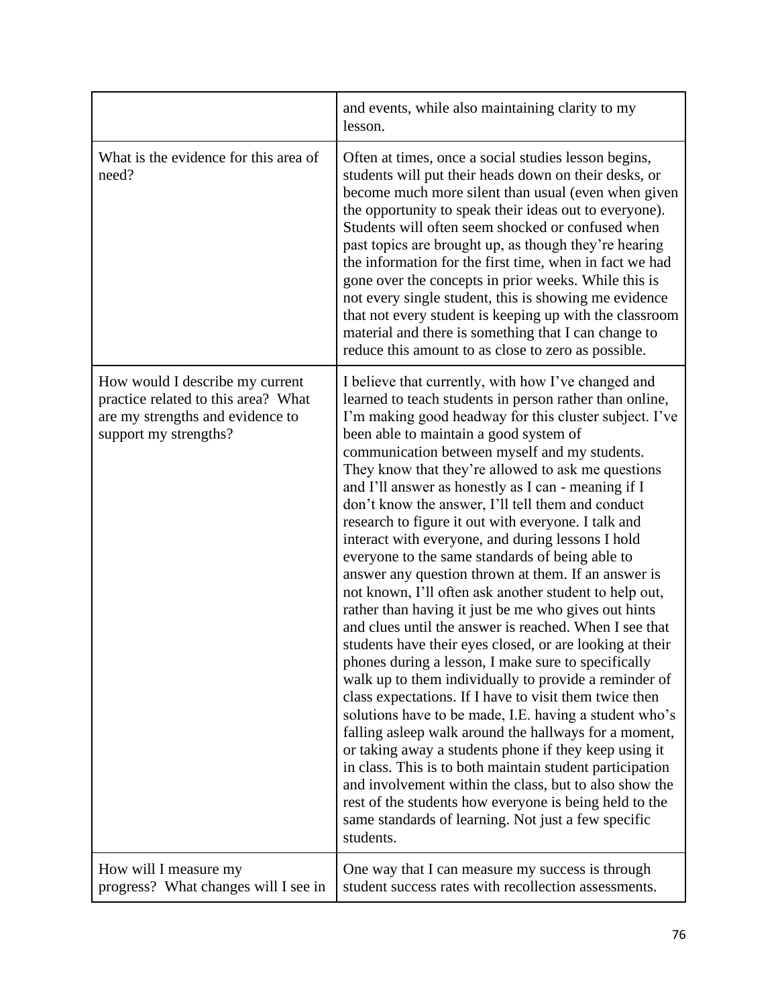|                                                                                                                                     | and events, while also maintaining clarity to my<br>lesson.                                                                                                                                                                                                                                                                                                                                                                                                                                                                                                                                                                                                                                                                                                                                                                                                                                                                                                                                                                                                                                                                                                                                                                                                                                                                                                                                                                                                                                                   |
|-------------------------------------------------------------------------------------------------------------------------------------|---------------------------------------------------------------------------------------------------------------------------------------------------------------------------------------------------------------------------------------------------------------------------------------------------------------------------------------------------------------------------------------------------------------------------------------------------------------------------------------------------------------------------------------------------------------------------------------------------------------------------------------------------------------------------------------------------------------------------------------------------------------------------------------------------------------------------------------------------------------------------------------------------------------------------------------------------------------------------------------------------------------------------------------------------------------------------------------------------------------------------------------------------------------------------------------------------------------------------------------------------------------------------------------------------------------------------------------------------------------------------------------------------------------------------------------------------------------------------------------------------------------|
| What is the evidence for this area of<br>need?                                                                                      | Often at times, once a social studies lesson begins,<br>students will put their heads down on their desks, or<br>become much more silent than usual (even when given<br>the opportunity to speak their ideas out to everyone).<br>Students will often seem shocked or confused when<br>past topics are brought up, as though they're hearing<br>the information for the first time, when in fact we had<br>gone over the concepts in prior weeks. While this is<br>not every single student, this is showing me evidence<br>that not every student is keeping up with the classroom<br>material and there is something that I can change to<br>reduce this amount to as close to zero as possible.                                                                                                                                                                                                                                                                                                                                                                                                                                                                                                                                                                                                                                                                                                                                                                                                            |
| How would I describe my current<br>practice related to this area? What<br>are my strengths and evidence to<br>support my strengths? | I believe that currently, with how I've changed and<br>learned to teach students in person rather than online,<br>I'm making good headway for this cluster subject. I've<br>been able to maintain a good system of<br>communication between myself and my students.<br>They know that they're allowed to ask me questions<br>and I'll answer as honestly as I can - meaning if I<br>don't know the answer, I'll tell them and conduct<br>research to figure it out with everyone. I talk and<br>interact with everyone, and during lessons I hold<br>everyone to the same standards of being able to<br>answer any question thrown at them. If an answer is<br>not known, I'll often ask another student to help out,<br>rather than having it just be me who gives out hints<br>and clues until the answer is reached. When I see that<br>students have their eyes closed, or are looking at their<br>phones during a lesson, I make sure to specifically<br>walk up to them individually to provide a reminder of<br>class expectations. If I have to visit them twice then<br>solutions have to be made, I.E. having a student who's<br>falling asleep walk around the hallways for a moment,<br>or taking away a students phone if they keep using it<br>in class. This is to both maintain student participation<br>and involvement within the class, but to also show the<br>rest of the students how everyone is being held to the<br>same standards of learning. Not just a few specific<br>students. |
| How will I measure my<br>progress? What changes will I see in                                                                       | One way that I can measure my success is through<br>student success rates with recollection assessments.                                                                                                                                                                                                                                                                                                                                                                                                                                                                                                                                                                                                                                                                                                                                                                                                                                                                                                                                                                                                                                                                                                                                                                                                                                                                                                                                                                                                      |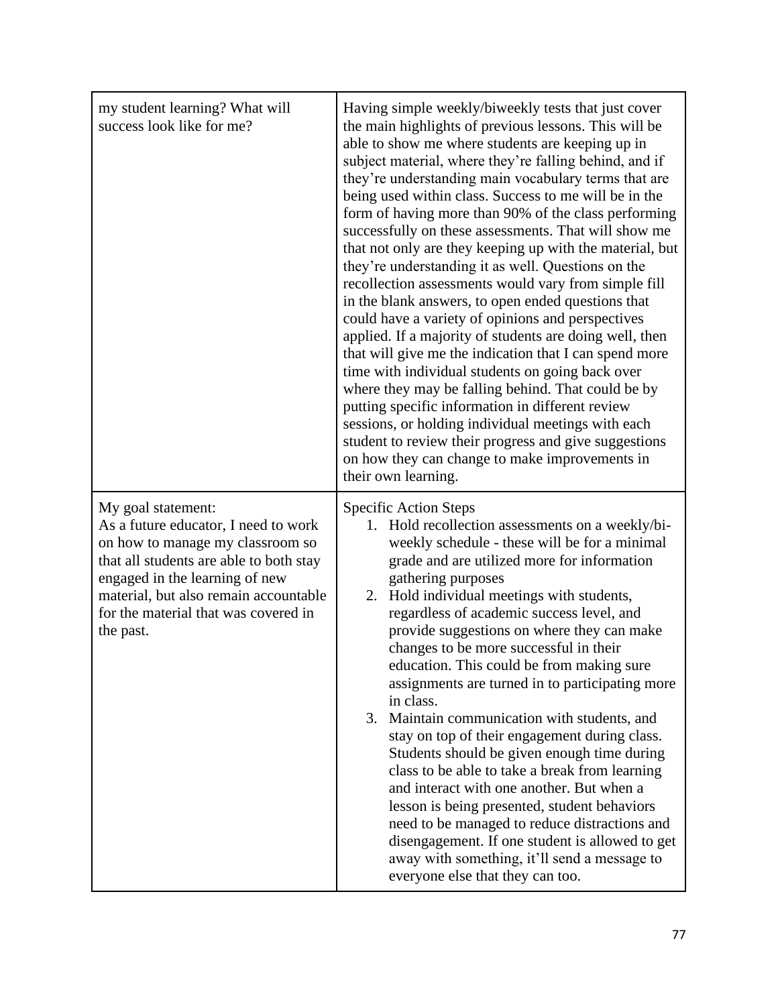| my student learning? What will<br>success look like for me?                                                                                                                                                                                                               | Having simple weekly/biweekly tests that just cover<br>the main highlights of previous lessons. This will be<br>able to show me where students are keeping up in<br>subject material, where they're falling behind, and if<br>they're understanding main vocabulary terms that are<br>being used within class. Success to me will be in the<br>form of having more than 90% of the class performing<br>successfully on these assessments. That will show me<br>that not only are they keeping up with the material, but<br>they're understanding it as well. Questions on the<br>recollection assessments would vary from simple fill<br>in the blank answers, to open ended questions that<br>could have a variety of opinions and perspectives<br>applied. If a majority of students are doing well, then<br>that will give me the indication that I can spend more<br>time with individual students on going back over<br>where they may be falling behind. That could be by<br>putting specific information in different review<br>sessions, or holding individual meetings with each<br>student to review their progress and give suggestions<br>on how they can change to make improvements in<br>their own learning. |
|---------------------------------------------------------------------------------------------------------------------------------------------------------------------------------------------------------------------------------------------------------------------------|-----------------------------------------------------------------------------------------------------------------------------------------------------------------------------------------------------------------------------------------------------------------------------------------------------------------------------------------------------------------------------------------------------------------------------------------------------------------------------------------------------------------------------------------------------------------------------------------------------------------------------------------------------------------------------------------------------------------------------------------------------------------------------------------------------------------------------------------------------------------------------------------------------------------------------------------------------------------------------------------------------------------------------------------------------------------------------------------------------------------------------------------------------------------------------------------------------------------------------|
| My goal statement:<br>As a future educator, I need to work<br>on how to manage my classroom so<br>that all students are able to both stay<br>engaged in the learning of new<br>material, but also remain accountable<br>for the material that was covered in<br>the past. | <b>Specific Action Steps</b><br>1. Hold recollection assessments on a weekly/bi-<br>weekly schedule - these will be for a minimal<br>grade and are utilized more for information<br>gathering purposes<br>2. Hold individual meetings with students,<br>regardless of academic success level, and<br>provide suggestions on where they can make<br>changes to be more successful in their<br>education. This could be from making sure<br>assignments are turned in to participating more<br>in class.<br>3. Maintain communication with students, and<br>stay on top of their engagement during class.<br>Students should be given enough time during<br>class to be able to take a break from learning<br>and interact with one another. But when a<br>lesson is being presented, student behaviors<br>need to be managed to reduce distractions and<br>disengagement. If one student is allowed to get<br>away with something, it'll send a message to<br>everyone else that they can too.                                                                                                                                                                                                                               |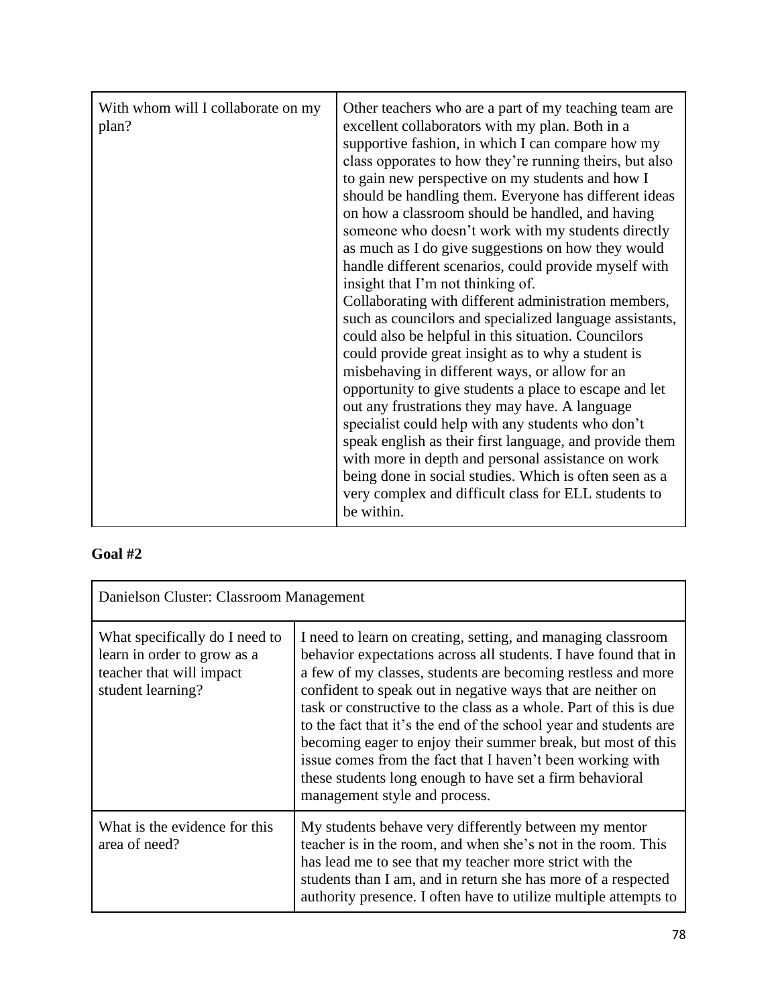| With whom will I collaborate on my<br>plan? | Other teachers who are a part of my teaching team are<br>excellent collaborators with my plan. Both in a<br>supportive fashion, in which I can compare how my<br>class opporates to how they're running theirs, but also<br>to gain new perspective on my students and how I<br>should be handling them. Everyone has different ideas<br>on how a classroom should be handled, and having<br>someone who doesn't work with my students directly<br>as much as I do give suggestions on how they would<br>handle different scenarios, could provide myself with<br>insight that I'm not thinking of.<br>Collaborating with different administration members,<br>such as councilors and specialized language assistants,<br>could also be helpful in this situation. Councilors<br>could provide great insight as to why a student is<br>misbehaving in different ways, or allow for an<br>opportunity to give students a place to escape and let<br>out any frustrations they may have. A language<br>specialist could help with any students who don't<br>speak english as their first language, and provide them<br>with more in depth and personal assistance on work<br>being done in social studies. Which is often seen as a<br>very complex and difficult class for ELL students to |
|---------------------------------------------|-------------------------------------------------------------------------------------------------------------------------------------------------------------------------------------------------------------------------------------------------------------------------------------------------------------------------------------------------------------------------------------------------------------------------------------------------------------------------------------------------------------------------------------------------------------------------------------------------------------------------------------------------------------------------------------------------------------------------------------------------------------------------------------------------------------------------------------------------------------------------------------------------------------------------------------------------------------------------------------------------------------------------------------------------------------------------------------------------------------------------------------------------------------------------------------------------------------------------------------------------------------------------------------------|
|                                             | be within.                                                                                                                                                                                                                                                                                                                                                                                                                                                                                                                                                                                                                                                                                                                                                                                                                                                                                                                                                                                                                                                                                                                                                                                                                                                                                |

# **Goal #2**

| Danielson Cluster: Classroom Management                                                                        |                                                                                                                                                                                                                                                                                                                                                                                                                                                                                                                                                                                                                                     |
|----------------------------------------------------------------------------------------------------------------|-------------------------------------------------------------------------------------------------------------------------------------------------------------------------------------------------------------------------------------------------------------------------------------------------------------------------------------------------------------------------------------------------------------------------------------------------------------------------------------------------------------------------------------------------------------------------------------------------------------------------------------|
| What specifically do I need to<br>learn in order to grow as a<br>teacher that will impact<br>student learning? | I need to learn on creating, setting, and managing classroom<br>behavior expectations across all students. I have found that in<br>a few of my classes, students are becoming restless and more<br>confident to speak out in negative ways that are neither on<br>task or constructive to the class as a whole. Part of this is due<br>to the fact that it's the end of the school year and students are<br>becoming eager to enjoy their summer break, but most of this<br>issue comes from the fact that I haven't been working with<br>these students long enough to have set a firm behavioral<br>management style and process. |
| What is the evidence for this<br>area of need?                                                                 | My students behave very differently between my mentor<br>teacher is in the room, and when she's not in the room. This<br>has lead me to see that my teacher more strict with the<br>students than I am, and in return she has more of a respected<br>authority presence. I often have to utilize multiple attempts to                                                                                                                                                                                                                                                                                                               |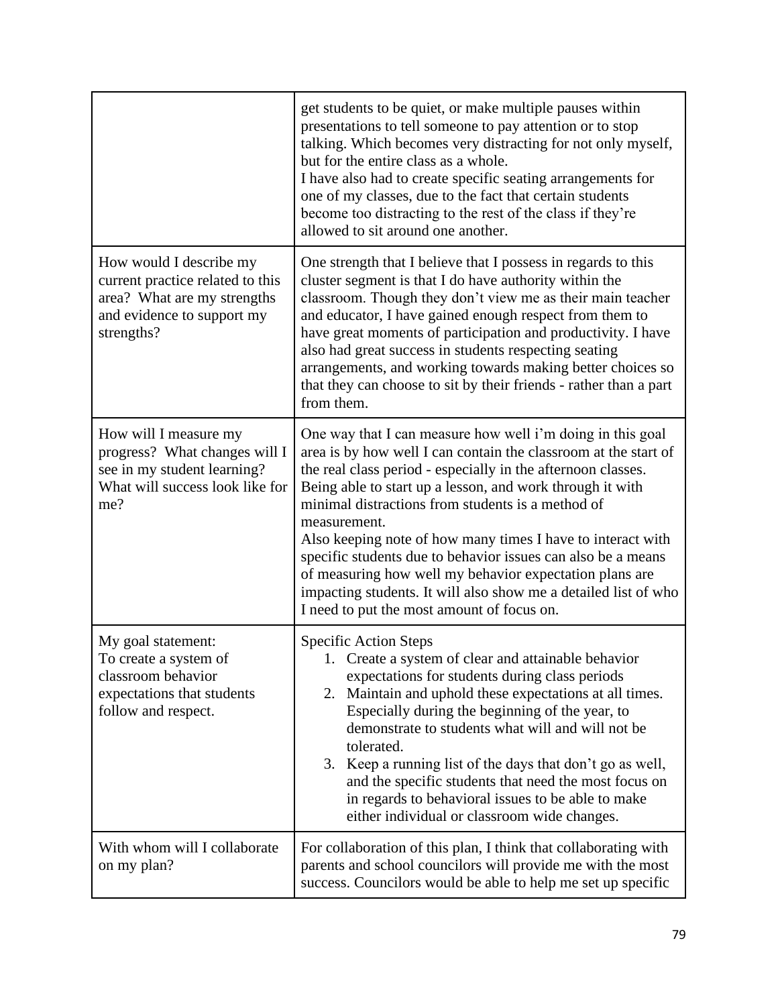|                                                                                                                                        | get students to be quiet, or make multiple pauses within<br>presentations to tell someone to pay attention or to stop<br>talking. Which becomes very distracting for not only myself,<br>but for the entire class as a whole.<br>I have also had to create specific seating arrangements for<br>one of my classes, due to the fact that certain students<br>become too distracting to the rest of the class if they're<br>allowed to sit around one another.                                                                                                                                                                               |
|----------------------------------------------------------------------------------------------------------------------------------------|--------------------------------------------------------------------------------------------------------------------------------------------------------------------------------------------------------------------------------------------------------------------------------------------------------------------------------------------------------------------------------------------------------------------------------------------------------------------------------------------------------------------------------------------------------------------------------------------------------------------------------------------|
| How would I describe my<br>current practice related to this<br>area? What are my strengths<br>and evidence to support my<br>strengths? | One strength that I believe that I possess in regards to this<br>cluster segment is that I do have authority within the<br>classroom. Though they don't view me as their main teacher<br>and educator, I have gained enough respect from them to<br>have great moments of participation and productivity. I have<br>also had great success in students respecting seating<br>arrangements, and working towards making better choices so<br>that they can choose to sit by their friends - rather than a part<br>from them.                                                                                                                 |
| How will I measure my<br>progress? What changes will I<br>see in my student learning?<br>What will success look like for<br>me?        | One way that I can measure how well i'm doing in this goal<br>area is by how well I can contain the classroom at the start of<br>the real class period - especially in the afternoon classes.<br>Being able to start up a lesson, and work through it with<br>minimal distractions from students is a method of<br>measurement.<br>Also keeping note of how many times I have to interact with<br>specific students due to behavior issues can also be a means<br>of measuring how well my behavior expectation plans are<br>impacting students. It will also show me a detailed list of who<br>I need to put the most amount of focus on. |
| My goal statement:<br>To create a system of<br>classroom behavior<br>expectations that students<br>follow and respect.                 | Specific Action Steps<br>1. Create a system of clear and attainable behavior<br>expectations for students during class periods<br>Maintain and uphold these expectations at all times.<br>2.<br>Especially during the beginning of the year, to<br>demonstrate to students what will and will not be<br>tolerated.<br>3. Keep a running list of the days that don't go as well,<br>and the specific students that need the most focus on<br>in regards to behavioral issues to be able to make<br>either individual or classroom wide changes.                                                                                             |
| With whom will I collaborate<br>on my plan?                                                                                            | For collaboration of this plan, I think that collaborating with<br>parents and school councilors will provide me with the most<br>success. Councilors would be able to help me set up specific                                                                                                                                                                                                                                                                                                                                                                                                                                             |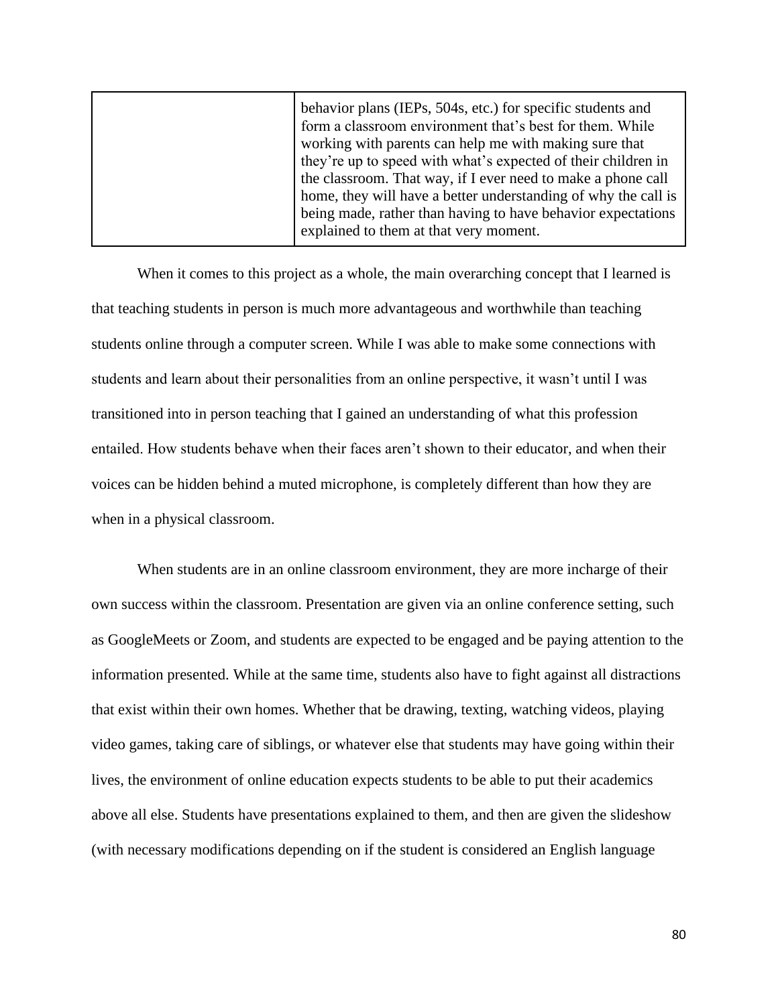| behavior plans (IEPs, 504s, etc.) for specific students and    |
|----------------------------------------------------------------|
| form a classroom environment that's best for them. While       |
| working with parents can help me with making sure that         |
| they're up to speed with what's expected of their children in  |
| the classroom. That way, if I ever need to make a phone call   |
| home, they will have a better understanding of why the call is |
| being made, rather than having to have behavior expectations   |
| explained to them at that very moment.                         |
|                                                                |

When it comes to this project as a whole, the main overarching concept that I learned is that teaching students in person is much more advantageous and worthwhile than teaching students online through a computer screen. While I was able to make some connections with students and learn about their personalities from an online perspective, it wasn't until I was transitioned into in person teaching that I gained an understanding of what this profession entailed. How students behave when their faces aren't shown to their educator, and when their voices can be hidden behind a muted microphone, is completely different than how they are when in a physical classroom.

When students are in an online classroom environment, they are more incharge of their own success within the classroom. Presentation are given via an online conference setting, such as GoogleMeets or Zoom, and students are expected to be engaged and be paying attention to the information presented. While at the same time, students also have to fight against all distractions that exist within their own homes. Whether that be drawing, texting, watching videos, playing video games, taking care of siblings, or whatever else that students may have going within their lives, the environment of online education expects students to be able to put their academics above all else. Students have presentations explained to them, and then are given the slideshow (with necessary modifications depending on if the student is considered an English language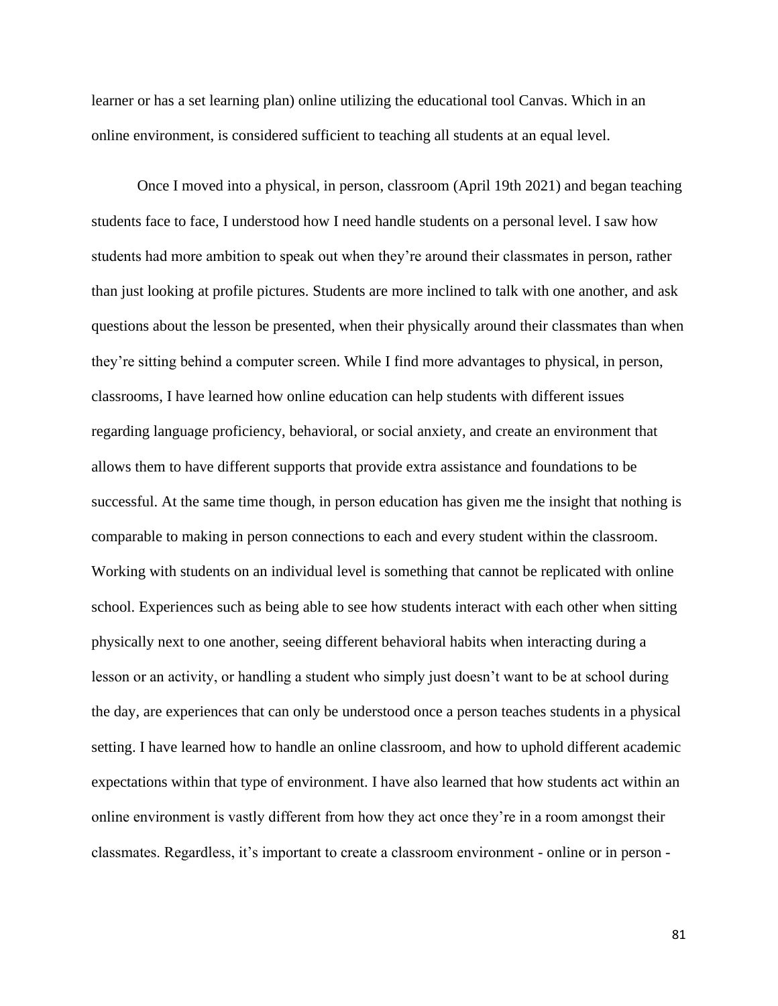learner or has a set learning plan) online utilizing the educational tool Canvas. Which in an online environment, is considered sufficient to teaching all students at an equal level.

Once I moved into a physical, in person, classroom (April 19th 2021) and began teaching students face to face, I understood how I need handle students on a personal level. I saw how students had more ambition to speak out when they're around their classmates in person, rather than just looking at profile pictures. Students are more inclined to talk with one another, and ask questions about the lesson be presented, when their physically around their classmates than when they're sitting behind a computer screen. While I find more advantages to physical, in person, classrooms, I have learned how online education can help students with different issues regarding language proficiency, behavioral, or social anxiety, and create an environment that allows them to have different supports that provide extra assistance and foundations to be successful. At the same time though, in person education has given me the insight that nothing is comparable to making in person connections to each and every student within the classroom. Working with students on an individual level is something that cannot be replicated with online school. Experiences such as being able to see how students interact with each other when sitting physically next to one another, seeing different behavioral habits when interacting during a lesson or an activity, or handling a student who simply just doesn't want to be at school during the day, are experiences that can only be understood once a person teaches students in a physical setting. I have learned how to handle an online classroom, and how to uphold different academic expectations within that type of environment. I have also learned that how students act within an online environment is vastly different from how they act once they're in a room amongst their classmates. Regardless, it's important to create a classroom environment - online or in person -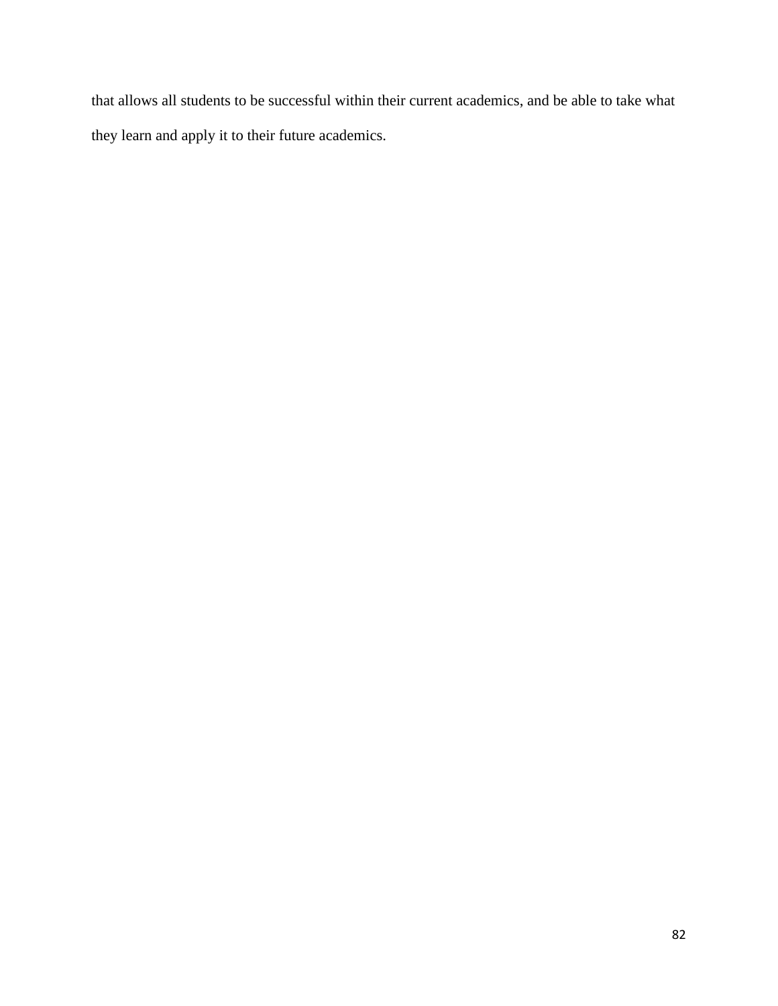that allows all students to be successful within their current academics, and be able to take what they learn and apply it to their future academics.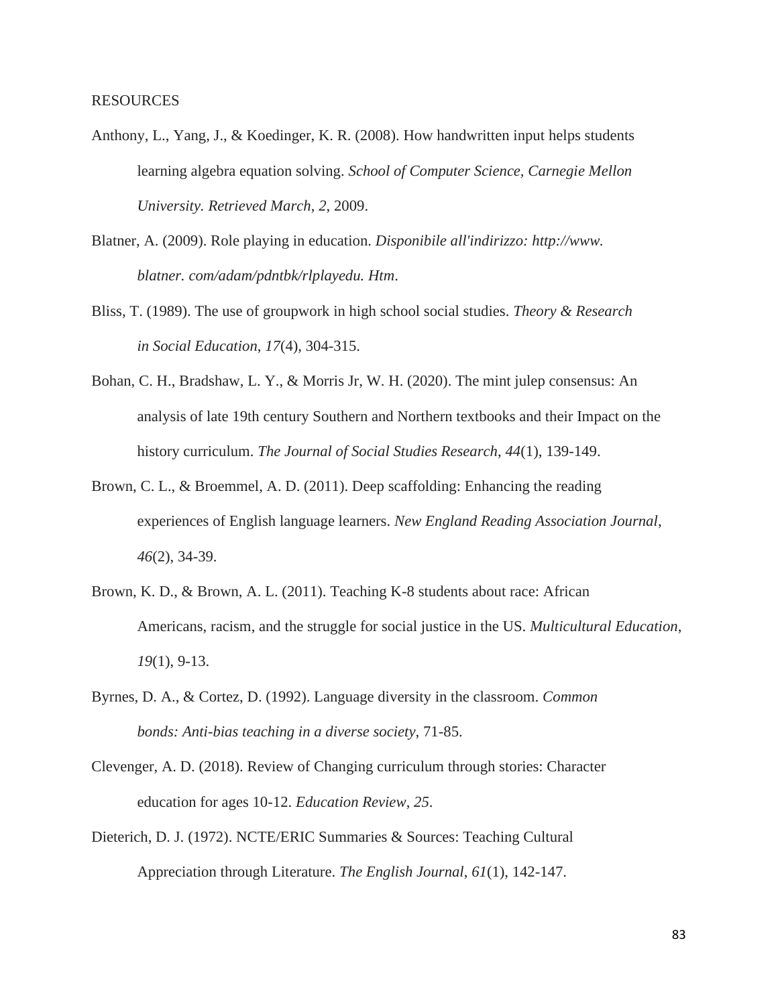- Anthony, L., Yang, J., & Koedinger, K. R. (2008). How handwritten input helps students learning algebra equation solving. *School of Computer Science, Carnegie Mellon University. Retrieved March*, *2*, 2009.
- Blatner, A. (2009). Role playing in education. *Disponibile all'indirizzo: http://www. blatner. com/adam/pdntbk/rlplayedu. Htm*.
- Bliss, T. (1989). The use of groupwork in high school social studies. *Theory & Research in Social Education*, *17*(4), 304-315.
- Bohan, C. H., Bradshaw, L. Y., & Morris Jr, W. H. (2020). The mint julep consensus: An analysis of late 19th century Southern and Northern textbooks and their Impact on the history curriculum. *The Journal of Social Studies Research*, *44*(1), 139-149.
- Brown, C. L., & Broemmel, A. D. (2011). Deep scaffolding: Enhancing the reading experiences of English language learners. *New England Reading Association Journal*, *46*(2), 34-39.
- Brown, K. D., & Brown, A. L. (2011). Teaching K-8 students about race: African Americans, racism, and the struggle for social justice in the US. *Multicultural Education*, *19*(1), 9-13.
- Byrnes, D. A., & Cortez, D. (1992). Language diversity in the classroom. *Common bonds: Anti-bias teaching in a diverse society*, 71-85.
- Clevenger, A. D. (2018). Review of Changing curriculum through stories: Character education for ages 10-12. *Education Review*, *25*.
- Dieterich, D. J. (1972). NCTE/ERIC Summaries & Sources: Teaching Cultural Appreciation through Literature. *The English Journal*, *61*(1), 142-147.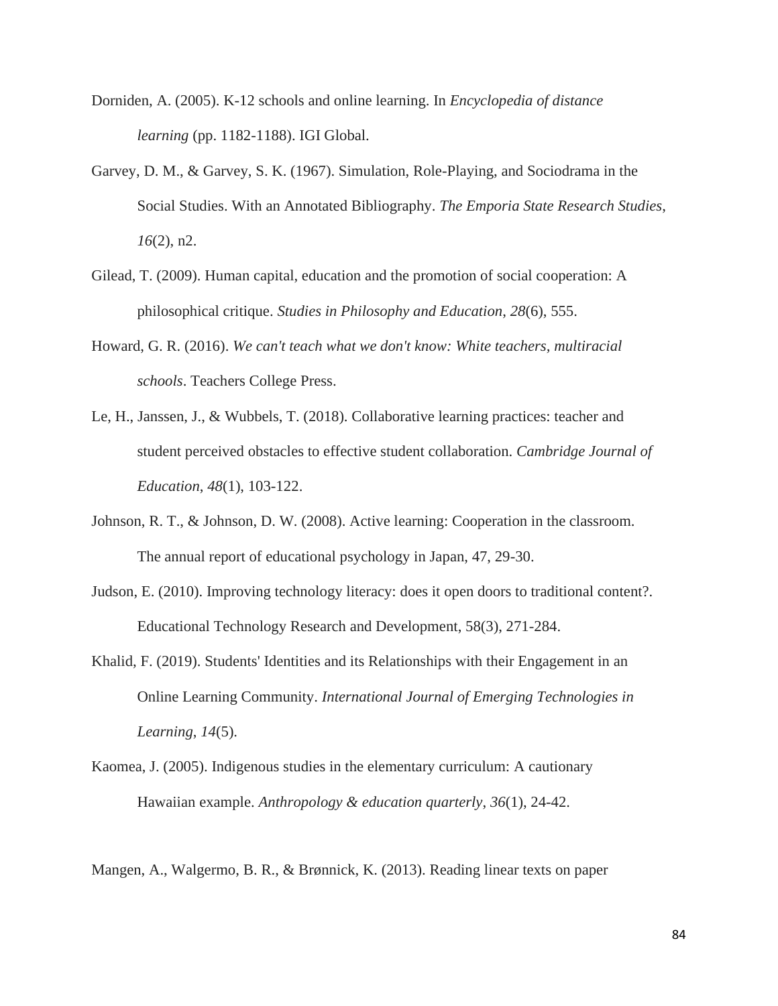- Dorniden, A. (2005). K-12 schools and online learning. In *Encyclopedia of distance learning* (pp. 1182-1188). IGI Global.
- Garvey, D. M., & Garvey, S. K. (1967). Simulation, Role-Playing, and Sociodrama in the Social Studies. With an Annotated Bibliography. *The Emporia State Research Studies*, *16*(2), n2.
- Gilead, T. (2009). Human capital, education and the promotion of social cooperation: A philosophical critique. *Studies in Philosophy and Education*, *28*(6), 555.
- Howard, G. R. (2016). *We can't teach what we don't know: White teachers, multiracial schools*. Teachers College Press.
- Le, H., Janssen, J., & Wubbels, T. (2018). Collaborative learning practices: teacher and student perceived obstacles to effective student collaboration. *Cambridge Journal of Education*, *48*(1), 103-122.
- Johnson, R. T., & Johnson, D. W. (2008). Active learning: Cooperation in the classroom. The annual report of educational psychology in Japan, 47, 29-30.
- Judson, E. (2010). Improving technology literacy: does it open doors to traditional content?. Educational Technology Research and Development, 58(3), 271-284.
- Khalid, F. (2019). Students' Identities and its Relationships with their Engagement in an Online Learning Community. *International Journal of Emerging Technologies in Learning*, *14*(5).
- Kaomea, J. (2005). Indigenous studies in the elementary curriculum: A cautionary Hawaiian example. *Anthropology & education quarterly*, *36*(1), 24-42.
- Mangen, A., Walgermo, B. R., & Brønnick, K. (2013). Reading linear texts on paper